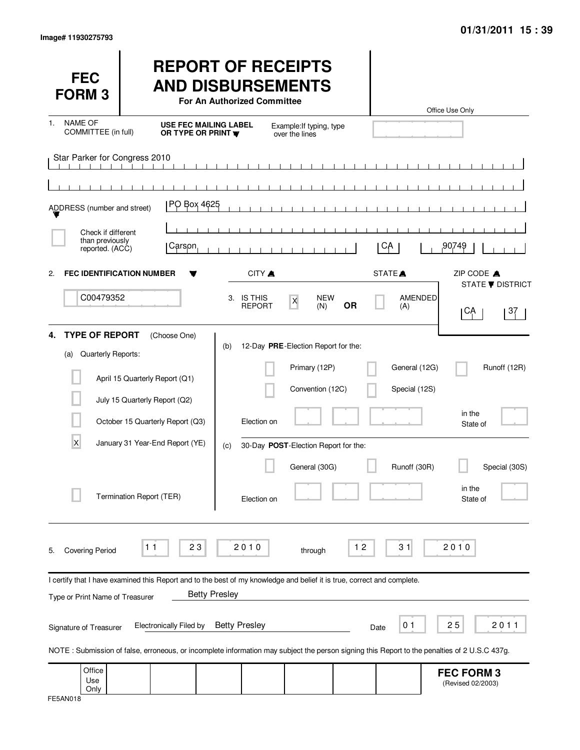| <b>FEC</b><br><b>FORM3</b>                               |                                                                                                                                              | <b>REPORT OF RECEIPTS</b><br><b>AND DISBURSEMENTS</b><br>For An Authorized Committee |                                                                       |           |                        | Office Use Only    |                         |
|----------------------------------------------------------|----------------------------------------------------------------------------------------------------------------------------------------------|--------------------------------------------------------------------------------------|-----------------------------------------------------------------------|-----------|------------------------|--------------------|-------------------------|
| <b>NAME OF</b><br>1.<br>COMMITTEE (in full)              | USE FEC MAILING LABEL<br>OR TYPE OR PRINT                                                                                                    |                                                                                      | Example: If typing, type<br>over the lines                            |           |                        |                    |                         |
| Star Parker for Congress 2010                            |                                                                                                                                              | $\mathbf{1}$ $\mathbf{1}$                                                            | $\blacksquare$<br>$\blacksquare$<br>$\mathbf{1}$<br>$\sim$ 1 $\sim$ 1 |           |                        |                    |                         |
| ADDRESS (number and street)                              | PO Box 4625                                                                                                                                  |                                                                                      |                                                                       |           |                        |                    |                         |
| Check if different<br>than previously<br>reported. (ACC) | Carson                                                                                                                                       |                                                                                      |                                                                       |           | CA                     | 90749              |                         |
| 2.                                                       | <b>FEC IDENTIFICATION NUMBER</b>                                                                                                             | CITY A                                                                               |                                                                       |           | STATE <sup>A</sup>     | ZIP CODE A         | <b>STATE ▼ DISTRICT</b> |
| C00479352                                                |                                                                                                                                              | 3. IS THIS<br><b>REPORT</b>                                                          | <b>NEW</b><br>$\pmb{\mathsf{X}}$<br>(N)                               | <b>OR</b> | AMENDED<br>(A)         | ∣CA                | 37                      |
| <b>TYPE OF REPORT</b><br>4.<br>Quarterly Reports:<br>(a) | (Choose One)<br>April 15 Quarterly Report (Q1)                                                                                               | (b)                                                                                  | 12-Day PRE-Election Report for the:<br>Primary (12P)                  |           | General (12G)          |                    | Runoff (12R)            |
|                                                          | July 15 Quarterly Report (Q2)<br>October 15 Quarterly Report (Q3)                                                                            | Election on                                                                          | Convention (12C)                                                      |           | Special (12S)          | in the<br>State of |                         |
| X                                                        | January 31 Year-End Report (YE)                                                                                                              | (c)                                                                                  | 30-Day POST-Election Report for the:<br>General (30G)                 |           | Runoff (30R)           |                    | Special (30S)           |
|                                                          | Termination Report (TER)                                                                                                                     | Election on                                                                          |                                                                       |           |                        | in the<br>State of |                         |
| <b>Covering Period</b><br>5.                             | 23<br>11                                                                                                                                     | 2010                                                                                 | through                                                               | $12$      | 31                     | 2010               |                         |
| Type or Print Name of Treasurer                          | I certify that I have examined this Report and to the best of my knowledge and belief it is true, correct and complete.                      | <b>Betty Presley</b>                                                                 |                                                                       |           |                        |                    |                         |
| Signature of Treasurer                                   | <b>Electronically Filed by</b>                                                                                                               | <b>Betty Presley</b>                                                                 |                                                                       |           | 0 <sub>1</sub><br>Date | 25                 | 2011                    |
| Office                                                   | NOTE: Submission of false, erroneous, or incomplete information may subject the person signing this Report to the penalties of 2 U.S.C 437g. |                                                                                      |                                                                       |           |                        | <b>FEC FORM 3</b>  |                         |
| Use<br>Only                                              |                                                                                                                                              |                                                                                      |                                                                       |           |                        | (Revised 02/2003)  |                         |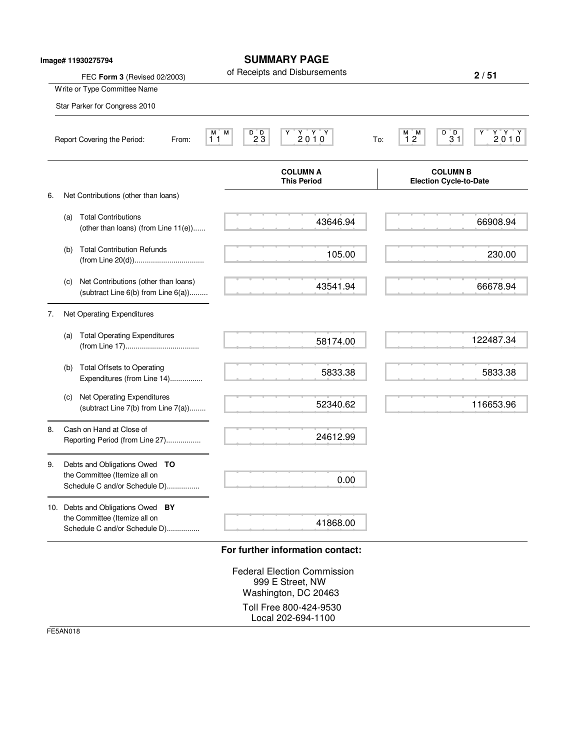|    |     | Image# 11930275794                                                                              |                                    | <b>SUMMARY PAGE</b><br>of Receipts and Disbursements                                       |     |                                                                               | 2/51            |
|----|-----|-------------------------------------------------------------------------------------------------|------------------------------------|--------------------------------------------------------------------------------------------|-----|-------------------------------------------------------------------------------|-----------------|
|    |     | FEC Form 3 (Revised 02/2003)<br>Write or Type Committee Name                                    |                                    |                                                                                            |     |                                                                               |                 |
|    |     | Star Parker for Congress 2010                                                                   |                                    |                                                                                            |     |                                                                               |                 |
|    |     | Report Covering the Period:<br>From:                                                            | М<br>D D<br>M.<br>$2\bar{3}$<br>11 | $\begin{array}{c}\nY & Y & Y \\ 2010\n\end{array}$                                         | To: | $\begin{smallmatrix}0&0\&3\1\end{smallmatrix}$<br>М<br>'M<br>$\overline{1}$ 2 | $Y'Y'Y$<br>2010 |
|    |     |                                                                                                 |                                    | <b>COLUMN A</b><br><b>This Period</b>                                                      |     | <b>COLUMN B</b><br><b>Election Cycle-to-Date</b>                              |                 |
| 6. |     | Net Contributions (other than loans)                                                            |                                    |                                                                                            |     |                                                                               |                 |
|    | (a) | <b>Total Contributions</b><br>(other than loans) (from Line 11(e))                              |                                    | 43646.94                                                                                   |     |                                                                               | 66908.94        |
|    | (b) | <b>Total Contribution Refunds</b>                                                               |                                    | 105.00                                                                                     |     |                                                                               | 230.00          |
|    | (c) | Net Contributions (other than loans)<br>(subtract Line $6(b)$ from Line $6(a)$ )                |                                    | 43541.94                                                                                   |     |                                                                               | 66678.94        |
| 7. |     | Net Operating Expenditures                                                                      |                                    |                                                                                            |     |                                                                               |                 |
|    | (a) | <b>Total Operating Expenditures</b>                                                             |                                    | 58174.00                                                                                   |     |                                                                               | 122487.34       |
|    | (b) | <b>Total Offsets to Operating</b><br>Expenditures (from Line 14)                                |                                    | 5833.38                                                                                    |     |                                                                               | 5833.38         |
|    | (c) | Net Operating Expenditures<br>(subtract Line 7(b) from Line 7(a))                               |                                    | 52340.62                                                                                   |     |                                                                               | 116653.96       |
| 8. |     | Cash on Hand at Close of<br>Reporting Period (from Line 27)                                     |                                    | 24612.99                                                                                   |     |                                                                               |                 |
| 9. |     | Debts and Obligations Owed TO<br>the Committee (Itemize all on<br>Schedule C and/or Schedule D) |                                    | 0.00                                                                                       |     |                                                                               |                 |
|    |     | 10. Debts and Obligations Owed BY<br>the Committee (Itemize all on                              |                                    | 41868.00                                                                                   |     |                                                                               |                 |
|    |     | Schedule C and/or Schedule D)                                                                   |                                    |                                                                                            |     |                                                                               |                 |
|    |     |                                                                                                 |                                    | For further information contact:<br><b>Federal Election Commission</b><br>999 E Street, NW |     |                                                                               |                 |

Washington, DC 20463

Toll Free 800-424-9530 Local 202-694-1100

FE5AN018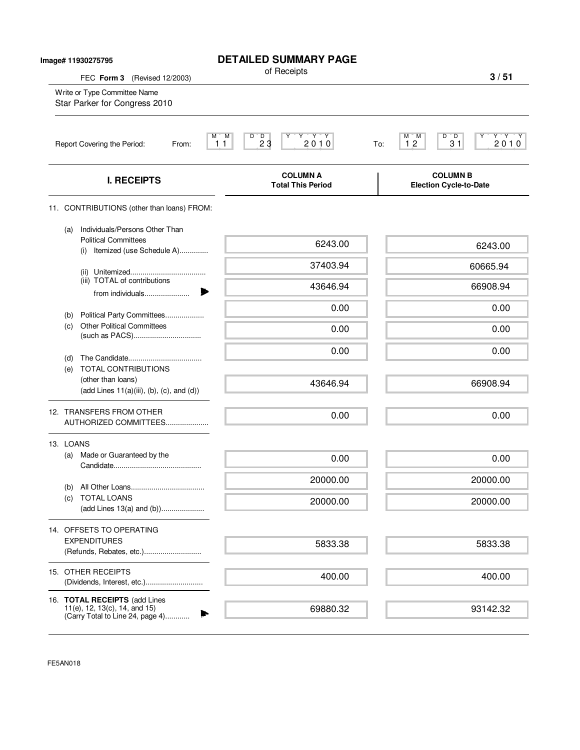| Image# 11930275795<br>FEC Form 3<br>(Revised 12/2003)                                                  | <b>DETAILED SUMMARY PAGE</b><br>of Receipts       | 3/51                                                                     |
|--------------------------------------------------------------------------------------------------------|---------------------------------------------------|--------------------------------------------------------------------------|
| Write or Type Committee Name<br>Star Parker for Congress 2010                                          |                                                   |                                                                          |
| Report Covering the Period:<br>From:                                                                   | M<br>M<br>YYYY<br>D<br>D<br>Υ<br>23<br>2010<br>11 | $D^{\prime\prime}$ $D$<br>Y Y Y<br>M<br>ĬΜ<br>2,0,1,0<br>12<br>31<br>To: |
| <b>I. RECEIPTS</b>                                                                                     | <b>COLUMN A</b><br><b>Total This Period</b>       | <b>COLUMN B</b><br><b>Election Cycle-to-Date</b>                         |
| 11. CONTRIBUTIONS (other than loans) FROM:                                                             |                                                   |                                                                          |
| Individuals/Persons Other Than<br>(a)<br><b>Political Committees</b><br>(i) Itemized (use Schedule A)  | 6243.00                                           | 6243.00                                                                  |
|                                                                                                        | 37403.94                                          | 60665.94                                                                 |
| (iii) TOTAL of contributions                                                                           | 43646.94                                          | 66908.94                                                                 |
| from individuals                                                                                       | 0.00                                              | 0.00                                                                     |
| Political Party Committees<br>(b)<br><b>Other Political Committees</b><br>(c)                          | 0.00                                              | 0.00                                                                     |
| (d)                                                                                                    | 0.00                                              | 0.00                                                                     |
| <b>TOTAL CONTRIBUTIONS</b><br>(e)<br>(other than loans)<br>$(add Lines 11(a)(iii), (b), (c), and (d))$ | 43646.94                                          | 66908.94                                                                 |
| 12. TRANSFERS FROM OTHER<br>AUTHORIZED COMMITTEES                                                      | 0.00                                              | 0.00                                                                     |
| 13. LOANS                                                                                              |                                                   |                                                                          |
| Made or Guaranteed by the<br>(a)                                                                       | 0.00                                              | 0.00                                                                     |
|                                                                                                        | 20000.00                                          | 20000.00                                                                 |
| (b)<br><b>TOTAL LOANS</b><br>(C)<br>(add Lines 13(a) and (b))                                          | 20000.00                                          | 20000.00                                                                 |
| 14. OFFSETS TO OPERATING                                                                               |                                                   |                                                                          |
| <b>EXPENDITURES</b><br>(Refunds, Rebates, etc.)                                                        | 5833.38                                           | 5833.38                                                                  |
| 15. OTHER RECEIPTS                                                                                     | 400.00                                            | 400.00                                                                   |
| 16. TOTAL RECEIPTS (add Lines                                                                          |                                                   |                                                                          |
| 11(e), 12, 13(c), 14, and 15)<br>(Carry Total to Line 24, page 4)                                      | 69880.32                                          | 93142.32                                                                 |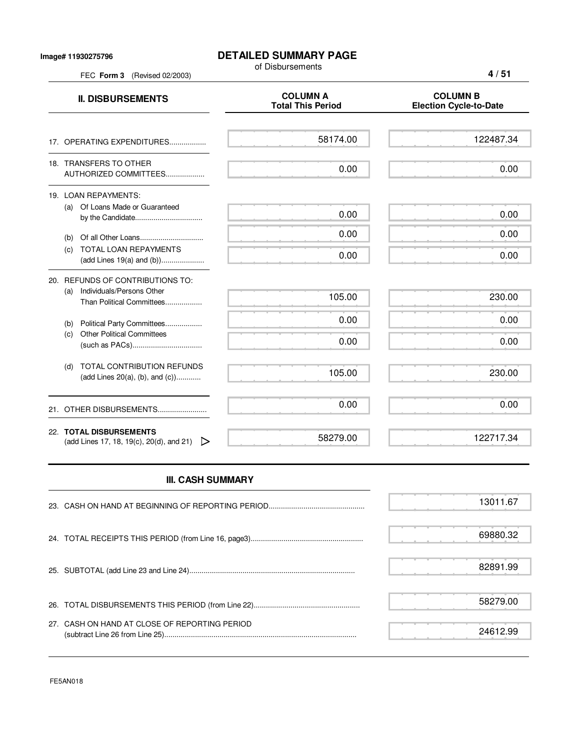FEC **Form 3** (Revised 02/2003)

## **DETAILED SUMMARY PAGE**

of Disbursements

**4 / 51**

| <b>II. DISBURSEMENTS</b>                                             | <b>COLUMN A</b><br><b>Total This Period</b> | <b>COLUMN B</b><br><b>Election Cycle-to-Date</b> |
|----------------------------------------------------------------------|---------------------------------------------|--------------------------------------------------|
| 17. OPERATING EXPENDITURES                                           | 58174.00                                    | 122487.34                                        |
| 18. TRANSFERS TO OTHER<br>AUTHORIZED COMMITTEES                      | 0.00                                        | 0.00                                             |
| 19. LOAN REPAYMENTS:<br>(a) Of Loans Made or Guaranteed              |                                             |                                                  |
| by the Candidate                                                     | 0.00                                        | 0.00                                             |
| (b)                                                                  | 0.00                                        | 0.00                                             |
| TOTAL LOAN REPAYMENTS<br>(C)                                         | 0.00                                        | 0.00                                             |
| 20. REFUNDS OF CONTRIBUTIONS TO:                                     |                                             |                                                  |
| Individuals/Persons Other<br>(a)<br>Than Political Committees        | 105.00                                      | 230.00                                           |
| Political Party Committees<br>(b)                                    | 0.00                                        | 0.00                                             |
| <b>Other Political Committees</b><br>(c)                             | 0.00                                        | 0.00                                             |
| TOTAL CONTRIBUTION REFUNDS<br>(d)<br>(add Lines 20(a), (b), and (c)) | 105.00                                      | 230.00                                           |
| OTHER DISBURSEMENTS<br>21.                                           | 0.00                                        | 0.00                                             |
| 22. TOTAL DISBURSEMENTS                                              | 58279.00                                    | 122717.34                                        |
| (add Lines 17, 18, 19(c), 20(d), and 21) $\triangleright$            |                                             |                                                  |

## **III. CASH SUMMARY**

|                                               | 13011.67 |
|-----------------------------------------------|----------|
|                                               | 69880.32 |
|                                               | 82891.99 |
|                                               | 58279.00 |
| 27. CASH ON HAND AT CLOSE OF REPORTING PERIOD | 24612.99 |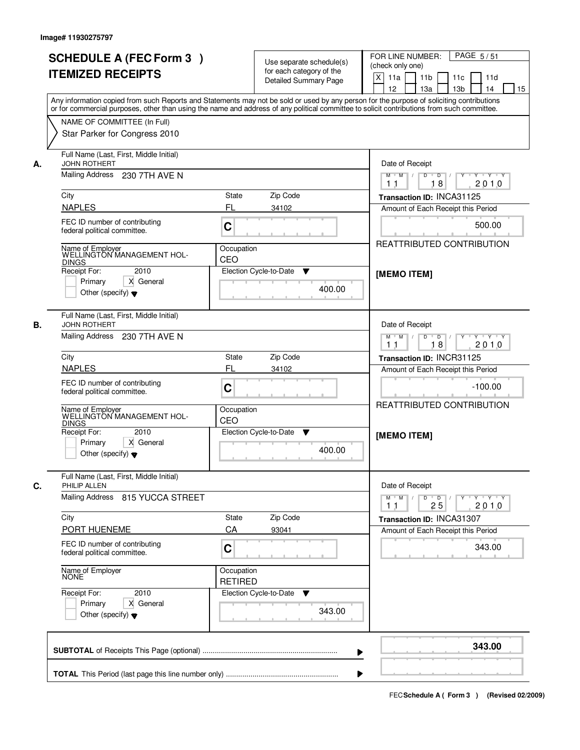| <b>SCHEDULE A (FEC Form 3)</b><br><b>ITEMIZED RECEIPTS</b>                                                                                                                                                                                                                         | Use separate schedule(s)<br>for each category of the<br><b>Detailed Summary Page</b>                                                                                                                                                                                                    | PAGE 5/51<br>FOR LINE NUMBER:<br>(check only one)<br>$\mathsf{X}$<br>11 <sub>b</sub><br>11a<br>11c<br>11d<br>12<br>13a<br>13 <sub>b</sub><br>14<br>15                                                                                                                                                                                                                                                                                                                                                                                                                                    |
|------------------------------------------------------------------------------------------------------------------------------------------------------------------------------------------------------------------------------------------------------------------------------------|-----------------------------------------------------------------------------------------------------------------------------------------------------------------------------------------------------------------------------------------------------------------------------------------|------------------------------------------------------------------------------------------------------------------------------------------------------------------------------------------------------------------------------------------------------------------------------------------------------------------------------------------------------------------------------------------------------------------------------------------------------------------------------------------------------------------------------------------------------------------------------------------|
| NAME OF COMMITTEE (In Full)                                                                                                                                                                                                                                                        | Any information copied from such Reports and Statements may not be sold or used by any person for the purpose of soliciting contributions<br>or for commercial purposes, other than using the name and address of any political committee to solicit contributions from such committee. |                                                                                                                                                                                                                                                                                                                                                                                                                                                                                                                                                                                          |
| Star Parker for Congress 2010<br>Full Name (Last, First, Middle Initial)<br><b>JOHN ROTHERT</b><br>А.<br>Mailing Address 230 7TH AVE N<br>City<br><b>NAPLES</b><br>FEC ID number of contributing<br>federal political committee.<br>Name of Employer<br>WELLINGTON MANAGEMENT HOL- | State<br>Zip Code<br>FL<br>34102<br>C<br>Occupation                                                                                                                                                                                                                                     | Date of Receipt<br>$\begin{array}{c c c c c c c c} \hline \textbf{0} & \textbf{0} & \textbf{0} & \textbf{0} & \textbf{0} & \textbf{0} & \textbf{0} & \textbf{0} & \textbf{0} & \textbf{0} & \textbf{0} & \textbf{0} & \textbf{0} & \textbf{0} & \textbf{0} & \textbf{0} & \textbf{0} & \textbf{0} & \textbf{0} & \textbf{0} & \textbf{0} & \textbf{0} & \textbf{0} & \textbf{0} & \textbf{0} & \textbf{0} & \textbf{0} & \textbf{0} &$<br>$M$ $M$ /<br>2010<br>11<br>18<br>Transaction ID: INCA31125<br>Amount of Each Receipt this Period<br>500.00<br><b>REATTRIBUTED CONTRIBUTION</b> |
| <b>DINGS</b><br>2010<br>Receipt For:<br>Primary<br>X General<br>Other (specify) $\blacktriangledown$                                                                                                                                                                               | CEO<br>Election Cycle-to-Date<br>▼<br>400.00                                                                                                                                                                                                                                            | [MEMO ITEM]                                                                                                                                                                                                                                                                                                                                                                                                                                                                                                                                                                              |
| Full Name (Last, First, Middle Initial)<br><b>JOHN ROTHERT</b><br>В.<br>Mailing Address 230 7TH AVE N<br>City                                                                                                                                                                      | Zip Code<br><b>State</b>                                                                                                                                                                                                                                                                | Date of Receipt<br>$Y - Y - Y$<br>$M$ $M$ /<br>D<br>$\overline{D}$<br>18<br>2010<br>11<br>Transaction ID: INCR31125                                                                                                                                                                                                                                                                                                                                                                                                                                                                      |
| <b>NAPLES</b><br>FEC ID number of contributing<br>federal political committee.<br>Name of Employer<br>WELLINGTON MANAGEMENT HOL-                                                                                                                                                   | FL<br>34102<br>C<br>Occupation                                                                                                                                                                                                                                                          | Amount of Each Receipt this Period<br>$-100.00$<br>REATTRIBUTED CONTRIBUTION                                                                                                                                                                                                                                                                                                                                                                                                                                                                                                             |
| <b>DINGS</b><br>Receipt For:<br>2010<br>X General<br>Primary<br>Other (specify) $\blacktriangledown$                                                                                                                                                                               | CEO<br>Election Cycle-to-Date<br>v<br>400.00                                                                                                                                                                                                                                            | [MEMO ITEM]                                                                                                                                                                                                                                                                                                                                                                                                                                                                                                                                                                              |
| Full Name (Last, First, Middle Initial)<br>C.<br>PHILIP ALLEN<br>Mailing Address 815 YUCCA STREET                                                                                                                                                                                  |                                                                                                                                                                                                                                                                                         | Date of Receipt<br>$M$ $M$ <sup><math>\prime</math></sup><br>$D$ $D$ $/$<br>Y 'Y 'Y<br>$Y$ <sup><math>\top</math></sup><br>25<br>2010<br>11                                                                                                                                                                                                                                                                                                                                                                                                                                              |
| City<br><b>PORT HUENEME</b><br>FEC ID number of contributing<br>federal political committee.                                                                                                                                                                                       | Zip Code<br><b>State</b><br>CA<br>93041<br>C                                                                                                                                                                                                                                            | Transaction ID: INCA31307<br>Amount of Each Receipt this Period<br>343.00                                                                                                                                                                                                                                                                                                                                                                                                                                                                                                                |
| Name of Employer<br>Receipt For:<br>2010<br>Primary<br>X General<br>Other (specify) $\blacktriangledown$                                                                                                                                                                           | Occupation<br><b>RETIRED</b><br>Election Cycle-to-Date<br>v<br>343.00                                                                                                                                                                                                                   |                                                                                                                                                                                                                                                                                                                                                                                                                                                                                                                                                                                          |
|                                                                                                                                                                                                                                                                                    |                                                                                                                                                                                                                                                                                         | 343.00<br>▶                                                                                                                                                                                                                                                                                                                                                                                                                                                                                                                                                                              |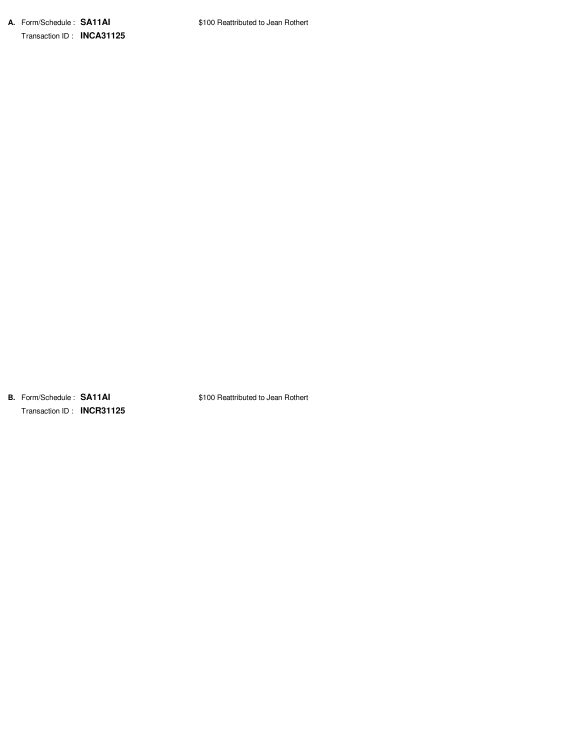**B.** Form/Schedule : **SA11AI** Transaction ID : **INCR31125** \$100 Reattributed to Jean Rothert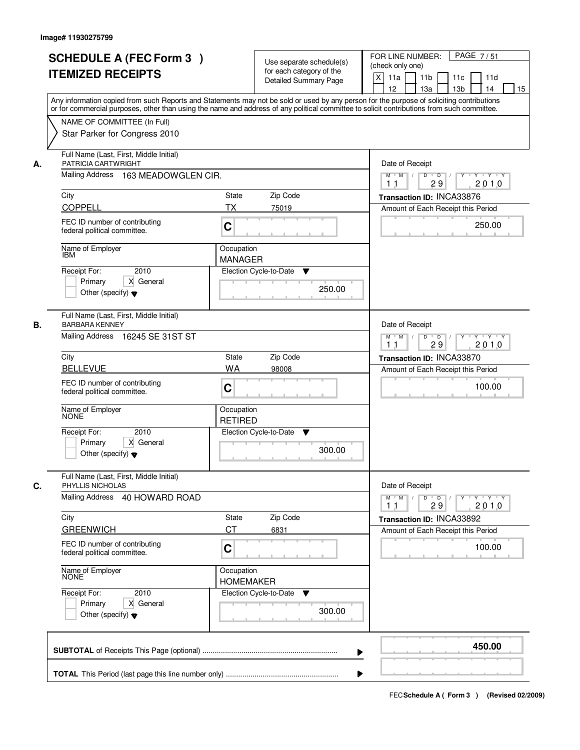|    | <b>SCHEDULE A (FEC Form 3)</b><br><b>ITEMIZED RECEIPTS</b><br>Any information copied from such Reports and Statements may not be sold or used by any person for the purpose of soliciting contributions    |                                | Use separate schedule(s)<br>for each category of the<br><b>Detailed Summary Page</b> | PAGE 7/51<br>FOR LINE NUMBER:<br>(check only one)<br>$\boldsymbol{\mathsf{X}}$<br>11a<br>11 <sub>b</sub><br>11c<br>11d<br>12<br>13a<br>13 <sub>b</sub><br>14<br>15 |
|----|------------------------------------------------------------------------------------------------------------------------------------------------------------------------------------------------------------|--------------------------------|--------------------------------------------------------------------------------------|--------------------------------------------------------------------------------------------------------------------------------------------------------------------|
|    | or for commercial purposes, other than using the name and address of any political committee to solicit contributions from such committee.<br>NAME OF COMMITTEE (In Full)<br>Star Parker for Congress 2010 |                                |                                                                                      |                                                                                                                                                                    |
| А. | Full Name (Last, First, Middle Initial)<br>PATRICIA CARTWRIGHT<br>Mailing Address 163 MEADOWGLEN CIR.                                                                                                      |                                |                                                                                      | Date of Receipt<br>$M$ $M$<br>$D$ $D$ $1$<br>29<br>2010<br>11                                                                                                      |
|    | City                                                                                                                                                                                                       | State                          | Zip Code                                                                             | Transaction ID: INCA33876                                                                                                                                          |
|    | <b>COPPELI</b>                                                                                                                                                                                             | ТX                             | 75019                                                                                | Amount of Each Receipt this Period                                                                                                                                 |
|    | FEC ID number of contributing<br>federal political committee.                                                                                                                                              | C                              |                                                                                      | 250.00                                                                                                                                                             |
|    | Name of Employer<br>IBM                                                                                                                                                                                    | Occupation<br><b>MANAGER</b>   |                                                                                      |                                                                                                                                                                    |
|    | 2010<br>Receipt For:<br>X General<br>Primary<br>Other (specify) $\blacktriangledown$                                                                                                                       |                                | Election Cycle-to-Date<br>▼<br>250.00                                                |                                                                                                                                                                    |
| В. | Full Name (Last, First, Middle Initial)<br><b>BARBARA KENNEY</b><br>Mailing Address 16245 SE 31ST ST                                                                                                       |                                |                                                                                      | Date of Receipt<br>$Y$ <sup>U</sup><br>Y 'Y 'Y<br>$M$ $M$ /<br>D<br>$\overline{D}$ /                                                                               |
|    |                                                                                                                                                                                                            |                                |                                                                                      | 2010<br>29<br>11                                                                                                                                                   |
|    | City<br><b>BELLEVUE</b>                                                                                                                                                                                    | State<br><b>WA</b>             | Zip Code<br>98008                                                                    | Transaction ID: INCA33870                                                                                                                                          |
|    | FEC ID number of contributing<br>federal political committee.                                                                                                                                              | C                              |                                                                                      | Amount of Each Receipt this Period<br>100.00                                                                                                                       |
|    | Name of Employer                                                                                                                                                                                           | Occupation<br><b>RETIRED</b>   |                                                                                      |                                                                                                                                                                    |
|    | Receipt For:<br>2010<br>Primary<br>X General<br>Other (specify) $\blacktriangledown$                                                                                                                       |                                | Election Cycle-to-Date<br>v<br>300.00                                                |                                                                                                                                                                    |
| C. | Full Name (Last, First, Middle Initial)<br>PHYLLIS NICHOLAS                                                                                                                                                |                                |                                                                                      | Date of Receipt                                                                                                                                                    |
|    | Mailing Address 40 HOWARD ROAD                                                                                                                                                                             |                                |                                                                                      | $M$ $M$<br>$D$ $D$ $/$<br>$Y + Y + Y$<br>Y "<br>2010<br>11<br>29                                                                                                   |
|    | City<br><b>GREENWICH</b>                                                                                                                                                                                   | State<br>CТ                    | Zip Code<br>6831                                                                     | Transaction ID: INCA33892<br>Amount of Each Receipt this Period                                                                                                    |
|    | FEC ID number of contributing<br>federal political committee.                                                                                                                                              | C                              |                                                                                      | 100.00                                                                                                                                                             |
|    | Name of Employer<br>NONE                                                                                                                                                                                   | Occupation<br><b>HOMEMAKER</b> |                                                                                      |                                                                                                                                                                    |
|    | Receipt For:<br>2010<br>Primary<br>X General<br>Other (specify) $\blacktriangledown$                                                                                                                       |                                | Election Cycle-to-Date<br>v<br>300.00                                                |                                                                                                                                                                    |
|    |                                                                                                                                                                                                            |                                | ▶                                                                                    | 450.00                                                                                                                                                             |
|    |                                                                                                                                                                                                            |                                |                                                                                      |                                                                                                                                                                    |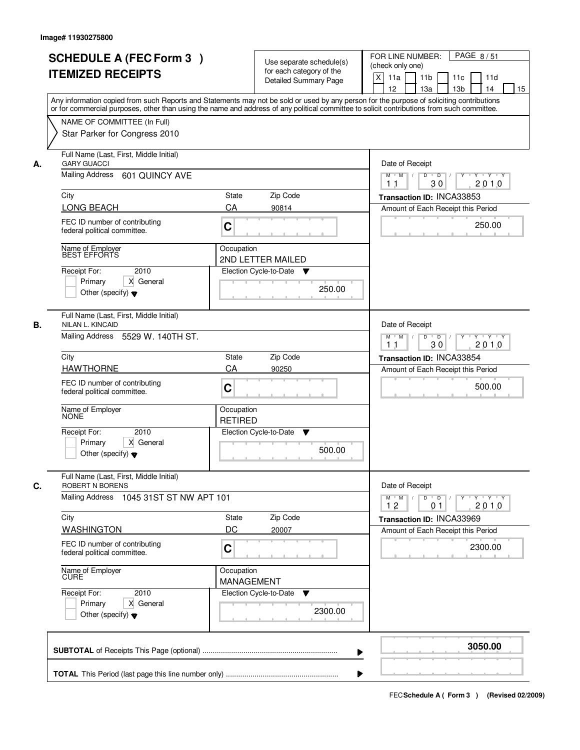|    | <b>SCHEDULE A (FEC Form 3)</b><br><b>ITEMIZED RECEIPTS</b><br>Any information copied from such Reports and Statements may not be sold or used by any person for the purpose of soliciting contributions<br>or for commercial purposes, other than using the name and address of any political committee to solicit contributions from such committee. |                                 | Use separate schedule(s)<br>for each category of the<br><b>Detailed Summary Page</b> | PAGE 8/51<br>FOR LINE NUMBER:<br>(check only one)<br>X<br>11a<br>11 <sub>b</sub><br>11c<br>11d<br>12<br>13a<br>13 <sub>b</sub><br>14<br>15                                                       |
|----|-------------------------------------------------------------------------------------------------------------------------------------------------------------------------------------------------------------------------------------------------------------------------------------------------------------------------------------------------------|---------------------------------|--------------------------------------------------------------------------------------|--------------------------------------------------------------------------------------------------------------------------------------------------------------------------------------------------|
|    | NAME OF COMMITTEE (In Full)<br>Star Parker for Congress 2010                                                                                                                                                                                                                                                                                          |                                 |                                                                                      |                                                                                                                                                                                                  |
| А. | Full Name (Last, First, Middle Initial)<br><b>GARY GUACCI</b><br>Mailing Address 601 QUINCY AVE                                                                                                                                                                                                                                                       |                                 |                                                                                      | Date of Receipt<br>$M$ $M$ /<br>$D$ $D$ $1$<br>$\begin{array}{ccccccccccccc} &\mathsf{Y} &\mathsf{Y} &\mathsf{Y} &\mathsf{Y} &\mathsf{Y} &\mathsf{Y} &\mathsf{Y}\end{array}$<br>30<br>2010<br>11 |
|    | City                                                                                                                                                                                                                                                                                                                                                  | State                           | Zip Code                                                                             | Transaction ID: INCA33853                                                                                                                                                                        |
|    | LONG BEACH                                                                                                                                                                                                                                                                                                                                            | CA                              | 90814                                                                                | Amount of Each Receipt this Period                                                                                                                                                               |
|    | FEC ID number of contributing<br>federal political committee.                                                                                                                                                                                                                                                                                         | C                               |                                                                                      | 250.00                                                                                                                                                                                           |
|    | Name of Employer<br><b>BEST EFFORTS</b>                                                                                                                                                                                                                                                                                                               | Occupation                      | 2ND LETTER MAILED                                                                    |                                                                                                                                                                                                  |
|    | 2010<br>Receipt For:<br>X General<br>Primary<br>Other (specify) $\blacktriangledown$                                                                                                                                                                                                                                                                  |                                 | Election Cycle-to-Date ▼<br>250.00                                                   |                                                                                                                                                                                                  |
| В. | Full Name (Last, First, Middle Initial)<br>NILAN L. KINCAID<br>Mailing Address 5529 W. 140TH ST.                                                                                                                                                                                                                                                      |                                 |                                                                                      | Date of Receipt<br>$Y$ <sup>U</sup><br>Y 'Y 'Y<br>$M$ $M$ /<br>D<br>$\overline{D}$ /                                                                                                             |
|    |                                                                                                                                                                                                                                                                                                                                                       |                                 |                                                                                      | 2010<br>30<br>11                                                                                                                                                                                 |
|    | City                                                                                                                                                                                                                                                                                                                                                  | State                           | Zip Code                                                                             | Transaction ID: INCA33854                                                                                                                                                                        |
|    | <b>HAWTHORNE</b>                                                                                                                                                                                                                                                                                                                                      | CA                              | 90250                                                                                | Amount of Each Receipt this Period                                                                                                                                                               |
|    | FEC ID number of contributing<br>federal political committee.                                                                                                                                                                                                                                                                                         | C                               |                                                                                      | 500.00                                                                                                                                                                                           |
|    | Name of Employer<br>NONE                                                                                                                                                                                                                                                                                                                              | Occupation<br><b>RETIRED</b>    |                                                                                      |                                                                                                                                                                                                  |
|    | Receipt For:<br>2010<br>Primary<br>X General<br>Other (specify) $\blacktriangledown$                                                                                                                                                                                                                                                                  |                                 | Election Cycle-to-Date<br>v<br>500.00                                                |                                                                                                                                                                                                  |
| C. | Full Name (Last, First, Middle Initial)<br>ROBERT N BORENS<br>Mailing Address 1045 31ST ST NW APT 101                                                                                                                                                                                                                                                 |                                 |                                                                                      | Date of Receipt<br>$D$ $D$ $/$<br>$M$ $M$ /<br>$Y$ <sup>U</sup><br>$Y + Y + Y$                                                                                                                   |
|    |                                                                                                                                                                                                                                                                                                                                                       |                                 |                                                                                      | 12<br>2010<br>01                                                                                                                                                                                 |
|    | City<br><b>WASHINGTON</b>                                                                                                                                                                                                                                                                                                                             | State<br>DC                     | Zip Code<br>20007                                                                    | Transaction ID: INCA33969<br>Amount of Each Receipt this Period                                                                                                                                  |
|    | FEC ID number of contributing<br>federal political committee.                                                                                                                                                                                                                                                                                         | C                               |                                                                                      | 2300.00                                                                                                                                                                                          |
|    | Name of Employer<br>CURE                                                                                                                                                                                                                                                                                                                              | Occupation<br><b>MANAGEMENT</b> |                                                                                      |                                                                                                                                                                                                  |
|    | Receipt For:<br>2010<br>Primary<br>X General<br>Other (specify) $\blacktriangledown$                                                                                                                                                                                                                                                                  |                                 | Election Cycle-to-Date<br>v<br>2300.00                                               |                                                                                                                                                                                                  |
|    |                                                                                                                                                                                                                                                                                                                                                       |                                 | ▶                                                                                    | 3050.00                                                                                                                                                                                          |
|    |                                                                                                                                                                                                                                                                                                                                                       |                                 |                                                                                      |                                                                                                                                                                                                  |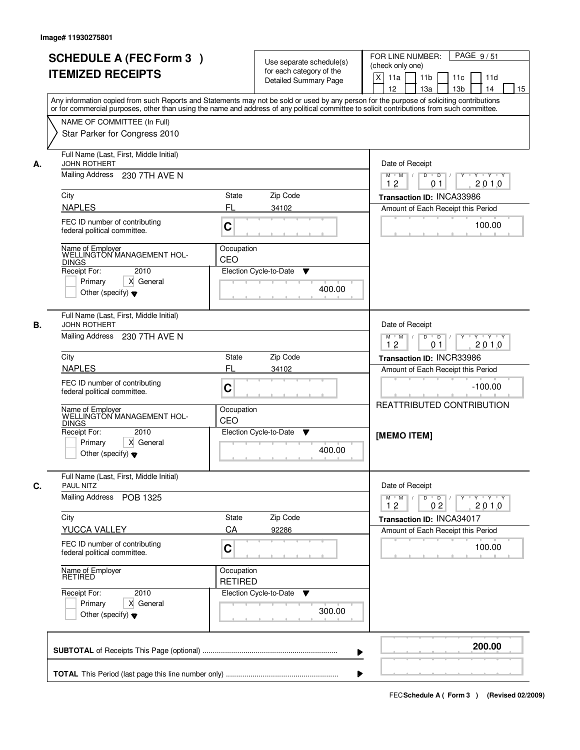|    | <b>SCHEDULE A (FEC Form 3)</b><br><b>ITEMIZED RECEIPTS</b>                                                                                                                                                                                                                                                                                             | Use separate schedule(s)<br>for each category of the<br><b>Detailed Summary Page</b><br>Any information copied from such Reports and Statements may not be sold or used by any person for the purpose of soliciting contributions<br>or for commercial purposes, other than using the name and address of any political committee to solicit contributions from such committee. | PAGE 9/51<br>FOR LINE NUMBER:<br>(check only one)<br>$\mathsf{X}$<br>11 <sub>b</sub><br>11a<br>11c<br>11d<br>12<br>13a<br>13 <sub>b</sub><br>14<br>15                                                                                                    |
|----|--------------------------------------------------------------------------------------------------------------------------------------------------------------------------------------------------------------------------------------------------------------------------------------------------------------------------------------------------------|---------------------------------------------------------------------------------------------------------------------------------------------------------------------------------------------------------------------------------------------------------------------------------------------------------------------------------------------------------------------------------|----------------------------------------------------------------------------------------------------------------------------------------------------------------------------------------------------------------------------------------------------------|
|    | NAME OF COMMITTEE (In Full)<br>Star Parker for Congress 2010                                                                                                                                                                                                                                                                                           |                                                                                                                                                                                                                                                                                                                                                                                 |                                                                                                                                                                                                                                                          |
| А. | Full Name (Last, First, Middle Initial)<br><b>JOHN ROTHERT</b><br>Mailing Address 230 7TH AVE N<br>City<br><b>NAPLES</b>                                                                                                                                                                                                                               | Zip Code<br>State<br>FL<br>34102                                                                                                                                                                                                                                                                                                                                                | Date of Receipt<br>$Y + Y + Y$<br>$M$ $M$ /<br>$D$ $D$ $/$<br>$Y^+$<br>12<br>2010<br>0 <sub>1</sub><br>Transaction ID: INCA33986<br>Amount of Each Receipt this Period                                                                                   |
|    | FEC ID number of contributing<br>federal political committee.<br>Name of Employer<br>WELLINGTON MANAGEMENT HOL-<br><b>DINGS</b><br>2010<br>Receipt For:<br>Primary<br>X General<br>Other (specify) $\blacktriangledown$                                                                                                                                | C<br>Occupation<br>CEO<br>Election Cycle-to-Date<br>▼<br>400.00                                                                                                                                                                                                                                                                                                                 | 100.00                                                                                                                                                                                                                                                   |
| В. | Full Name (Last, First, Middle Initial)<br><b>JOHN ROTHERT</b><br>Mailing Address<br>230 7TH AVE N<br>City<br><b>NAPLES</b><br>FEC ID number of contributing<br>federal political committee.<br>Name of Employer<br>WELLINGTON MANAGEMENT HOL-<br><b>DINGS</b><br>Receipt For:<br>2010<br>Primary<br>X General<br>Other (specify) $\blacktriangledown$ | Zip Code<br><b>State</b><br>FL<br>34102<br>C<br>Occupation<br>CEO<br>Election Cycle-to-Date<br>v<br>400.00                                                                                                                                                                                                                                                                      | Date of Receipt<br>$M$ $M$ /<br>D<br>$\overline{D}$<br>Y 'Y 'Y<br>12<br>2010<br>0 <sub>1</sub><br>Transaction ID: INCR33986<br>Amount of Each Receipt this Period<br>$-100.00$<br>REATTRIBUTED CONTRIBUTION<br>[MEMO ITEM]                               |
| C. | Full Name (Last, First, Middle Initial)<br><b>PAUL NITZ</b><br><b>Mailing Address</b><br>POB 1325<br>City<br><b>YUCCA VALLEY</b><br>FEC ID number of contributing<br>federal political committee.<br>Name of Employer<br>RETIRED<br>Receipt For:<br>2010<br>Primary<br>X General<br>Other (specify) $\blacktriangledown$                               | Zip Code<br>State<br>CA<br>92286<br>C<br>Occupation<br><b>RETIRED</b><br>Election Cycle-to-Date ▼<br>300.00                                                                                                                                                                                                                                                                     | Date of Receipt<br>$D$ $D$ $/$<br>$\begin{array}{cccccccccc} &\gamma &\vdash \gamma &\vdash \gamma &\vdash \gamma &\vdash \gamma\end{array}$<br>$M = M$<br>2010<br>12<br>02<br>Transaction ID: INCA34017<br>Amount of Each Receipt this Period<br>100.00 |
|    |                                                                                                                                                                                                                                                                                                                                                        | ▶                                                                                                                                                                                                                                                                                                                                                                               | 200.00                                                                                                                                                                                                                                                   |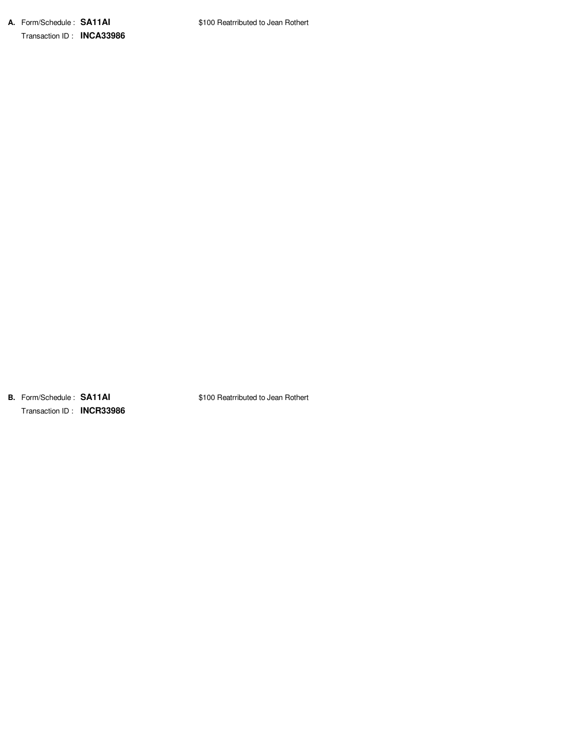**B.** Form/Schedule : **SA11AI** Transaction ID : **INCR33986** \$100 Reatrributed to Jean Rothert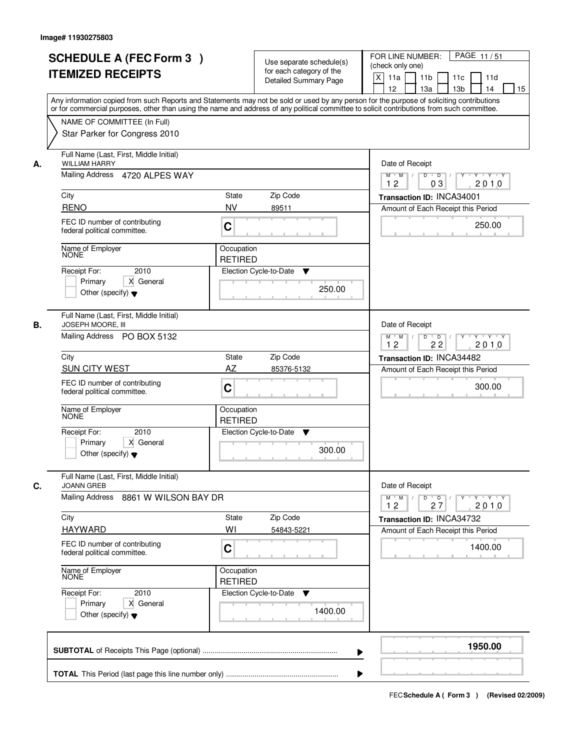|    | <b>SCHEDULE A (FEC Form 3)</b><br><b>ITEMIZED RECEIPTS</b><br>Any information copied from such Reports and Statements may not be sold or used by any person for the purpose of soliciting contributions<br>or for commercial purposes, other than using the name and address of any political committee to solicit contributions from such committee. |                              | Use separate schedule(s)<br>for each category of the<br><b>Detailed Summary Page</b> | PAGE 11/51<br>FOR LINE NUMBER:<br>(check only one)<br>$\boldsymbol{\mathsf{X}}$<br>11a<br>11 <sub>b</sub><br>11c<br>11d<br>12<br>13a<br>13 <sub>b</sub><br>14<br>15 |
|----|-------------------------------------------------------------------------------------------------------------------------------------------------------------------------------------------------------------------------------------------------------------------------------------------------------------------------------------------------------|------------------------------|--------------------------------------------------------------------------------------|---------------------------------------------------------------------------------------------------------------------------------------------------------------------|
|    | NAME OF COMMITTEE (In Full)<br>Star Parker for Congress 2010                                                                                                                                                                                                                                                                                          |                              |                                                                                      |                                                                                                                                                                     |
| А. | Full Name (Last, First, Middle Initial)<br><b>WILLIAM HARRY</b><br>Mailing Address 4720 ALPES WAY                                                                                                                                                                                                                                                     |                              |                                                                                      | Date of Receipt<br>$M$ $M$<br>$D$ $D$ $/$<br>12<br>2010<br>03                                                                                                       |
|    | City                                                                                                                                                                                                                                                                                                                                                  | State                        | Zip Code                                                                             | Transaction ID: INCA34001                                                                                                                                           |
|    | <b>RENO</b>                                                                                                                                                                                                                                                                                                                                           | <b>NV</b>                    | 89511                                                                                | Amount of Each Receipt this Period                                                                                                                                  |
|    | FEC ID number of contributing<br>federal political committee.                                                                                                                                                                                                                                                                                         | C                            |                                                                                      | 250.00                                                                                                                                                              |
|    | Name of Employer<br><b>NONE</b>                                                                                                                                                                                                                                                                                                                       | Occupation<br><b>RETIRED</b> |                                                                                      |                                                                                                                                                                     |
|    | 2010<br>Receipt For:<br>X General<br>Primary<br>Other (specify) $\blacktriangledown$                                                                                                                                                                                                                                                                  |                              | Election Cycle-to-Date<br>▼<br>250.00                                                |                                                                                                                                                                     |
| В. | Full Name (Last, First, Middle Initial)<br>JOSEPH MOORE, III<br>Mailing Address PO BOX 5132                                                                                                                                                                                                                                                           |                              |                                                                                      | Date of Receipt<br>$Y$ <sup>U</sup><br>Y 'Y 'Y<br>$M$ $M$ /<br>D<br>$\overline{D}$ /<br>2010<br>12<br>22                                                            |
|    | City                                                                                                                                                                                                                                                                                                                                                  | State                        | Zip Code                                                                             | Transaction ID: INCA34482                                                                                                                                           |
|    | <b>SUN CITY WEST</b>                                                                                                                                                                                                                                                                                                                                  | AZ                           | 85376-5132                                                                           | Amount of Each Receipt this Period                                                                                                                                  |
|    | FEC ID number of contributing<br>federal political committee.                                                                                                                                                                                                                                                                                         | C                            |                                                                                      | 300.00                                                                                                                                                              |
|    | Name of Employer                                                                                                                                                                                                                                                                                                                                      | Occupation<br><b>RETIRED</b> |                                                                                      |                                                                                                                                                                     |
|    | Receipt For:<br>2010<br>Primary<br>X General<br>Other (specify) $\blacktriangledown$                                                                                                                                                                                                                                                                  |                              | Election Cycle-to-Date<br>v<br>300.00                                                |                                                                                                                                                                     |
| C. | Full Name (Last, First, Middle Initial)<br><b>JOANN GREB</b><br><b>Mailing Address</b><br>8861 W WILSON BAY DR                                                                                                                                                                                                                                        |                              |                                                                                      | Date of Receipt<br>$D$ $D$ $/$<br>$M$ $M$ /<br>$Y + Y + Y$<br>$Y^+$<br>12<br>2010<br>27                                                                             |
|    | City                                                                                                                                                                                                                                                                                                                                                  | State                        | Zip Code                                                                             | Transaction ID: INCA34732                                                                                                                                           |
|    | <b>HAYWARD</b>                                                                                                                                                                                                                                                                                                                                        | WI                           | 54843-5221                                                                           | Amount of Each Receipt this Period                                                                                                                                  |
|    | FEC ID number of contributing<br>federal political committee.                                                                                                                                                                                                                                                                                         | C                            |                                                                                      | 1400.00                                                                                                                                                             |
|    | Name of Employer<br>NONE                                                                                                                                                                                                                                                                                                                              | Occupation<br><b>RETIRED</b> |                                                                                      |                                                                                                                                                                     |
|    | Receipt For:<br>2010<br>Primary<br>X General<br>Other (specify) $\blacktriangledown$                                                                                                                                                                                                                                                                  |                              | Election Cycle-to-Date<br>v<br>1400.00                                               |                                                                                                                                                                     |
|    |                                                                                                                                                                                                                                                                                                                                                       |                              | ▶                                                                                    | 1950.00                                                                                                                                                             |
|    |                                                                                                                                                                                                                                                                                                                                                       |                              |                                                                                      |                                                                                                                                                                     |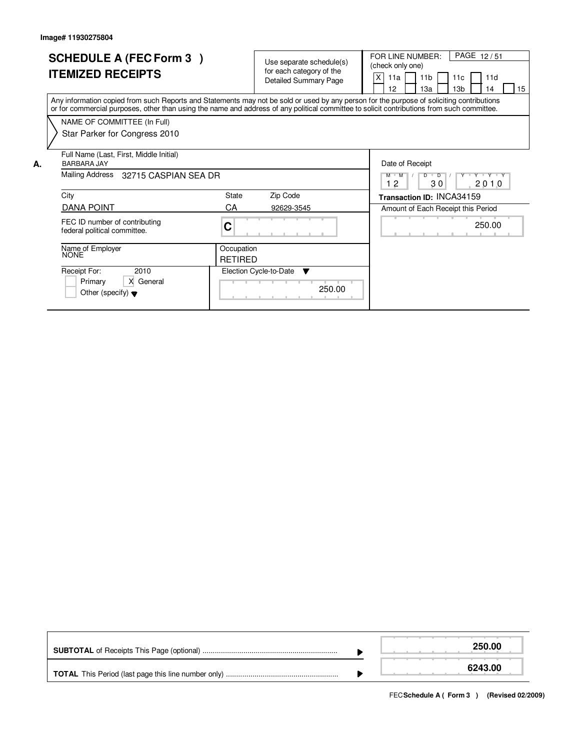|    | <b>SCHEDULE A (FEC Form 3)</b><br><b>ITEMIZED RECEIPTS</b>                                                                                                                                                                                                                              |                              | Use separate schedule(s)<br>for each category of the<br><b>Detailed Summary Page</b> |        | PAGE 12/51<br>FOR LINE NUMBER:<br>(check only one)<br>X<br>11 <sub>b</sub><br>11d<br>11a<br>11c<br>12 <sup>2</sup><br>1За<br>13 <sub>b</sub><br>15<br>14 |
|----|-----------------------------------------------------------------------------------------------------------------------------------------------------------------------------------------------------------------------------------------------------------------------------------------|------------------------------|--------------------------------------------------------------------------------------|--------|----------------------------------------------------------------------------------------------------------------------------------------------------------|
|    | Any information copied from such Reports and Statements may not be sold or used by any person for the purpose of soliciting contributions<br>or for commercial purposes, other than using the name and address of any political committee to solicit contributions from such committee. |                              |                                                                                      |        |                                                                                                                                                          |
|    | NAME OF COMMITTEE (In Full)                                                                                                                                                                                                                                                             |                              |                                                                                      |        |                                                                                                                                                          |
|    | Star Parker for Congress 2010                                                                                                                                                                                                                                                           |                              |                                                                                      |        |                                                                                                                                                          |
| А. | Full Name (Last, First, Middle Initial)<br><b>BARBARA JAY</b>                                                                                                                                                                                                                           |                              |                                                                                      |        | Date of Receipt                                                                                                                                          |
|    | Mailing Address 32715 CASPIAN SEA DR                                                                                                                                                                                                                                                    |                              |                                                                                      |        | Y Y Y Y Y<br>$D$ $D$<br>$M$ $M$<br>12<br>30<br>2010                                                                                                      |
|    | City                                                                                                                                                                                                                                                                                    | State                        | Zip Code                                                                             |        | Transaction ID: INCA34159                                                                                                                                |
|    | DANA POINT                                                                                                                                                                                                                                                                              | СA                           | 92629-3545                                                                           |        | Amount of Each Receipt this Period                                                                                                                       |
|    | FEC ID number of contributing<br>federal political committee.                                                                                                                                                                                                                           | C                            |                                                                                      |        | 250.00                                                                                                                                                   |
|    | Name of Employer<br>NONE                                                                                                                                                                                                                                                                | Occupation<br><b>RETIRED</b> |                                                                                      |        |                                                                                                                                                          |
|    | Receipt For:<br>2010                                                                                                                                                                                                                                                                    |                              | Election Cycle-to-Date<br>$\overline{\mathbf{v}}$                                    |        |                                                                                                                                                          |
|    | X General<br>Primary<br>Other (specify) $\blacktriangledown$                                                                                                                                                                                                                            |                              |                                                                                      | 250.00 |                                                                                                                                                          |

|  | 250.00  |
|--|---------|
|  | 6243.00 |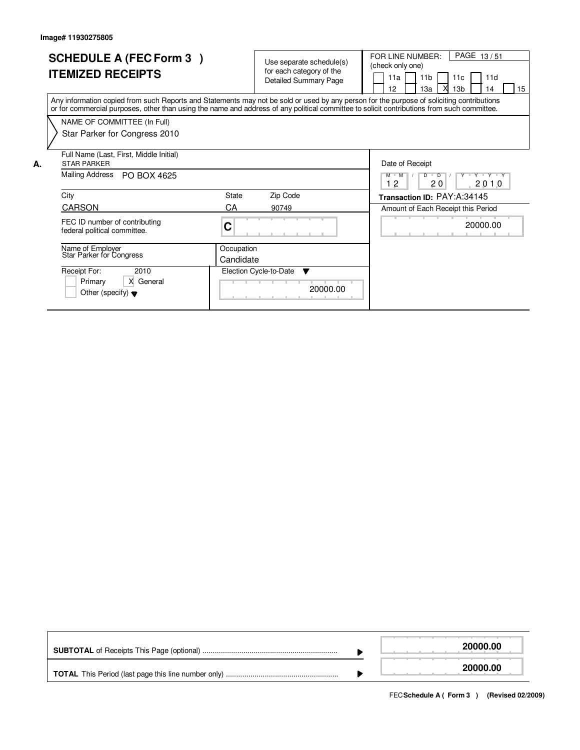|    | <b>SCHEDULE A (FEC Form 3)</b><br><b>ITEMIZED RECEIPTS</b>                                                                                                                                                                                                                              |                         | Use separate schedule(s)<br>for each category of the<br><b>Detailed Summary Page</b> | PAGE 13/51<br>FOR LINE NUMBER:<br>(check only one)<br>11 <sub>b</sub><br>11d<br>11a<br>11c<br>13 <sub>b</sub><br>12<br>15<br>13а<br>14 |
|----|-----------------------------------------------------------------------------------------------------------------------------------------------------------------------------------------------------------------------------------------------------------------------------------------|-------------------------|--------------------------------------------------------------------------------------|----------------------------------------------------------------------------------------------------------------------------------------|
|    | Any information copied from such Reports and Statements may not be sold or used by any person for the purpose of soliciting contributions<br>or for commercial purposes, other than using the name and address of any political committee to solicit contributions from such committee. |                         |                                                                                      |                                                                                                                                        |
|    | NAME OF COMMITTEE (In Full)                                                                                                                                                                                                                                                             |                         |                                                                                      |                                                                                                                                        |
|    | Star Parker for Congress 2010                                                                                                                                                                                                                                                           |                         |                                                                                      |                                                                                                                                        |
| А. | Full Name (Last, First, Middle Initial)<br><b>STAR PARKER</b>                                                                                                                                                                                                                           |                         |                                                                                      | Date of Receipt                                                                                                                        |
|    | Mailing Address<br>PO BOX 4625                                                                                                                                                                                                                                                          |                         |                                                                                      | $D$ $D$<br>Y Y Y Y Y<br>$M$ $M$<br>12<br>20<br>2010                                                                                    |
|    | City                                                                                                                                                                                                                                                                                    | State                   | Zip Code                                                                             | Transaction ID: PAY:A:34145                                                                                                            |
|    | <b>CARSON</b>                                                                                                                                                                                                                                                                           | СA                      | 90749                                                                                | Amount of Each Receipt this Period                                                                                                     |
|    | FEC ID number of contributing<br>federal political committee.                                                                                                                                                                                                                           | C                       |                                                                                      | 20000.00                                                                                                                               |
|    | Name of Employer<br>Star Parker for Congress                                                                                                                                                                                                                                            | Occupation<br>Candidate |                                                                                      |                                                                                                                                        |
|    | Receipt For:<br>2010<br>X General<br>Primary<br>Other (specify) $\blacktriangledown$                                                                                                                                                                                                    |                         | Election Cycle-to-Date $\blacktriangledown$<br>20000.00                              |                                                                                                                                        |

|  | 20000.00 |
|--|----------|
|  | 20000.00 |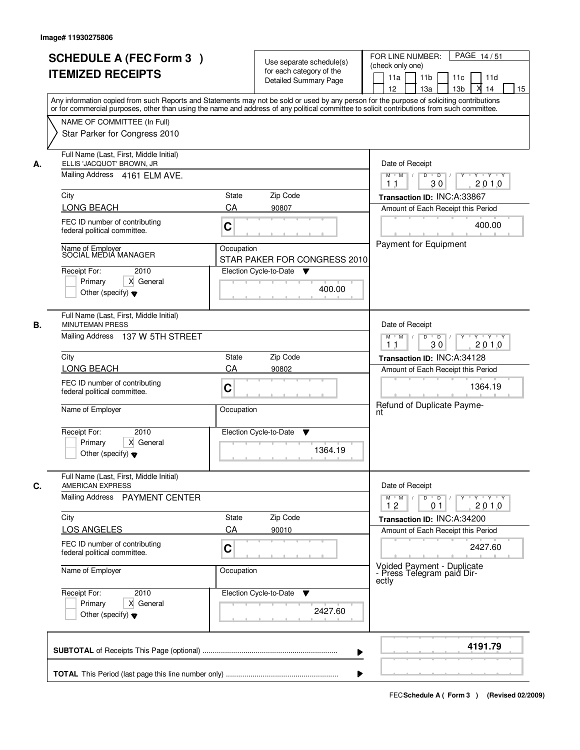|    | <b>SCHEDULE A (FEC Form 3)</b><br><b>ITEMIZED RECEIPTS</b><br>Any information copied from such Reports and Statements may not be sold or used by any person for the purpose of soliciting contributions    | Use separate schedule(s)<br>for each category of the<br><b>Detailed Summary Page</b> | PAGE 14/51<br>FOR LINE NUMBER:<br>(check only one)<br>11 <sub>b</sub><br>11a<br>11 <sub>c</sub><br>11d<br>х<br>13 <sub>b</sub><br>14<br>12<br>13a<br>15 |
|----|------------------------------------------------------------------------------------------------------------------------------------------------------------------------------------------------------------|--------------------------------------------------------------------------------------|---------------------------------------------------------------------------------------------------------------------------------------------------------|
|    | or for commercial purposes, other than using the name and address of any political committee to solicit contributions from such committee.<br>NAME OF COMMITTEE (In Full)<br>Star Parker for Congress 2010 |                                                                                      |                                                                                                                                                         |
| А. | Full Name (Last, First, Middle Initial)<br>ELLIS 'JACQUOT' BROWN, JR<br>Mailing Address 4161 ELM AVE.                                                                                                      |                                                                                      | Date of Receipt<br>$D$ $D$ $/$<br>$Y^+$<br>Y 'Y 'Y<br>$M$ $M$<br>30<br>2010<br>1 <sub>1</sub>                                                           |
|    | City                                                                                                                                                                                                       | <b>State</b><br>Zip Code                                                             | Transaction ID: INC:A:33867                                                                                                                             |
|    | LONG BEACH                                                                                                                                                                                                 | CA<br>90807                                                                          | Amount of Each Receipt this Period                                                                                                                      |
|    | FEC ID number of contributing<br>federal political committee.                                                                                                                                              | C                                                                                    | 400.00                                                                                                                                                  |
|    | Name of Employer<br>SOCIAL MEDIA MANAGER                                                                                                                                                                   | Occupation<br>STAR PAKER FOR CONGRESS 2010                                           | Payment for Equipment                                                                                                                                   |
|    | Receipt For:<br>2010                                                                                                                                                                                       | Election Cycle-to-Date<br>v                                                          |                                                                                                                                                         |
|    | Primary<br>X General<br>Other (specify) $\blacktriangledown$                                                                                                                                               | 400.00                                                                               |                                                                                                                                                         |
| В. | Full Name (Last, First, Middle Initial)<br><b>MINUTEMAN PRESS</b>                                                                                                                                          |                                                                                      | Date of Receipt                                                                                                                                         |
|    | Mailing Address 137 W 5TH STREET                                                                                                                                                                           |                                                                                      | $Y$ <sup>U</sup><br>Y 'Y 'Y<br>$M$ $M$ /<br>D<br>$\overline{D}$<br>30<br>2010<br>11                                                                     |
|    | City                                                                                                                                                                                                       | Zip Code<br>State                                                                    | Transaction ID: INC:A:34128                                                                                                                             |
|    | <b>LONG BEACH</b>                                                                                                                                                                                          | CA<br>90802                                                                          | Amount of Each Receipt this Period                                                                                                                      |
|    | FEC ID number of contributing<br>federal political committee.                                                                                                                                              | C                                                                                    | 1364.19<br>Refund of Duplicate Payme-                                                                                                                   |
|    | Name of Employer                                                                                                                                                                                           | Occupation                                                                           | nt                                                                                                                                                      |
|    | Receipt For:<br>2010                                                                                                                                                                                       | Election Cycle-to-Date<br>v                                                          |                                                                                                                                                         |
|    | Primary<br>X General<br>Other (specify) $\blacktriangledown$                                                                                                                                               | 1364.19                                                                              |                                                                                                                                                         |
| C. | Full Name (Last, First, Middle Initial)<br>AMERICAN EXPRESS                                                                                                                                                |                                                                                      | Date of Receipt                                                                                                                                         |
|    | Mailing Address PAYMENT CENTER                                                                                                                                                                             |                                                                                      | $M$ $M$<br>$D$ $D$ $/$<br>2010<br>12<br>01                                                                                                              |
|    | City                                                                                                                                                                                                       | Zip Code<br>State                                                                    | Transaction ID: INC:A:34200                                                                                                                             |
|    | <b>LOS ANGELES</b>                                                                                                                                                                                         | CA<br>90010                                                                          | Amount of Each Receipt this Period                                                                                                                      |
|    | FEC ID number of contributing<br>federal political committee.                                                                                                                                              | C                                                                                    | 2427.60                                                                                                                                                 |
|    | Name of Employer                                                                                                                                                                                           | Occupation                                                                           | Voided Payment - Duplicate<br>- Press Telegram paid Dir-<br>ectly                                                                                       |
|    | Receipt For:<br>2010                                                                                                                                                                                       | Election Cycle-to-Date ▼                                                             |                                                                                                                                                         |
|    | Primary<br>X General<br>Other (specify) $\blacktriangledown$                                                                                                                                               | 2427.60                                                                              |                                                                                                                                                         |
|    |                                                                                                                                                                                                            |                                                                                      | 4191.79                                                                                                                                                 |
|    |                                                                                                                                                                                                            |                                                                                      |                                                                                                                                                         |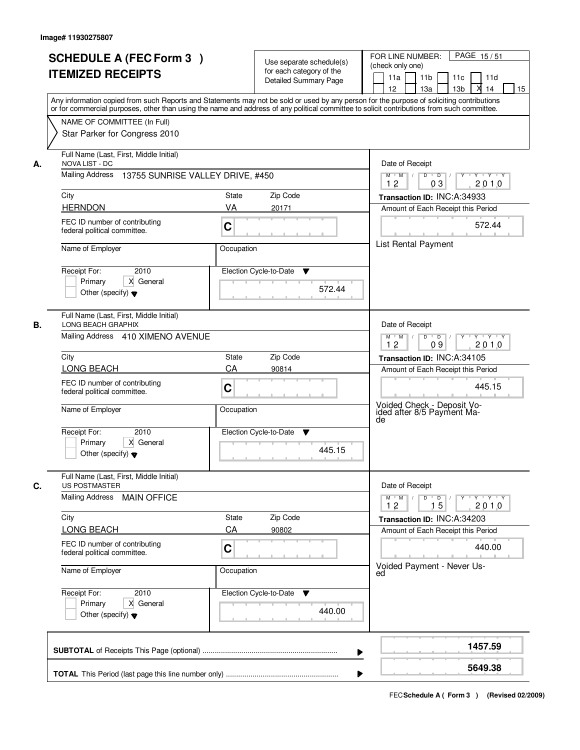|    | <b>SCHEDULE A (FEC Form 3)</b><br><b>ITEMIZED RECEIPTS</b><br>Any information copied from such Reports and Statements may not be sold or used by any person for the purpose of soliciting contributions<br>or for commercial purposes, other than using the name and address of any political committee to solicit contributions from such committee. |              | Use separate schedule(s)<br>for each category of the<br>Detailed Summary Page | PAGE 15/51<br>FOR LINE NUMBER:<br>(check only one)<br>11 <sub>b</sub><br>11a<br>11c<br>11d<br>13 <sub>b</sub><br>12 <sup>2</sup><br>13a<br>14<br>15                                                                                                                                                                                                                                                                                                                     |
|----|-------------------------------------------------------------------------------------------------------------------------------------------------------------------------------------------------------------------------------------------------------------------------------------------------------------------------------------------------------|--------------|-------------------------------------------------------------------------------|-------------------------------------------------------------------------------------------------------------------------------------------------------------------------------------------------------------------------------------------------------------------------------------------------------------------------------------------------------------------------------------------------------------------------------------------------------------------------|
|    | NAME OF COMMITTEE (In Full)<br>Star Parker for Congress 2010                                                                                                                                                                                                                                                                                          |              |                                                                               |                                                                                                                                                                                                                                                                                                                                                                                                                                                                         |
| А. | Full Name (Last, First, Middle Initial)<br>NOVA LIST - DC<br>Mailing Address 13755 SUNRISE VALLEY DRIVE, #450                                                                                                                                                                                                                                         |              |                                                                               | Date of Receipt<br>$\begin{array}{c c c c c c c c} \hline \textbf{0} & \textbf{0} & \textbf{0} & \textbf{0} & \textbf{0} & \textbf{0} & \textbf{0} & \textbf{0} & \textbf{0} & \textbf{0} & \textbf{0} & \textbf{0} & \textbf{0} & \textbf{0} & \textbf{0} & \textbf{0} & \textbf{0} & \textbf{0} & \textbf{0} & \textbf{0} & \textbf{0} & \textbf{0} & \textbf{0} & \textbf{0} & \textbf{0} & \textbf{0} & \textbf{0} & \textbf{0} &$<br>$M$ $M$ /<br>12<br>2010<br>03 |
|    | City<br><b>HERNDON</b>                                                                                                                                                                                                                                                                                                                                | State<br>VA  | Zip Code<br>20171                                                             | Transaction ID: INC:A:34933<br>Amount of Each Receipt this Period                                                                                                                                                                                                                                                                                                                                                                                                       |
|    | FEC ID number of contributing<br>federal political committee.                                                                                                                                                                                                                                                                                         | C            |                                                                               | 572.44                                                                                                                                                                                                                                                                                                                                                                                                                                                                  |
|    | Name of Employer                                                                                                                                                                                                                                                                                                                                      | Occupation   |                                                                               | List Rental Payment                                                                                                                                                                                                                                                                                                                                                                                                                                                     |
|    | 2010<br>Receipt For:<br>X General<br>Primary<br>Other (specify) $\blacktriangledown$                                                                                                                                                                                                                                                                  |              | Election Cycle-to-Date<br>▼<br>572.44                                         |                                                                                                                                                                                                                                                                                                                                                                                                                                                                         |
| В. | Full Name (Last, First, Middle Initial)<br>LONG BEACH GRAPHIX<br>Mailing Address 410 XIMENO AVENUE                                                                                                                                                                                                                                                    |              |                                                                               | Date of Receipt<br>$Y - Y - Y$<br>$M$ $M$ /<br>D<br>$\overline{D}$<br>2010<br>12<br>09                                                                                                                                                                                                                                                                                                                                                                                  |
|    | City                                                                                                                                                                                                                                                                                                                                                  | <b>State</b> | Zip Code                                                                      | Transaction ID: INC:A:34105                                                                                                                                                                                                                                                                                                                                                                                                                                             |
|    | LONG BEACH                                                                                                                                                                                                                                                                                                                                            | CA           | 90814                                                                         | Amount of Each Receipt this Period                                                                                                                                                                                                                                                                                                                                                                                                                                      |
|    | FEC ID number of contributing<br>federal political committee.                                                                                                                                                                                                                                                                                         | C            |                                                                               | 445.15                                                                                                                                                                                                                                                                                                                                                                                                                                                                  |
|    | Name of Employer                                                                                                                                                                                                                                                                                                                                      | Occupation   |                                                                               | Voided Check - Deposit Vo-<br>ided after 8/5 Payment Ma-<br>de                                                                                                                                                                                                                                                                                                                                                                                                          |
|    | Receipt For:<br>2010<br>Primary<br>X General                                                                                                                                                                                                                                                                                                          |              | Election Cycle-to-Date<br>v                                                   |                                                                                                                                                                                                                                                                                                                                                                                                                                                                         |
|    | Other (specify) $\blacktriangledown$                                                                                                                                                                                                                                                                                                                  |              | 445.15                                                                        |                                                                                                                                                                                                                                                                                                                                                                                                                                                                         |
| C. | Full Name (Last, First, Middle Initial)<br><b>US POSTMASTER</b>                                                                                                                                                                                                                                                                                       |              |                                                                               | Date of Receipt                                                                                                                                                                                                                                                                                                                                                                                                                                                         |
|    | <b>Mailing Address</b><br><b>MAIN OFFICE</b>                                                                                                                                                                                                                                                                                                          |              |                                                                               | $M = M$<br>$D$ $D$ $I$<br>$\begin{array}{c c c c c c} \hline & \mathsf{Y} & \mathsf{Y} & \mathsf{Y} & \mathsf{Y} & \mathsf{Y} & \mathsf{Y} \\\hline \end{array}$<br>2010<br>12<br>15                                                                                                                                                                                                                                                                                    |
|    | City                                                                                                                                                                                                                                                                                                                                                  | State        | Zip Code                                                                      | Transaction ID: INC:A:34203                                                                                                                                                                                                                                                                                                                                                                                                                                             |
|    | <b>LONG BEACH</b><br>FEC ID number of contributing<br>federal political committee.                                                                                                                                                                                                                                                                    | CA<br>C      | 90802                                                                         | Amount of Each Receipt this Period<br>440.00                                                                                                                                                                                                                                                                                                                                                                                                                            |
|    | Name of Employer                                                                                                                                                                                                                                                                                                                                      | Occupation   |                                                                               | Voided Payment - Never Us-<br>ed                                                                                                                                                                                                                                                                                                                                                                                                                                        |
|    | Receipt For:<br>2010<br>Primary<br>X General<br>Other (specify) $\blacktriangledown$                                                                                                                                                                                                                                                                  |              | Election Cycle-to-Date ▼<br>440.00                                            |                                                                                                                                                                                                                                                                                                                                                                                                                                                                         |
|    |                                                                                                                                                                                                                                                                                                                                                       |              | ▶                                                                             | 1457.59                                                                                                                                                                                                                                                                                                                                                                                                                                                                 |
|    |                                                                                                                                                                                                                                                                                                                                                       |              |                                                                               | 5649.38                                                                                                                                                                                                                                                                                                                                                                                                                                                                 |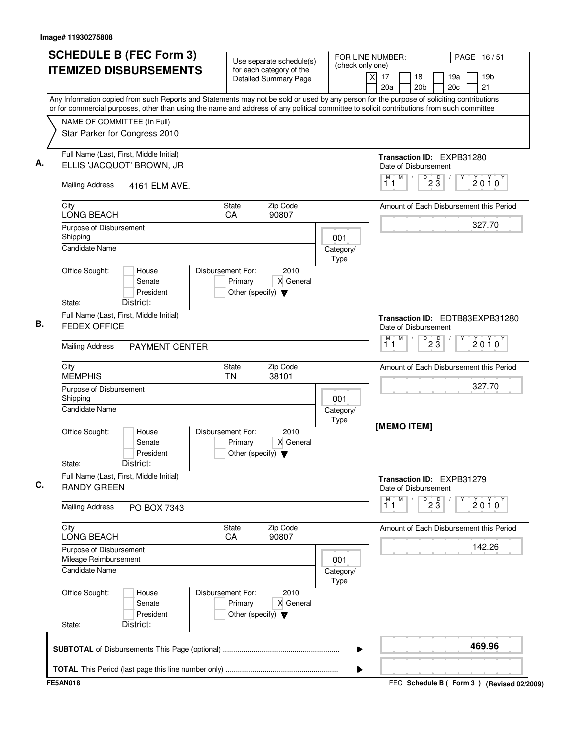| <b>SCHEDULE B (FEC Form 3)</b>                                                                                                                                                                                                                                                         | Use separate schedule(s)                                                                  | FOR LINE NUMBER:<br>(check only one) | PAGE 16/51                                                                                                       |
|----------------------------------------------------------------------------------------------------------------------------------------------------------------------------------------------------------------------------------------------------------------------------------------|-------------------------------------------------------------------------------------------|--------------------------------------|------------------------------------------------------------------------------------------------------------------|
| <b>ITEMIZED DISBURSEMENTS</b>                                                                                                                                                                                                                                                          | for each category of the<br><b>Detailed Summary Page</b>                                  |                                      | $\overline{\mathsf{x}}$<br>17<br>19a<br>19 <sub>b</sub><br>18<br>20a<br>20 <sub>b</sub><br>20 <sub>c</sub><br>21 |
| Any Information copied from such Reports and Statements may not be sold or used by any person for the purpose of soliciting contributions<br>or for commercial purposes, other than using the name and address of any political committee to solicit contributions from such committee |                                                                                           |                                      |                                                                                                                  |
| NAME OF COMMITTEE (In Full)                                                                                                                                                                                                                                                            |                                                                                           |                                      |                                                                                                                  |
| Star Parker for Congress 2010                                                                                                                                                                                                                                                          |                                                                                           |                                      |                                                                                                                  |
| Full Name (Last, First, Middle Initial)<br>ELLIS 'JACQUOT' BROWN, JR                                                                                                                                                                                                                   |                                                                                           |                                      | Transaction ID: EXPB31280<br>Date of Disbursement                                                                |
| <b>Mailing Address</b><br>4161 ELM AVE.                                                                                                                                                                                                                                                |                                                                                           |                                      | M<br>$\overline{P}$ 2 $\overline{3}$<br>M<br>$\prime$<br>$2010^y$<br>11                                          |
| City<br><b>LONG BEACH</b>                                                                                                                                                                                                                                                              | Zip Code<br><b>State</b><br>CA<br>90807                                                   |                                      | Amount of Each Disbursement this Period                                                                          |
| Purpose of Disbursement<br>Shipping                                                                                                                                                                                                                                                    |                                                                                           | 001                                  | 327.70                                                                                                           |
| <b>Candidate Name</b>                                                                                                                                                                                                                                                                  |                                                                                           | Category/<br>Type                    |                                                                                                                  |
| Office Sought:<br>House<br>Senate<br>President<br>District:<br>State:                                                                                                                                                                                                                  | Disbursement For:<br>2010<br>X General<br>Primary<br>Other (specify) $\blacktriangledown$ |                                      |                                                                                                                  |
| Full Name (Last, First, Middle Initial)<br><b>FEDEX OFFICE</b>                                                                                                                                                                                                                         |                                                                                           |                                      | Transaction ID: EDTB83EXPB31280<br>Date of Disbursement                                                          |
| <b>Mailing Address</b><br><b>PAYMENT CENTER</b>                                                                                                                                                                                                                                        |                                                                                           |                                      | M<br>M<br>D<br>$2\overline{3}$<br>$2010^y$<br>11                                                                 |
| City<br><b>MEMPHIS</b>                                                                                                                                                                                                                                                                 | Zip Code<br>State<br><b>TN</b><br>38101                                                   |                                      | Amount of Each Disbursement this Period                                                                          |
| Purpose of Disbursement<br>Shipping                                                                                                                                                                                                                                                    |                                                                                           | 001                                  | 327.70                                                                                                           |
| <b>Candidate Name</b>                                                                                                                                                                                                                                                                  |                                                                                           | Category/<br>Type                    |                                                                                                                  |
| Office Sought:<br>House<br>Senate<br>President<br>District:<br>State:                                                                                                                                                                                                                  | Disbursement For:<br>2010<br>X General<br>Primary<br>Other (specify) $\blacktriangledown$ |                                      | [MEMO ITEM]                                                                                                      |
| Full Name (Last, First, Middle Initial)<br><b>RANDY GREEN</b>                                                                                                                                                                                                                          |                                                                                           |                                      | Transaction ID: EXPB31279<br>Date of Disbursement                                                                |
| <b>Mailing Address</b><br>PO BOX 7343                                                                                                                                                                                                                                                  |                                                                                           |                                      | M<br>M<br>$D^D$ <sub>2</sub> $\overline{3}$<br>2010<br>11                                                        |
| City<br>LONG BEACH                                                                                                                                                                                                                                                                     | State<br>Zip Code<br>90807<br>CA                                                          |                                      | Amount of Each Disbursement this Period                                                                          |
| Purpose of Disbursement<br>Mileage Reimbursement                                                                                                                                                                                                                                       |                                                                                           | 001                                  | 142.26                                                                                                           |
| Candidate Name                                                                                                                                                                                                                                                                         |                                                                                           | Category/<br>Type                    |                                                                                                                  |
| Office Sought:<br>House<br>Senate<br>President                                                                                                                                                                                                                                         | 2010<br>Disbursement For:<br>Primary<br>X General<br>Other (specify) $\blacktriangledown$ |                                      |                                                                                                                  |
| District:<br>State:                                                                                                                                                                                                                                                                    |                                                                                           |                                      | 469.96                                                                                                           |
|                                                                                                                                                                                                                                                                                        |                                                                                           | ▶                                    |                                                                                                                  |
| <b>FE5AN018</b>                                                                                                                                                                                                                                                                        |                                                                                           | ▶                                    | FEC Schedule B ( Form 3 ) (Revised 02/2009)                                                                      |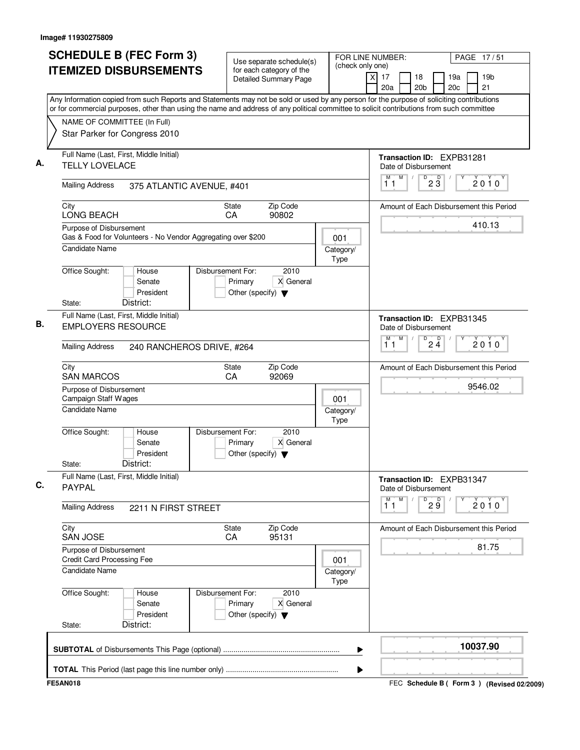| <b>SCHEDULE B (FEC Form 3)</b><br><b>ITEMIZED DISBURSEMENTS</b>                                                                                                                                                                                                                        | Use separate schedule(s)<br>for each category of the<br><b>Detailed Summary Page</b>      | FOR LINE NUMBER:<br>(check only one) | PAGE 17/51<br>19 <sub>b</sub><br>xl<br>17<br>18<br>19a<br>21<br>20a<br>20 <sub>b</sub><br>20c    |
|----------------------------------------------------------------------------------------------------------------------------------------------------------------------------------------------------------------------------------------------------------------------------------------|-------------------------------------------------------------------------------------------|--------------------------------------|--------------------------------------------------------------------------------------------------|
| Any Information copied from such Reports and Statements may not be sold or used by any person for the purpose of soliciting contributions<br>or for commercial purposes, other than using the name and address of any political committee to solicit contributions from such committee |                                                                                           |                                      |                                                                                                  |
| NAME OF COMMITTEE (In Full)<br>Star Parker for Congress 2010                                                                                                                                                                                                                           |                                                                                           |                                      |                                                                                                  |
| Full Name (Last, First, Middle Initial)<br>А.<br><b>TELLY LOVELACE</b>                                                                                                                                                                                                                 |                                                                                           |                                      | <b>Transaction ID: EXPB31281</b><br>Date of Disbursement<br>M<br>D<br>M<br>$\sqrt{2}$            |
| <b>Mailing Address</b><br>375 ATLANTIC AVENUE, #401                                                                                                                                                                                                                                    |                                                                                           |                                      | $2\sqrt{3}$<br>2010<br>11                                                                        |
| City<br><b>LONG BEACH</b>                                                                                                                                                                                                                                                              | Zip Code<br><b>State</b><br>CA<br>90802                                                   |                                      | Amount of Each Disbursement this Period                                                          |
| Purpose of Disbursement<br>Gas & Food for Volunteers - No Vendor Aggregating over \$200<br><b>Candidate Name</b>                                                                                                                                                                       |                                                                                           | 001                                  | 410.13                                                                                           |
| Office Sought:<br>House<br>Senate                                                                                                                                                                                                                                                      | Disbursement For:<br>2010<br>X General<br>Primary                                         | Category/<br>Type                    |                                                                                                  |
| President<br>District:<br>State:<br>Full Name (Last, First, Middle Initial)                                                                                                                                                                                                            | Other (specify) $\blacktriangledown$                                                      |                                      |                                                                                                  |
| <b>EMPLOYERS RESOURCE</b><br><b>Mailing Address</b><br>240 RANCHEROS DRIVE, #264                                                                                                                                                                                                       |                                                                                           |                                      | Transaction ID: EXPB31345<br>Date of Disbursement<br>M<br>M<br>D<br>$2\frac{D}{4}$<br>2010<br>11 |
| City<br><b>SAN MARCOS</b>                                                                                                                                                                                                                                                              | Zip Code<br><b>State</b><br>CA<br>92069                                                   |                                      | Amount of Each Disbursement this Period                                                          |
| Purpose of Disbursement<br>Campaign Staff Wages<br><b>Candidate Name</b>                                                                                                                                                                                                               |                                                                                           | 001<br>Category/<br>Type             | 9546.02                                                                                          |
| Office Sought:<br>House<br>Senate<br>President<br>District:<br>State:                                                                                                                                                                                                                  | 2010<br>Disbursement For:<br>X General<br>Primary<br>Other (specify) $\blacktriangledown$ |                                      |                                                                                                  |
| Full Name (Last, First, Middle Initial)<br><b>PAYPAL</b>                                                                                                                                                                                                                               |                                                                                           |                                      | Transaction ID: EXPB31347<br>Date of Disbursement                                                |
| <b>Mailing Address</b><br>2211 N FIRST STREET                                                                                                                                                                                                                                          |                                                                                           |                                      | M<br>M<br>D<br>29<br>$2010^{\circ}$<br>11                                                        |
| City<br><b>SAN JOSE</b>                                                                                                                                                                                                                                                                | Zip Code<br><b>State</b><br>95131<br>CA                                                   |                                      | Amount of Each Disbursement this Period                                                          |
| Purpose of Disbursement<br><b>Credit Card Processing Fee</b><br>Candidate Name                                                                                                                                                                                                         |                                                                                           | 001                                  | 81.75                                                                                            |
| Office Sought:<br>House                                                                                                                                                                                                                                                                | Disbursement For:<br>2010                                                                 | Category/<br>Type                    |                                                                                                  |
| Senate<br>President<br>District:<br>State:                                                                                                                                                                                                                                             | X General<br>Primary<br>Other (specify) $\blacktriangledown$                              |                                      |                                                                                                  |
|                                                                                                                                                                                                                                                                                        |                                                                                           | ▶                                    | 10037.90                                                                                         |
|                                                                                                                                                                                                                                                                                        |                                                                                           | ▶                                    |                                                                                                  |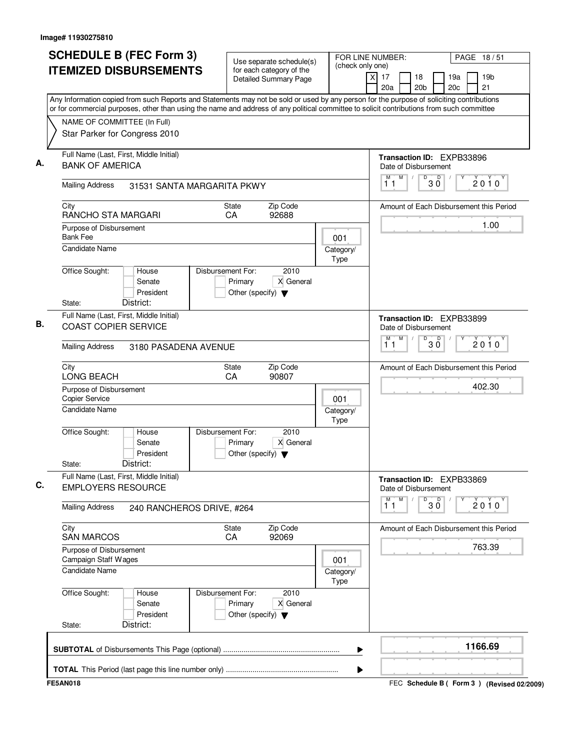| <b>SCHEDULE B (FEC Form 3)</b><br><b>ITEMIZED DISBURSEMENTS</b>                                                                                                                                                                                                                                                       |                                           | Use separate schedule(s)<br>for each category of the<br><b>Detailed Summary Page</b>      |                          | FOR LINE NUMBER:<br>(check only one)<br>xl<br>17<br>18<br>20a<br>20 <sub>b</sub>       | PAGE 18/51<br>19 <sub>b</sub><br>19a<br>20c<br>21 |
|-----------------------------------------------------------------------------------------------------------------------------------------------------------------------------------------------------------------------------------------------------------------------------------------------------------------------|-------------------------------------------|-------------------------------------------------------------------------------------------|--------------------------|----------------------------------------------------------------------------------------|---------------------------------------------------|
| Any Information copied from such Reports and Statements may not be sold or used by any person for the purpose of soliciting contributions<br>or for commercial purposes, other than using the name and address of any political committee to solicit contributions from such committee<br>NAME OF COMMITTEE (In Full) |                                           |                                                                                           |                          |                                                                                        |                                                   |
| Star Parker for Congress 2010                                                                                                                                                                                                                                                                                         |                                           |                                                                                           |                          |                                                                                        |                                                   |
| Full Name (Last, First, Middle Initial)<br><b>BANK OF AMERICA</b>                                                                                                                                                                                                                                                     |                                           |                                                                                           |                          | <b>Transaction ID: EXPB33896</b><br>Date of Disbursement                               |                                                   |
| <b>Mailing Address</b>                                                                                                                                                                                                                                                                                                | 31531 SANTA MARGARITA PKWY                |                                                                                           |                          | M<br>D<br>$30^{\circ}$<br>М<br>11                                                      | $2010^y$                                          |
| City<br>RANCHO STA MARGARI                                                                                                                                                                                                                                                                                            |                                           | Zip Code<br><b>State</b><br>CA<br>92688                                                   |                          |                                                                                        | Amount of Each Disbursement this Period           |
| Purpose of Disbursement<br><b>Bank Fee</b><br><b>Candidate Name</b>                                                                                                                                                                                                                                                   |                                           |                                                                                           | 001<br>Category/         |                                                                                        | 1.00                                              |
| Office Sought:<br>State:                                                                                                                                                                                                                                                                                              | House<br>Senate<br>President<br>District: | Disbursement For:<br>2010<br>X General<br>Primary<br>Other (specify) $\blacktriangledown$ | Type                     |                                                                                        |                                                   |
| Full Name (Last, First, Middle Initial)<br><b>COAST COPIER SERVICE</b>                                                                                                                                                                                                                                                |                                           |                                                                                           |                          | Transaction ID: EXPB33899<br>Date of Disbursement<br>M<br>D<br>M<br>$30^{\circ}$<br>11 | 2010                                              |
| <b>Mailing Address</b>                                                                                                                                                                                                                                                                                                | 3180 PASADENA AVENUE                      |                                                                                           |                          |                                                                                        |                                                   |
| City<br>LONG BEACH                                                                                                                                                                                                                                                                                                    |                                           | Zip Code<br><b>State</b><br>CA<br>90807                                                   |                          |                                                                                        | Amount of Each Disbursement this Period           |
| Purpose of Disbursement<br><b>Copier Service</b><br>Candidate Name                                                                                                                                                                                                                                                    |                                           |                                                                                           | 001<br>Category/<br>Type |                                                                                        | 402.30                                            |
| Office Sought:<br>State:                                                                                                                                                                                                                                                                                              | House<br>Senate<br>President<br>District: | 2010<br>Disbursement For:<br>X General<br>Primary<br>Other (specify) $\blacktriangledown$ |                          |                                                                                        |                                                   |
| Full Name (Last, First, Middle Initial)<br><b>EMPLOYERS RESOURCE</b>                                                                                                                                                                                                                                                  |                                           |                                                                                           |                          | Transaction ID: EXPB33869<br>Date of Disbursement                                      |                                                   |
| <b>Mailing Address</b>                                                                                                                                                                                                                                                                                                | 240 RANCHEROS DRIVE, #264                 |                                                                                           |                          | M<br>M<br>D<br>$30^{\circ}$<br>11                                                      | Υ<br>$2010^y$                                     |
| City<br><b>SAN MARCOS</b>                                                                                                                                                                                                                                                                                             |                                           | Zip Code<br><b>State</b><br>92069<br>CA                                                   |                          |                                                                                        | Amount of Each Disbursement this Period           |
| Purpose of Disbursement<br>Campaign Staff Wages<br><b>Candidate Name</b>                                                                                                                                                                                                                                              |                                           |                                                                                           | 001<br>Category/         |                                                                                        | 763.39                                            |
| Office Sought:<br>State:                                                                                                                                                                                                                                                                                              | House<br>Senate<br>President<br>District: | Disbursement For:<br>2010<br>X General<br>Primary<br>Other (specify) $\blacktriangledown$ | Type                     |                                                                                        |                                                   |
|                                                                                                                                                                                                                                                                                                                       |                                           |                                                                                           |                          |                                                                                        | 1166.69                                           |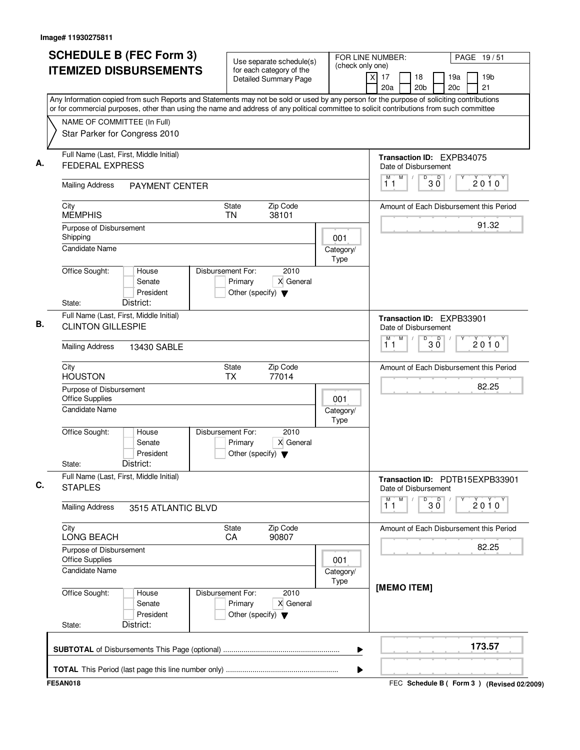| <b>SCHEDULE B (FEC Form 3)</b><br><b>ITEMIZED DISBURSEMENTS</b>                                                                                                                                                                                                                        | Use separate schedule(s)<br>for each category of the                                      | FOR LINE NUMBER:<br>(check only one) |                                                               | PAGE 19/51                                      |
|----------------------------------------------------------------------------------------------------------------------------------------------------------------------------------------------------------------------------------------------------------------------------------------|-------------------------------------------------------------------------------------------|--------------------------------------|---------------------------------------------------------------|-------------------------------------------------|
|                                                                                                                                                                                                                                                                                        | <b>Detailed Summary Page</b>                                                              |                                      | $\overline{\mathsf{x}}$<br>17<br>18<br>20a<br>20 <sub>b</sub> | 19a<br>19 <sub>b</sub><br>21<br>20 <sub>c</sub> |
| Any Information copied from such Reports and Statements may not be sold or used by any person for the purpose of soliciting contributions<br>or for commercial purposes, other than using the name and address of any political committee to solicit contributions from such committee |                                                                                           |                                      |                                                               |                                                 |
| NAME OF COMMITTEE (In Full)                                                                                                                                                                                                                                                            |                                                                                           |                                      |                                                               |                                                 |
| Star Parker for Congress 2010                                                                                                                                                                                                                                                          |                                                                                           |                                      |                                                               |                                                 |
| Full Name (Last, First, Middle Initial)<br><b>FEDERAL EXPRESS</b>                                                                                                                                                                                                                      |                                                                                           |                                      | Transaction ID: EXPB34075<br>Date of Disbursement             |                                                 |
| <b>Mailing Address</b><br><b>PAYMENT CENTER</b>                                                                                                                                                                                                                                        |                                                                                           |                                      | M<br>$\sqrt{2}$<br>D<br>D<br>М<br>ЗŎ<br>11                    | 2010                                            |
| City<br><b>MEMPHIS</b>                                                                                                                                                                                                                                                                 | Zip Code<br>State<br>38101<br><b>TN</b>                                                   |                                      |                                                               | Amount of Each Disbursement this Period         |
| Purpose of Disbursement                                                                                                                                                                                                                                                                |                                                                                           |                                      |                                                               | 91.32                                           |
| Shipping<br>Candidate Name                                                                                                                                                                                                                                                             |                                                                                           | 001<br>Category/<br>Type             |                                                               |                                                 |
| Office Sought:<br>House<br>Senate<br>President<br>District:<br>State:                                                                                                                                                                                                                  | Disbursement For:<br>2010<br>Primary<br>X General<br>Other (specify) $\blacktriangledown$ |                                      |                                                               |                                                 |
| Full Name (Last, First, Middle Initial)                                                                                                                                                                                                                                                |                                                                                           |                                      |                                                               |                                                 |
| <b>CLINTON GILLESPIE</b>                                                                                                                                                                                                                                                               |                                                                                           |                                      | Transaction ID: EXPB33901<br>Date of Disbursement<br>M<br>М   |                                                 |
| <b>Mailing Address</b><br>13430 SABLE                                                                                                                                                                                                                                                  |                                                                                           |                                      | $D$ <sub>3</sub> $0$<br>11                                    | $2010^y$                                        |
| City<br><b>HOUSTON</b>                                                                                                                                                                                                                                                                 | Zip Code<br>State<br>77014<br>TX                                                          |                                      |                                                               | Amount of Each Disbursement this Period         |
| Purpose of Disbursement<br><b>Office Supplies</b>                                                                                                                                                                                                                                      |                                                                                           | 001                                  |                                                               | 82.25                                           |
| Candidate Name                                                                                                                                                                                                                                                                         |                                                                                           | Category/<br>Type                    |                                                               |                                                 |
| Office Sought:<br>House<br>Senate<br>President<br>District:<br>State:                                                                                                                                                                                                                  | Disbursement For:<br>2010<br>X General<br>Primary<br>Other (specify) $\blacktriangledown$ |                                      |                                                               |                                                 |
| Full Name (Last, First, Middle Initial)<br><b>STAPLES</b>                                                                                                                                                                                                                              |                                                                                           |                                      | Date of Disbursement                                          | Transaction ID: PDTB15EXPB33901                 |
| <b>Mailing Address</b><br>3515 ATLANTIC BLVD                                                                                                                                                                                                                                           |                                                                                           |                                      | $\overline{1}^M$<br>M<br>$\overline{30}$                      | $2010^y$                                        |
| City<br>LONG BEACH                                                                                                                                                                                                                                                                     | State<br>Zip Code<br>90807<br>CA                                                          |                                      |                                                               | Amount of Each Disbursement this Period         |
| Purpose of Disbursement<br><b>Office Supplies</b>                                                                                                                                                                                                                                      |                                                                                           | 001                                  |                                                               | 82.25                                           |
| Candidate Name                                                                                                                                                                                                                                                                         |                                                                                           | Category/<br>Type                    |                                                               |                                                 |
| Office Sought:<br>House<br>Senate<br>President<br>District:<br>State:                                                                                                                                                                                                                  | Disbursement For:<br>2010<br>Primary<br>X General<br>Other (specify) $\blacktriangledown$ |                                      | [MEMO ITEM]                                                   |                                                 |
|                                                                                                                                                                                                                                                                                        |                                                                                           | ▶                                    |                                                               | 173.57                                          |
|                                                                                                                                                                                                                                                                                        |                                                                                           | ▶                                    |                                                               |                                                 |
| <b>FE5AN018</b>                                                                                                                                                                                                                                                                        |                                                                                           |                                      |                                                               | FEC Schedule B ( Form 3 ) (Revised 02/2009)     |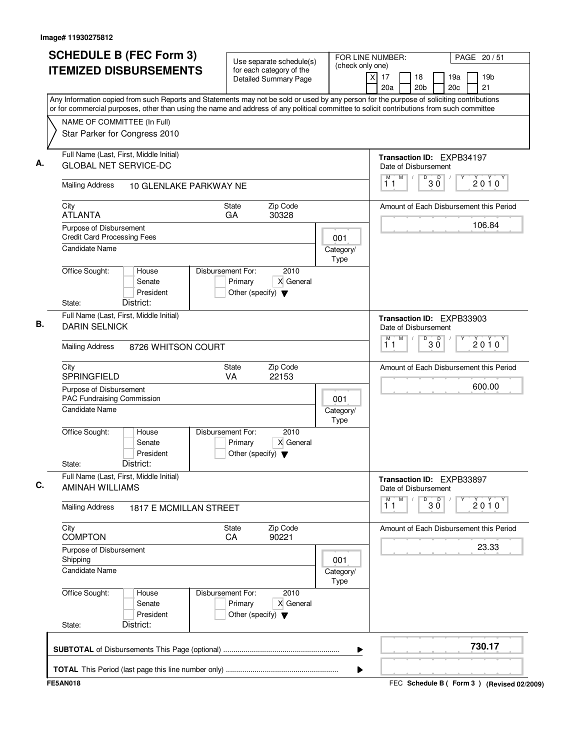| <b>SCHEDULE B (FEC Form 3)</b>                                                                                                                                                                                                                                                         | Use separate schedule(s)                                                                  | FOR LINE NUMBER:                   |                                             | PAGE 20/51                                      |
|----------------------------------------------------------------------------------------------------------------------------------------------------------------------------------------------------------------------------------------------------------------------------------------|-------------------------------------------------------------------------------------------|------------------------------------|---------------------------------------------|-------------------------------------------------|
| <b>ITEMIZED DISBURSEMENTS</b>                                                                                                                                                                                                                                                          | for each category of the<br><b>Detailed Summary Page</b>                                  | (check only one)<br>$\overline{x}$ | 17<br>18<br>20a<br>20 <sub>b</sub>          | 19 <sub>b</sub><br>19a<br>21<br>20 <sub>c</sub> |
| Any Information copied from such Reports and Statements may not be sold or used by any person for the purpose of soliciting contributions<br>or for commercial purposes, other than using the name and address of any political committee to solicit contributions from such committee |                                                                                           |                                    |                                             |                                                 |
| NAME OF COMMITTEE (In Full)<br>Star Parker for Congress 2010                                                                                                                                                                                                                           |                                                                                           |                                    |                                             |                                                 |
| Full Name (Last, First, Middle Initial)<br><b>GLOBAL NET SERVICE-DC</b>                                                                                                                                                                                                                |                                                                                           |                                    | Date of Disbursement<br>M<br>$\overline{D}$ | <b>Transaction ID: EXPB34197</b>                |
| <b>Mailing Address</b><br><b>10 GLENLAKE PARKWAY NE</b>                                                                                                                                                                                                                                |                                                                                           |                                    | М<br>$\sqrt{2}$<br>11                       | D<br>2010<br>3 Ŏ                                |
| City<br><b>ATLANTA</b>                                                                                                                                                                                                                                                                 | Zip Code<br><b>State</b><br>GA<br>30328                                                   |                                    |                                             | Amount of Each Disbursement this Period         |
| Purpose of Disbursement<br><b>Credit Card Processing Fees</b><br><b>Candidate Name</b>                                                                                                                                                                                                 |                                                                                           | 001                                |                                             | 106.84                                          |
|                                                                                                                                                                                                                                                                                        |                                                                                           | Category/<br>Type                  |                                             |                                                 |
| Office Sought:<br>House<br>Senate<br>President<br>District:<br>State:                                                                                                                                                                                                                  | Disbursement For:<br>2010<br>X General<br>Primary<br>Other (specify) $\blacktriangledown$ |                                    |                                             |                                                 |
| Full Name (Last, First, Middle Initial)<br><b>DARIN SELNICK</b>                                                                                                                                                                                                                        |                                                                                           |                                    | Date of Disbursement                        | Transaction ID: EXPB33903                       |
| <b>Mailing Address</b><br>8726 WHITSON COURT                                                                                                                                                                                                                                           |                                                                                           |                                    | M<br>м<br>D<br>11                           | $30^{\circ}$<br>2010                            |
| City<br>SPRINGFIELD                                                                                                                                                                                                                                                                    | Zip Code<br>State<br>VA<br>22153                                                          |                                    |                                             | Amount of Each Disbursement this Period         |
| Purpose of Disbursement<br>PAC Fundraising Commission<br>001                                                                                                                                                                                                                           |                                                                                           |                                    |                                             | 600.00                                          |
| Candidate Name                                                                                                                                                                                                                                                                         |                                                                                           | Category/<br>Type                  |                                             |                                                 |
| Office Sought:<br>House<br>Senate<br>President<br>District:<br>State:                                                                                                                                                                                                                  | Disbursement For:<br>2010<br>X General<br>Primary<br>Other (specify) $\blacktriangledown$ |                                    |                                             |                                                 |
| Full Name (Last, First, Middle Initial)<br>AMINAH WILLIAMS                                                                                                                                                                                                                             |                                                                                           |                                    | Date of Disbursement                        | Transaction ID: EXPB33897                       |
| <b>Mailing Address</b><br>1817 E MCMILLAN STREET                                                                                                                                                                                                                                       |                                                                                           |                                    | M<br>м<br>11                                | $30^{\circ}$<br>2010                            |
| City<br><b>COMPTON</b>                                                                                                                                                                                                                                                                 | Zip Code<br>State<br>90221<br>CA                                                          |                                    |                                             | Amount of Each Disbursement this Period         |
| Purpose of Disbursement<br>Shipping                                                                                                                                                                                                                                                    |                                                                                           | 001                                |                                             | 23.33                                           |
| <b>Candidate Name</b>                                                                                                                                                                                                                                                                  |                                                                                           | Category/<br>Type                  |                                             |                                                 |
| Office Sought:<br>House<br>Senate<br>President<br>District:<br>State:                                                                                                                                                                                                                  | Disbursement For:<br>2010<br>X General<br>Primary<br>Other (specify) $\blacktriangledown$ |                                    |                                             |                                                 |
|                                                                                                                                                                                                                                                                                        |                                                                                           | ▶                                  |                                             | 730.17                                          |
|                                                                                                                                                                                                                                                                                        |                                                                                           | ▶                                  |                                             |                                                 |
| <b>FE5AN018</b>                                                                                                                                                                                                                                                                        |                                                                                           |                                    |                                             | FEC Schedule B ( Form 3 ) (Revised 02/2009)     |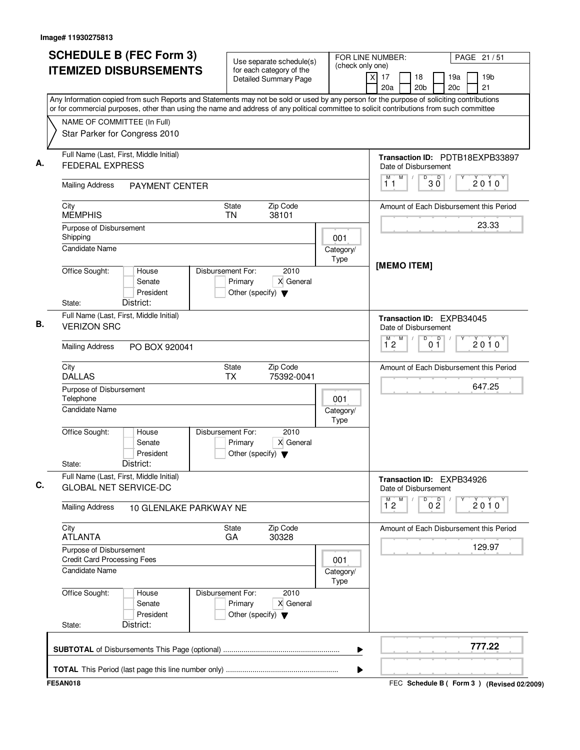| <b>SCHEDULE B (FEC Form 3)</b><br><b>ITEMIZED DISBURSEMENTS</b>                                                                                                                                                                                                                        | Use separate schedule(s)<br>for each category of the                                      | (check only one)  | FOR LINE NUMBER:<br>PAGE 21 / 51                                                |
|----------------------------------------------------------------------------------------------------------------------------------------------------------------------------------------------------------------------------------------------------------------------------------------|-------------------------------------------------------------------------------------------|-------------------|---------------------------------------------------------------------------------|
|                                                                                                                                                                                                                                                                                        | <b>Detailed Summary Page</b>                                                              |                   | 19 <sub>b</sub><br>xl<br>17<br>18<br>19a<br>20 <sub>b</sub><br>20c<br>21<br>20a |
| Any Information copied from such Reports and Statements may not be sold or used by any person for the purpose of soliciting contributions<br>or for commercial purposes, other than using the name and address of any political committee to solicit contributions from such committee |                                                                                           |                   |                                                                                 |
| NAME OF COMMITTEE (In Full)                                                                                                                                                                                                                                                            |                                                                                           |                   |                                                                                 |
| Star Parker for Congress 2010                                                                                                                                                                                                                                                          |                                                                                           |                   |                                                                                 |
| Full Name (Last, First, Middle Initial)<br><b>FEDERAL EXPRESS</b>                                                                                                                                                                                                                      |                                                                                           |                   | Transaction ID: PDTB18EXPB33897<br>Date of Disbursement                         |
| <b>Mailing Address</b><br><b>PAYMENT CENTER</b>                                                                                                                                                                                                                                        |                                                                                           |                   | M<br>D<br>$\sqrt{ }$<br>D<br>M<br>2010<br>3 Ŏ<br>11                             |
| City<br><b>MEMPHIS</b>                                                                                                                                                                                                                                                                 | Zip Code<br><b>State</b><br><b>TN</b><br>38101                                            |                   | Amount of Each Disbursement this Period                                         |
| Purpose of Disbursement<br>Shipping                                                                                                                                                                                                                                                    |                                                                                           | 001               | 23.33                                                                           |
| <b>Candidate Name</b>                                                                                                                                                                                                                                                                  |                                                                                           | Category/<br>Type | [MEMO ITEM]                                                                     |
| Office Sought:<br>House<br>Senate<br>President                                                                                                                                                                                                                                         | Disbursement For:<br>2010<br>X General<br>Primary<br>Other (specify) $\blacktriangledown$ |                   |                                                                                 |
| District:<br>State:                                                                                                                                                                                                                                                                    |                                                                                           |                   |                                                                                 |
| Full Name (Last, First, Middle Initial)<br><b>VERIZON SRC</b>                                                                                                                                                                                                                          |                                                                                           |                   | Transaction ID: EXPB34045<br>Date of Disbursement<br>D                          |
| <b>Mailing Address</b><br>PO BOX 920041                                                                                                                                                                                                                                                |                                                                                           |                   | M<br>0 <sup>0</sup><br>М<br>$2010^y$<br>$1^{\circ}2$                            |
| City<br><b>DALLAS</b>                                                                                                                                                                                                                                                                  | Zip Code<br>State<br>ТX<br>75392-0041                                                     |                   | Amount of Each Disbursement this Period                                         |
| Purpose of Disbursement<br>Telephone                                                                                                                                                                                                                                                   |                                                                                           | 001               | 647.25                                                                          |
| Candidate Name                                                                                                                                                                                                                                                                         |                                                                                           | Category/<br>Type |                                                                                 |
| Office Sought:<br>House<br>Senate<br>President                                                                                                                                                                                                                                         | Disbursement For:<br>2010<br>X General<br>Primary<br>Other (specify) $\blacktriangledown$ |                   |                                                                                 |
| District:<br>State:<br>Full Name (Last, First, Middle Initial)                                                                                                                                                                                                                         |                                                                                           |                   |                                                                                 |
| <b>GLOBAL NET SERVICE-DC</b>                                                                                                                                                                                                                                                           |                                                                                           |                   | Transaction ID: EXPB34926<br>Date of Disbursement<br>M<br>D                     |
| <b>Mailing Address</b><br><b>10 GLENLAKE PARKWAY NE</b>                                                                                                                                                                                                                                |                                                                                           |                   | 0 <sup>0</sup><br>$\overline{1}^M$ 2<br>$2010^y$                                |
| City<br><b>ATLANTA</b>                                                                                                                                                                                                                                                                 | Zip Code<br>State<br>GA<br>30328                                                          |                   | Amount of Each Disbursement this Period                                         |
| Purpose of Disbursement<br><b>Credit Card Processing Fees</b>                                                                                                                                                                                                                          |                                                                                           | 001               | 129.97                                                                          |
| Candidate Name                                                                                                                                                                                                                                                                         |                                                                                           | Category/<br>Type |                                                                                 |
| Office Sought:<br>House<br>Senate<br>President                                                                                                                                                                                                                                         | Disbursement For:<br>2010<br>X General<br>Primary<br>Other (specify) $\blacktriangledown$ |                   |                                                                                 |
| District:<br>State:                                                                                                                                                                                                                                                                    |                                                                                           |                   |                                                                                 |
|                                                                                                                                                                                                                                                                                        |                                                                                           | ▶                 | 777.22                                                                          |
|                                                                                                                                                                                                                                                                                        |                                                                                           |                   |                                                                                 |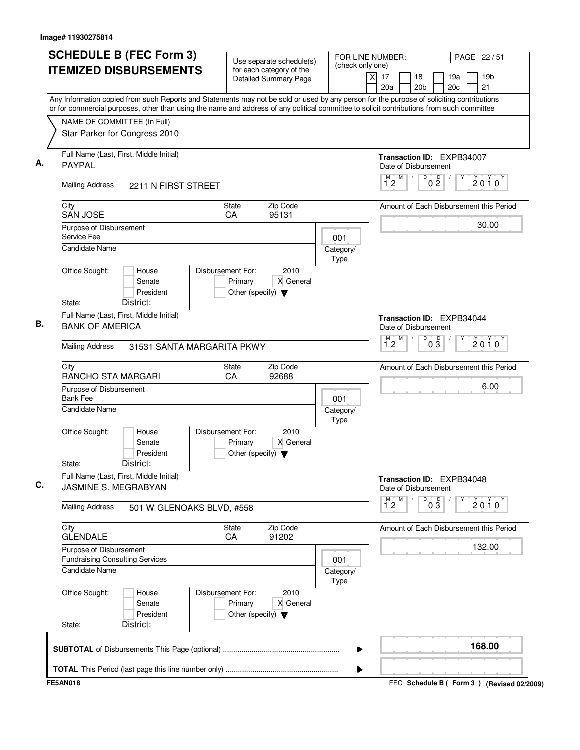| <b>SCHEDULE B (FEC Form 3)</b><br><b>ITEMIZED DISBURSEMENTS</b>                                                                                                                                                                                                                                                                                        | Use separate schedule(s)<br>for each category of the<br><b>Detailed Summary Page</b>      | FOR LINE NUMBER:<br>(check only one) | PAGE 22 / 51<br>19 <sub>b</sub><br>xl<br>17<br>18<br>19a<br>20c<br>21<br>20a<br>20 <sub>b</sub>        |
|--------------------------------------------------------------------------------------------------------------------------------------------------------------------------------------------------------------------------------------------------------------------------------------------------------------------------------------------------------|-------------------------------------------------------------------------------------------|--------------------------------------|--------------------------------------------------------------------------------------------------------|
| Any Information copied from such Reports and Statements may not be sold or used by any person for the purpose of soliciting contributions<br>or for commercial purposes, other than using the name and address of any political committee to solicit contributions from such committee<br>NAME OF COMMITTEE (In Full)<br>Star Parker for Congress 2010 |                                                                                           |                                      |                                                                                                        |
| Full Name (Last, First, Middle Initial)<br>А.<br><b>PAYPAL</b>                                                                                                                                                                                                                                                                                         |                                                                                           |                                      | Transaction ID: EXPB34007<br>Date of Disbursement                                                      |
| <b>Mailing Address</b><br>2211 N FIRST STREET                                                                                                                                                                                                                                                                                                          |                                                                                           |                                      | M<br>D<br>0 <sup>D</sup><br>М<br>$2010^y$<br>$1^{\circ}2$                                              |
| City<br><b>SAN JOSE</b>                                                                                                                                                                                                                                                                                                                                | Zip Code<br><b>State</b><br>CA<br>95131                                                   |                                      | Amount of Each Disbursement this Period                                                                |
| Purpose of Disbursement<br>Service Fee<br><b>Candidate Name</b>                                                                                                                                                                                                                                                                                        |                                                                                           | 001<br>Category/<br>Type             | 30.00                                                                                                  |
| Office Sought:<br>House<br>Senate<br>President<br>District:<br>State:                                                                                                                                                                                                                                                                                  | Disbursement For:<br>2010<br>X General<br>Primary<br>Other (specify) $\blacktriangledown$ |                                      |                                                                                                        |
| Full Name (Last, First, Middle Initial)<br><b>BANK OF AMERICA</b>                                                                                                                                                                                                                                                                                      |                                                                                           |                                      | Transaction ID: EXPB34044<br>Date of Disbursement<br>M<br>D<br>$0\overline{3}$<br>2010<br>$1^{\circ}2$ |
| <b>Mailing Address</b><br>31531 SANTA MARGARITA PKWY                                                                                                                                                                                                                                                                                                   |                                                                                           |                                      |                                                                                                        |
| City<br>RANCHO STA MARGARI                                                                                                                                                                                                                                                                                                                             | Zip Code<br>State<br>CA<br>92688                                                          |                                      | Amount of Each Disbursement this Period                                                                |
| Purpose of Disbursement<br><b>Bank Fee</b><br><b>Candidate Name</b>                                                                                                                                                                                                                                                                                    |                                                                                           | 001<br>Category/<br>Type             | 6.00                                                                                                   |
| Office Sought:<br>House<br>Senate<br>President<br>District:<br>State:                                                                                                                                                                                                                                                                                  | 2010<br>Disbursement For:<br>X General<br>Primary<br>Other (specify) $\blacktriangledown$ |                                      |                                                                                                        |
| Full Name (Last, First, Middle Initial)<br><b>JASMINE S. MEGRABYAN</b>                                                                                                                                                                                                                                                                                 |                                                                                           |                                      | Transaction ID: EXPB34048<br>Date of Disbursement<br>M<br>D                                            |
| <b>Mailing Address</b><br>501 W GLENOAKS BLVD, #558                                                                                                                                                                                                                                                                                                    |                                                                                           |                                      | $0\frac{D}{3}$<br>M<br>Υ<br>$2010^y$<br>12                                                             |
| City<br><b>GLENDALE</b>                                                                                                                                                                                                                                                                                                                                | Zip Code<br><b>State</b><br>91202<br>CA                                                   |                                      | Amount of Each Disbursement this Period                                                                |
| Purpose of Disbursement<br><b>Fundraising Consulting Services</b><br>Candidate Name                                                                                                                                                                                                                                                                    |                                                                                           | 001<br>Category/<br>Type             | 132.00                                                                                                 |
| Office Sought:<br>House<br>Senate<br>President<br>District:<br>State:                                                                                                                                                                                                                                                                                  | Disbursement For:<br>2010<br>X General<br>Primary<br>Other (specify) $\blacktriangledown$ |                                      |                                                                                                        |
|                                                                                                                                                                                                                                                                                                                                                        |                                                                                           | ▶                                    | 168.00                                                                                                 |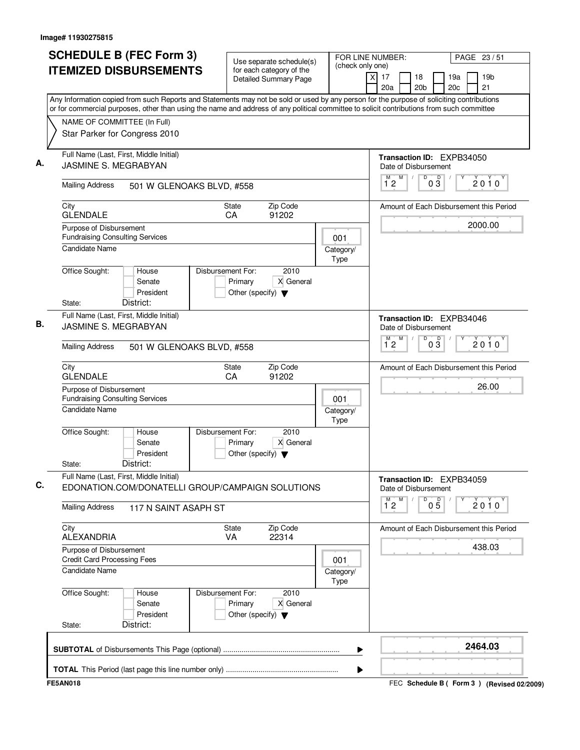| <b>ITEMIZED DISBURSEMENTS</b><br>for each category of the<br>xl<br>17<br>19a<br>19 <sub>b</sub><br>18<br><b>Detailed Summary Page</b><br>20 <sub>b</sub><br>20c<br>21<br>20a<br>Any Information copied from such Reports and Statements may not be sold or used by any person for the purpose of soliciting contributions<br>or for commercial purposes, other than using the name and address of any political committee to solicit contributions from such committee<br>NAME OF COMMITTEE (In Full)<br>Star Parker for Congress 2010<br>Full Name (Last, First, Middle Initial)<br>Transaction ID: EXPB34050<br>JASMINE S. MEGRABYAN<br>Date of Disbursement<br>M<br>D<br>$0\overline{3}$<br>M<br>$2010^y$<br>12<br><b>Mailing Address</b><br>501 W GLENOAKS BLVD, #558<br>Zip Code<br>City<br>State<br>Amount of Each Disbursement this Period<br><b>GLENDALE</b><br>CA<br>91202<br>2000.00<br>Purpose of Disbursement<br><b>Fundraising Consulting Services</b><br>001<br>Candidate Name<br>Category/<br>Type<br>Office Sought:<br>Disbursement For:<br>2010<br>House<br>X General<br>Primary<br>Senate<br>President<br>Other (specify) $\blacktriangledown$<br>District:<br>State:<br>Full Name (Last, First, Middle Initial)<br>Transaction ID: EXPB34046<br>JASMINE S. MEGRABYAN<br>Date of Disbursement<br>$\overline{D}$<br>M<br>$0\overline{3}$<br>$\overline{1}^M$ 2<br>$2010^y$<br><b>Mailing Address</b><br>501 W GLENOAKS BLVD, #558<br>Zip Code<br>City<br>State<br>Amount of Each Disbursement this Period<br><b>GLENDALE</b><br>CA<br>91202<br>26.00<br>Purpose of Disbursement<br><b>Fundraising Consulting Services</b><br>001<br><b>Candidate Name</b><br>Category/<br>Type<br>Disbursement For:<br>Office Sought:<br>2010<br>House<br>X General<br>Senate<br>Primary<br>President<br>Other (specify) $\blacktriangledown$<br>District:<br>State:<br>Full Name (Last, First, Middle Initial)<br>Transaction ID: EXPB34059<br>EDONATION.COM/DONATELLI GROUP/CAMPAIGN SOLUTIONS<br>Date of Disbursement<br>$\overline{1}^M$ 2<br>M<br>D<br>$0\overline{5}$<br>$2010^y$<br><b>Mailing Address</b><br>117 N SAINT ASAPH ST<br>City<br>Zip Code<br>State<br>Amount of Each Disbursement this Period<br>VA<br>22314<br>ALEXANDRIA<br>438.03<br>Purpose of Disbursement<br><b>Credit Card Processing Fees</b><br>001<br><b>Candidate Name</b><br>Category/<br>Type<br>Office Sought:<br>Disbursement For:<br>2010<br>House<br>X General<br>Primary<br>Senate<br>President<br>Other (specify) $\blacktriangledown$<br>District:<br>State:<br>2464.03<br>▶ |  |  | (check only one) |  |
|-----------------------------------------------------------------------------------------------------------------------------------------------------------------------------------------------------------------------------------------------------------------------------------------------------------------------------------------------------------------------------------------------------------------------------------------------------------------------------------------------------------------------------------------------------------------------------------------------------------------------------------------------------------------------------------------------------------------------------------------------------------------------------------------------------------------------------------------------------------------------------------------------------------------------------------------------------------------------------------------------------------------------------------------------------------------------------------------------------------------------------------------------------------------------------------------------------------------------------------------------------------------------------------------------------------------------------------------------------------------------------------------------------------------------------------------------------------------------------------------------------------------------------------------------------------------------------------------------------------------------------------------------------------------------------------------------------------------------------------------------------------------------------------------------------------------------------------------------------------------------------------------------------------------------------------------------------------------------------------------------------------------------------------------------------------------------------------------------------------------------------------------------------------------------------------------------------------------------------------------------------------------------------------------------------------------------------------------------------------------------------------------------------------------------------------------------------------------------------------------------------------------------------------------------------------------------|--|--|------------------|--|
|                                                                                                                                                                                                                                                                                                                                                                                                                                                                                                                                                                                                                                                                                                                                                                                                                                                                                                                                                                                                                                                                                                                                                                                                                                                                                                                                                                                                                                                                                                                                                                                                                                                                                                                                                                                                                                                                                                                                                                                                                                                                                                                                                                                                                                                                                                                                                                                                                                                                                                                                                                       |  |  |                  |  |
|                                                                                                                                                                                                                                                                                                                                                                                                                                                                                                                                                                                                                                                                                                                                                                                                                                                                                                                                                                                                                                                                                                                                                                                                                                                                                                                                                                                                                                                                                                                                                                                                                                                                                                                                                                                                                                                                                                                                                                                                                                                                                                                                                                                                                                                                                                                                                                                                                                                                                                                                                                       |  |  |                  |  |
|                                                                                                                                                                                                                                                                                                                                                                                                                                                                                                                                                                                                                                                                                                                                                                                                                                                                                                                                                                                                                                                                                                                                                                                                                                                                                                                                                                                                                                                                                                                                                                                                                                                                                                                                                                                                                                                                                                                                                                                                                                                                                                                                                                                                                                                                                                                                                                                                                                                                                                                                                                       |  |  |                  |  |
|                                                                                                                                                                                                                                                                                                                                                                                                                                                                                                                                                                                                                                                                                                                                                                                                                                                                                                                                                                                                                                                                                                                                                                                                                                                                                                                                                                                                                                                                                                                                                                                                                                                                                                                                                                                                                                                                                                                                                                                                                                                                                                                                                                                                                                                                                                                                                                                                                                                                                                                                                                       |  |  |                  |  |
|                                                                                                                                                                                                                                                                                                                                                                                                                                                                                                                                                                                                                                                                                                                                                                                                                                                                                                                                                                                                                                                                                                                                                                                                                                                                                                                                                                                                                                                                                                                                                                                                                                                                                                                                                                                                                                                                                                                                                                                                                                                                                                                                                                                                                                                                                                                                                                                                                                                                                                                                                                       |  |  |                  |  |
|                                                                                                                                                                                                                                                                                                                                                                                                                                                                                                                                                                                                                                                                                                                                                                                                                                                                                                                                                                                                                                                                                                                                                                                                                                                                                                                                                                                                                                                                                                                                                                                                                                                                                                                                                                                                                                                                                                                                                                                                                                                                                                                                                                                                                                                                                                                                                                                                                                                                                                                                                                       |  |  |                  |  |
|                                                                                                                                                                                                                                                                                                                                                                                                                                                                                                                                                                                                                                                                                                                                                                                                                                                                                                                                                                                                                                                                                                                                                                                                                                                                                                                                                                                                                                                                                                                                                                                                                                                                                                                                                                                                                                                                                                                                                                                                                                                                                                                                                                                                                                                                                                                                                                                                                                                                                                                                                                       |  |  |                  |  |
|                                                                                                                                                                                                                                                                                                                                                                                                                                                                                                                                                                                                                                                                                                                                                                                                                                                                                                                                                                                                                                                                                                                                                                                                                                                                                                                                                                                                                                                                                                                                                                                                                                                                                                                                                                                                                                                                                                                                                                                                                                                                                                                                                                                                                                                                                                                                                                                                                                                                                                                                                                       |  |  |                  |  |
|                                                                                                                                                                                                                                                                                                                                                                                                                                                                                                                                                                                                                                                                                                                                                                                                                                                                                                                                                                                                                                                                                                                                                                                                                                                                                                                                                                                                                                                                                                                                                                                                                                                                                                                                                                                                                                                                                                                                                                                                                                                                                                                                                                                                                                                                                                                                                                                                                                                                                                                                                                       |  |  |                  |  |
|                                                                                                                                                                                                                                                                                                                                                                                                                                                                                                                                                                                                                                                                                                                                                                                                                                                                                                                                                                                                                                                                                                                                                                                                                                                                                                                                                                                                                                                                                                                                                                                                                                                                                                                                                                                                                                                                                                                                                                                                                                                                                                                                                                                                                                                                                                                                                                                                                                                                                                                                                                       |  |  |                  |  |
|                                                                                                                                                                                                                                                                                                                                                                                                                                                                                                                                                                                                                                                                                                                                                                                                                                                                                                                                                                                                                                                                                                                                                                                                                                                                                                                                                                                                                                                                                                                                                                                                                                                                                                                                                                                                                                                                                                                                                                                                                                                                                                                                                                                                                                                                                                                                                                                                                                                                                                                                                                       |  |  |                  |  |
|                                                                                                                                                                                                                                                                                                                                                                                                                                                                                                                                                                                                                                                                                                                                                                                                                                                                                                                                                                                                                                                                                                                                                                                                                                                                                                                                                                                                                                                                                                                                                                                                                                                                                                                                                                                                                                                                                                                                                                                                                                                                                                                                                                                                                                                                                                                                                                                                                                                                                                                                                                       |  |  |                  |  |
|                                                                                                                                                                                                                                                                                                                                                                                                                                                                                                                                                                                                                                                                                                                                                                                                                                                                                                                                                                                                                                                                                                                                                                                                                                                                                                                                                                                                                                                                                                                                                                                                                                                                                                                                                                                                                                                                                                                                                                                                                                                                                                                                                                                                                                                                                                                                                                                                                                                                                                                                                                       |  |  |                  |  |
|                                                                                                                                                                                                                                                                                                                                                                                                                                                                                                                                                                                                                                                                                                                                                                                                                                                                                                                                                                                                                                                                                                                                                                                                                                                                                                                                                                                                                                                                                                                                                                                                                                                                                                                                                                                                                                                                                                                                                                                                                                                                                                                                                                                                                                                                                                                                                                                                                                                                                                                                                                       |  |  |                  |  |
|                                                                                                                                                                                                                                                                                                                                                                                                                                                                                                                                                                                                                                                                                                                                                                                                                                                                                                                                                                                                                                                                                                                                                                                                                                                                                                                                                                                                                                                                                                                                                                                                                                                                                                                                                                                                                                                                                                                                                                                                                                                                                                                                                                                                                                                                                                                                                                                                                                                                                                                                                                       |  |  |                  |  |
|                                                                                                                                                                                                                                                                                                                                                                                                                                                                                                                                                                                                                                                                                                                                                                                                                                                                                                                                                                                                                                                                                                                                                                                                                                                                                                                                                                                                                                                                                                                                                                                                                                                                                                                                                                                                                                                                                                                                                                                                                                                                                                                                                                                                                                                                                                                                                                                                                                                                                                                                                                       |  |  |                  |  |
|                                                                                                                                                                                                                                                                                                                                                                                                                                                                                                                                                                                                                                                                                                                                                                                                                                                                                                                                                                                                                                                                                                                                                                                                                                                                                                                                                                                                                                                                                                                                                                                                                                                                                                                                                                                                                                                                                                                                                                                                                                                                                                                                                                                                                                                                                                                                                                                                                                                                                                                                                                       |  |  |                  |  |
|                                                                                                                                                                                                                                                                                                                                                                                                                                                                                                                                                                                                                                                                                                                                                                                                                                                                                                                                                                                                                                                                                                                                                                                                                                                                                                                                                                                                                                                                                                                                                                                                                                                                                                                                                                                                                                                                                                                                                                                                                                                                                                                                                                                                                                                                                                                                                                                                                                                                                                                                                                       |  |  |                  |  |
|                                                                                                                                                                                                                                                                                                                                                                                                                                                                                                                                                                                                                                                                                                                                                                                                                                                                                                                                                                                                                                                                                                                                                                                                                                                                                                                                                                                                                                                                                                                                                                                                                                                                                                                                                                                                                                                                                                                                                                                                                                                                                                                                                                                                                                                                                                                                                                                                                                                                                                                                                                       |  |  |                  |  |
|                                                                                                                                                                                                                                                                                                                                                                                                                                                                                                                                                                                                                                                                                                                                                                                                                                                                                                                                                                                                                                                                                                                                                                                                                                                                                                                                                                                                                                                                                                                                                                                                                                                                                                                                                                                                                                                                                                                                                                                                                                                                                                                                                                                                                                                                                                                                                                                                                                                                                                                                                                       |  |  |                  |  |
|                                                                                                                                                                                                                                                                                                                                                                                                                                                                                                                                                                                                                                                                                                                                                                                                                                                                                                                                                                                                                                                                                                                                                                                                                                                                                                                                                                                                                                                                                                                                                                                                                                                                                                                                                                                                                                                                                                                                                                                                                                                                                                                                                                                                                                                                                                                                                                                                                                                                                                                                                                       |  |  |                  |  |
|                                                                                                                                                                                                                                                                                                                                                                                                                                                                                                                                                                                                                                                                                                                                                                                                                                                                                                                                                                                                                                                                                                                                                                                                                                                                                                                                                                                                                                                                                                                                                                                                                                                                                                                                                                                                                                                                                                                                                                                                                                                                                                                                                                                                                                                                                                                                                                                                                                                                                                                                                                       |  |  |                  |  |
|                                                                                                                                                                                                                                                                                                                                                                                                                                                                                                                                                                                                                                                                                                                                                                                                                                                                                                                                                                                                                                                                                                                                                                                                                                                                                                                                                                                                                                                                                                                                                                                                                                                                                                                                                                                                                                                                                                                                                                                                                                                                                                                                                                                                                                                                                                                                                                                                                                                                                                                                                                       |  |  |                  |  |
|                                                                                                                                                                                                                                                                                                                                                                                                                                                                                                                                                                                                                                                                                                                                                                                                                                                                                                                                                                                                                                                                                                                                                                                                                                                                                                                                                                                                                                                                                                                                                                                                                                                                                                                                                                                                                                                                                                                                                                                                                                                                                                                                                                                                                                                                                                                                                                                                                                                                                                                                                                       |  |  |                  |  |
|                                                                                                                                                                                                                                                                                                                                                                                                                                                                                                                                                                                                                                                                                                                                                                                                                                                                                                                                                                                                                                                                                                                                                                                                                                                                                                                                                                                                                                                                                                                                                                                                                                                                                                                                                                                                                                                                                                                                                                                                                                                                                                                                                                                                                                                                                                                                                                                                                                                                                                                                                                       |  |  |                  |  |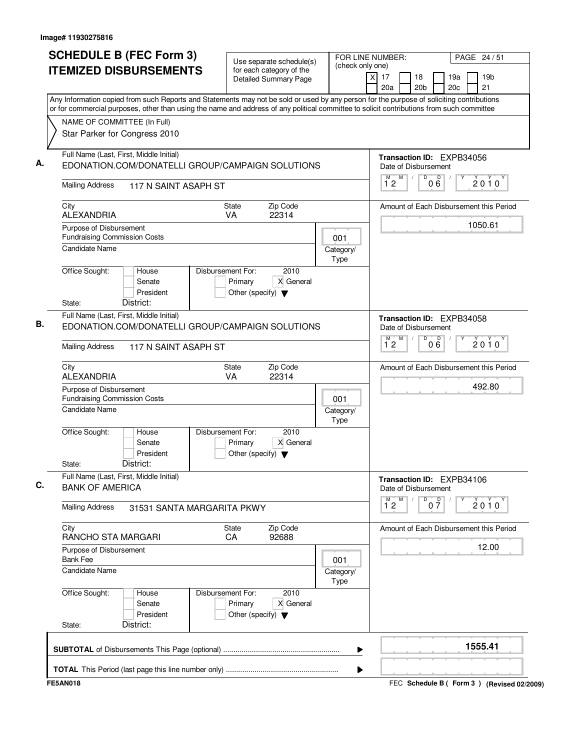| <b>SCHEDULE B (FEC Form 3)</b>                                                                                                                                                                                                                                                         | Use separate schedule(s)                                                                  |  | FOR LINE NUMBER:<br>(check only one) |                       |                 | PAGE 24/51            |                |                           |                                         |
|----------------------------------------------------------------------------------------------------------------------------------------------------------------------------------------------------------------------------------------------------------------------------------------|-------------------------------------------------------------------------------------------|--|--------------------------------------|-----------------------|-----------------|-----------------------|----------------|---------------------------|-----------------------------------------|
| <b>ITEMIZED DISBURSEMENTS</b>                                                                                                                                                                                                                                                          | for each category of the<br><b>Detailed Summary Page</b>                                  |  |                                      | $\times$<br>17<br>20a |                 | 18<br>20 <sub>b</sub> |                | 19a<br>20c                | 19 <sub>b</sub><br>21                   |
| Any Information copied from such Reports and Statements may not be sold or used by any person for the purpose of soliciting contributions<br>or for commercial purposes, other than using the name and address of any political committee to solicit contributions from such committee |                                                                                           |  |                                      |                       |                 |                       |                |                           |                                         |
| NAME OF COMMITTEE (In Full)<br>Star Parker for Congress 2010                                                                                                                                                                                                                           |                                                                                           |  |                                      |                       |                 |                       |                |                           |                                         |
| Full Name (Last, First, Middle Initial)<br>EDONATION.COM/DONATELLI GROUP/CAMPAIGN SOLUTIONS                                                                                                                                                                                            |                                                                                           |  |                                      |                       |                 | Date of Disbursement  |                | Transaction ID: EXPB34056 |                                         |
| <b>Mailing Address</b><br>117 N SAINT ASAPH ST                                                                                                                                                                                                                                         |                                                                                           |  |                                      | M<br>12               | M<br>$\sqrt{ }$ | D                     | 000            |                           | 2010                                    |
| City<br><b>ALEXANDRIA</b>                                                                                                                                                                                                                                                              | Zip Code<br><b>State</b><br>VA<br>22314                                                   |  |                                      |                       |                 |                       |                |                           | Amount of Each Disbursement this Period |
| Purpose of Disbursement<br><b>Fundraising Commission Costs</b>                                                                                                                                                                                                                         |                                                                                           |  | 001                                  |                       |                 |                       |                |                           | 1050.61                                 |
| <b>Candidate Name</b>                                                                                                                                                                                                                                                                  |                                                                                           |  | Category/<br>Type                    |                       |                 |                       |                |                           |                                         |
| Office Sought:<br>House<br>Senate<br>President<br>District:<br>State:                                                                                                                                                                                                                  | Disbursement For:<br>2010<br>X General<br>Primary<br>Other (specify) $\blacktriangledown$ |  |                                      |                       |                 |                       |                |                           |                                         |
| Full Name (Last, First, Middle Initial)<br>EDONATION.COM/DONATELLI GROUP/CAMPAIGN SOLUTIONS                                                                                                                                                                                            |                                                                                           |  |                                      |                       |                 | Date of Disbursement  |                | Transaction ID: EXPB34058 |                                         |
| <b>Mailing Address</b><br>117 N SAINT ASAPH ST                                                                                                                                                                                                                                         |                                                                                           |  |                                      | $\overline{1}^M$ 2    | M               | D                     | 000            |                           | $2010^y$                                |
| City<br><b>ALEXANDRIA</b>                                                                                                                                                                                                                                                              | Zip Code<br><b>State</b><br>VA<br>22314                                                   |  |                                      |                       |                 |                       |                |                           | Amount of Each Disbursement this Period |
| Purpose of Disbursement<br><b>Fundraising Commission Costs</b>                                                                                                                                                                                                                         |                                                                                           |  | 001                                  |                       |                 |                       |                |                           | 492.80                                  |
| <b>Candidate Name</b>                                                                                                                                                                                                                                                                  |                                                                                           |  | Category/<br>Type                    |                       |                 |                       |                |                           |                                         |
| Office Sought:<br>House<br>Senate<br>President<br>District:<br>State:                                                                                                                                                                                                                  | Disbursement For:<br>2010<br>X General<br>Primary<br>Other (specify) $\blacktriangledown$ |  |                                      |                       |                 |                       |                |                           |                                         |
| Full Name (Last, First, Middle Initial)<br><b>BANK OF AMERICA</b>                                                                                                                                                                                                                      |                                                                                           |  |                                      |                       |                 | Date of Disbursement  |                | Transaction ID: EXPB34106 |                                         |
| <b>Mailing Address</b><br>31531 SANTA MARGARITA PKWY                                                                                                                                                                                                                                   |                                                                                           |  |                                      | $\overline{1}^M$ 2    | M               | D                     | $0\frac{D}{7}$ |                           | $2010^y$                                |
| City<br>RANCHO STA MARGARI                                                                                                                                                                                                                                                             | Zip Code<br><b>State</b><br>92688<br>CA                                                   |  |                                      |                       |                 |                       |                |                           | Amount of Each Disbursement this Period |
| Purpose of Disbursement<br><b>Bank Fee</b>                                                                                                                                                                                                                                             | 001                                                                                       |  |                                      |                       |                 |                       |                |                           | 12.00                                   |
| <b>Candidate Name</b>                                                                                                                                                                                                                                                                  |                                                                                           |  | Category/<br>Type                    |                       |                 |                       |                |                           |                                         |
| Office Sought:<br>House<br>Senate<br>President                                                                                                                                                                                                                                         | 2010<br>Disbursement For:<br>Primary<br>X General<br>Other (specify) $\blacktriangledown$ |  |                                      |                       |                 |                       |                |                           |                                         |
| District:<br>State:                                                                                                                                                                                                                                                                    |                                                                                           |  |                                      |                       |                 |                       |                |                           |                                         |
|                                                                                                                                                                                                                                                                                        |                                                                                           |  | ▶                                    |                       |                 |                       |                |                           | 1555.41                                 |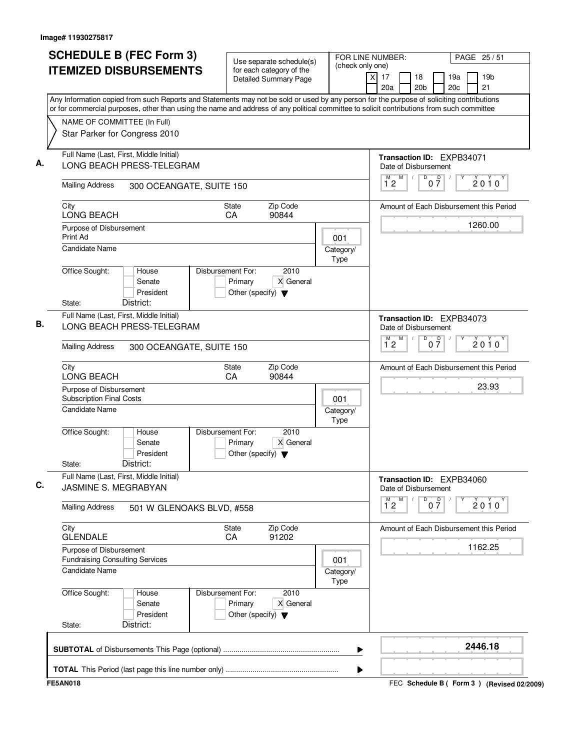| <b>SCHEDULE B (FEC Form 3)</b>                                                                                                                                                                                                                                                         | Use separate schedule(s)                                                                  |                   | FOR LINE NUMBER:<br>PAGE 25/51                                                                                             |
|----------------------------------------------------------------------------------------------------------------------------------------------------------------------------------------------------------------------------------------------------------------------------------------|-------------------------------------------------------------------------------------------|-------------------|----------------------------------------------------------------------------------------------------------------------------|
| <b>ITEMIZED DISBURSEMENTS</b>                                                                                                                                                                                                                                                          | for each category of the<br><b>Detailed Summary Page</b>                                  | (check only one)  | X<br>19 <sub>b</sub><br>17<br>18<br>19a<br>20a<br>20 <sub>b</sub><br>20 <sub>c</sub><br>21                                 |
| Any Information copied from such Reports and Statements may not be sold or used by any person for the purpose of soliciting contributions<br>or for commercial purposes, other than using the name and address of any political committee to solicit contributions from such committee |                                                                                           |                   |                                                                                                                            |
| NAME OF COMMITTEE (In Full)<br>Star Parker for Congress 2010                                                                                                                                                                                                                           |                                                                                           |                   |                                                                                                                            |
| Full Name (Last, First, Middle Initial)<br>LONG BEACH PRESS-TELEGRAM                                                                                                                                                                                                                   |                                                                                           |                   | Transaction ID: EXPB34071<br>Date of Disbursement<br>$\frac{M}{12}$<br>$\mathsf D$<br>$\sqrt{ }$<br>0 <sup>0</sup><br>2010 |
| <b>Mailing Address</b><br>300 OCEANGATE, SUITE 150                                                                                                                                                                                                                                     |                                                                                           |                   |                                                                                                                            |
| City<br>LONG BEACH                                                                                                                                                                                                                                                                     | Zip Code<br>State<br>CA<br>90844                                                          |                   | Amount of Each Disbursement this Period                                                                                    |
| Purpose of Disbursement<br>Print Ad                                                                                                                                                                                                                                                    |                                                                                           | 001               | 1260.00                                                                                                                    |
| Candidate Name                                                                                                                                                                                                                                                                         |                                                                                           | Category/<br>Type |                                                                                                                            |
| Office Sought:<br>House<br>Senate<br>President                                                                                                                                                                                                                                         | Disbursement For:<br>2010<br>X General<br>Primary<br>Other (specify) $\blacktriangledown$ |                   |                                                                                                                            |
| District:<br>State:<br>Full Name (Last, First, Middle Initial)                                                                                                                                                                                                                         |                                                                                           |                   | Transaction ID: EXPB34073                                                                                                  |
| LONG BEACH PRESS-TELEGRAM                                                                                                                                                                                                                                                              |                                                                                           |                   | Date of Disbursement<br>D<br>М<br>M                                                                                        |
| <b>Mailing Address</b><br>300 OCEANGATE, SUITE 150                                                                                                                                                                                                                                     |                                                                                           |                   | 0 <sup>0</sup><br>$2010^y$<br>12                                                                                           |
| City<br><b>LONG BEACH</b>                                                                                                                                                                                                                                                              | <b>State</b><br>Zip Code<br>90844<br>CA                                                   |                   | Amount of Each Disbursement this Period                                                                                    |
| Purpose of Disbursement<br><b>Subscription Final Costs</b>                                                                                                                                                                                                                             |                                                                                           | 001               | 23.93                                                                                                                      |
| <b>Candidate Name</b>                                                                                                                                                                                                                                                                  |                                                                                           | Category/<br>Type |                                                                                                                            |
| Office Sought:<br>House<br>Senate<br>President<br>District:<br>State:                                                                                                                                                                                                                  | Disbursement For:<br>2010<br>Primary<br>X General<br>Other (specify) $\blacktriangledown$ |                   |                                                                                                                            |
| Full Name (Last, First, Middle Initial)<br>JASMINE S. MEGRABYAN                                                                                                                                                                                                                        |                                                                                           |                   | Transaction ID: EXPB34060<br>Date of Disbursement                                                                          |
| <b>Mailing Address</b><br>501 W GLENOAKS BLVD, #558                                                                                                                                                                                                                                    |                                                                                           |                   | M<br>$\mathsf D$<br>M<br>$0\frac{D}{7}$<br>$2010^y$<br>12                                                                  |
| City<br><b>GLENDALE</b>                                                                                                                                                                                                                                                                | Zip Code<br>State<br>91202<br>CA                                                          |                   | Amount of Each Disbursement this Period                                                                                    |
| Purpose of Disbursement<br><b>Fundraising Consulting Services</b><br><b>Candidate Name</b>                                                                                                                                                                                             |                                                                                           | 001<br>Category/  | 1162.25                                                                                                                    |
| Office Sought:<br>House<br>Senate<br>President<br>District:<br>State:                                                                                                                                                                                                                  | 2010<br>Disbursement For:<br>X General<br>Primary<br>Other (specify) $\blacktriangledown$ | Type              |                                                                                                                            |
|                                                                                                                                                                                                                                                                                        |                                                                                           | ▶                 | 2446.18                                                                                                                    |
|                                                                                                                                                                                                                                                                                        |                                                                                           |                   |                                                                                                                            |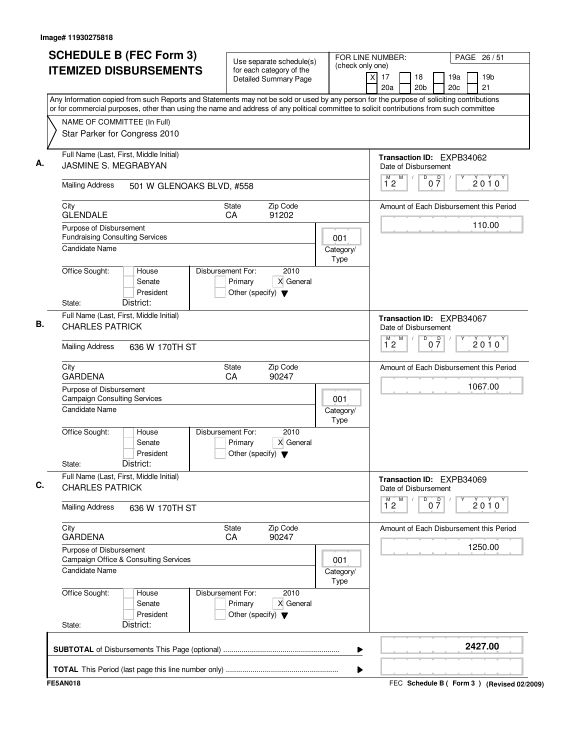| NAME OF COMMITTEE (In Full)<br>Star Parker for Congress 2010<br>Full Name (Last, First, Middle Initial)<br><b>JASMINE S. MEGRABYAN</b><br><b>Mailing Address</b> | 501 W GLENOAKS BLVD, #558    |                                                                      |                   |                   | 21<br>20a<br>20 <sub>b</sub><br>20c<br>Any Information copied from such Reports and Statements may not be sold or used by any person for the purpose of soliciting contributions<br>or for commercial purposes, other than using the name and address of any political committee to solicit contributions from such committee |  |
|------------------------------------------------------------------------------------------------------------------------------------------------------------------|------------------------------|----------------------------------------------------------------------|-------------------|-------------------|-------------------------------------------------------------------------------------------------------------------------------------------------------------------------------------------------------------------------------------------------------------------------------------------------------------------------------|--|
|                                                                                                                                                                  |                              |                                                                      |                   |                   |                                                                                                                                                                                                                                                                                                                               |  |
|                                                                                                                                                                  |                              |                                                                      |                   |                   |                                                                                                                                                                                                                                                                                                                               |  |
|                                                                                                                                                                  |                              |                                                                      |                   |                   | Transaction ID: EXPB34062<br>Date of Disbursement                                                                                                                                                                                                                                                                             |  |
|                                                                                                                                                                  |                              |                                                                      |                   |                   | D<br>$0\frac{D}{7}$<br>M<br>M<br>2010<br>12                                                                                                                                                                                                                                                                                   |  |
| City<br><b>GLENDALE</b>                                                                                                                                          |                              | State<br>CA                                                          | Zip Code<br>91202 |                   | Amount of Each Disbursement this Period                                                                                                                                                                                                                                                                                       |  |
| Purpose of Disbursement<br><b>Fundraising Consulting Services</b>                                                                                                |                              |                                                                      |                   | 001               | 110.00                                                                                                                                                                                                                                                                                                                        |  |
| <b>Candidate Name</b>                                                                                                                                            |                              |                                                                      |                   | Category/<br>Type |                                                                                                                                                                                                                                                                                                                               |  |
| Office Sought:                                                                                                                                                   | House<br>Senate<br>President | Disbursement For:<br>Primary<br>Other (specify) $\blacktriangledown$ | 2010<br>X General |                   |                                                                                                                                                                                                                                                                                                                               |  |
| District:<br>State:<br>Full Name (Last, First, Middle Initial)<br><b>CHARLES PATRICK</b>                                                                         |                              |                                                                      |                   |                   | Transaction ID: EXPB34067<br>Date of Disbursement                                                                                                                                                                                                                                                                             |  |
| <b>Mailing Address</b>                                                                                                                                           | 636 W 170TH ST               |                                                                      |                   |                   | M<br>D<br>M.<br>$0\overline{7}$<br>$2010^y$<br>12                                                                                                                                                                                                                                                                             |  |
| City<br><b>GARDENA</b>                                                                                                                                           |                              | State<br>CA                                                          | Zip Code<br>90247 |                   | Amount of Each Disbursement this Period                                                                                                                                                                                                                                                                                       |  |
| Purpose of Disbursement<br><b>Campaign Consulting Services</b><br><b>Candidate Name</b>                                                                          |                              |                                                                      |                   | 001<br>Category/  | 1067.00                                                                                                                                                                                                                                                                                                                       |  |
| Office Sought:<br>District:<br>State:                                                                                                                            | House<br>Senate<br>President | Disbursement For:<br>Primary<br>Other (specify) $\blacktriangledown$ | 2010<br>X General | Type              |                                                                                                                                                                                                                                                                                                                               |  |
| Full Name (Last, First, Middle Initial)<br><b>CHARLES PATRICK</b>                                                                                                |                              |                                                                      |                   |                   | Transaction ID: EXPB34069<br>Date of Disbursement                                                                                                                                                                                                                                                                             |  |
| <b>Mailing Address</b>                                                                                                                                           | 636 W 170TH ST               |                                                                      |                   |                   | $0\overline{7}$<br>M<br>D<br>$\overline{1}^M$ 2<br>$2010^y$                                                                                                                                                                                                                                                                   |  |
| City<br><b>GARDENA</b>                                                                                                                                           |                              | State<br>CA                                                          | Zip Code<br>90247 |                   | Amount of Each Disbursement this Period                                                                                                                                                                                                                                                                                       |  |
| Purpose of Disbursement<br>Campaign Office & Consulting Services<br>Candidate Name                                                                               |                              |                                                                      |                   | 001<br>Category/  | 1250.00                                                                                                                                                                                                                                                                                                                       |  |
| Office Sought:<br>District:<br>State:                                                                                                                            | House<br>Senate<br>President | Disbursement For:<br>Primary<br>Other (specify) $\blacktriangledown$ | 2010<br>X General | Type              |                                                                                                                                                                                                                                                                                                                               |  |
|                                                                                                                                                                  |                              |                                                                      |                   | ▶                 | 2427.00                                                                                                                                                                                                                                                                                                                       |  |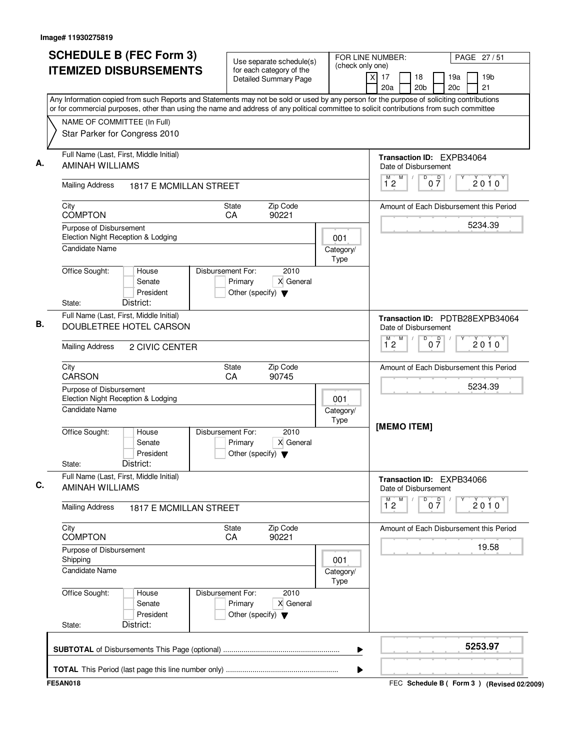| <b>SCHEDULE B (FEC Form 3)</b><br><b>ITEMIZED DISBURSEMENTS</b><br>Any Information copied from such Reports and Statements may not be sold or used by any person for the purpose of soliciting contributions | Use separate schedule(s)<br>for each category of the<br>Detailed Summary Page             | (check only one)         | FOR LINE NUMBER:<br>PAGE 27/51<br>xl<br>17<br>19 <sub>b</sub><br>18<br>19a<br>21<br>20a<br>20 <sub>b</sub><br>20c  |
|--------------------------------------------------------------------------------------------------------------------------------------------------------------------------------------------------------------|-------------------------------------------------------------------------------------------|--------------------------|--------------------------------------------------------------------------------------------------------------------|
| or for commercial purposes, other than using the name and address of any political committee to solicit contributions from such committee<br>NAME OF COMMITTEE (In Full)<br>Star Parker for Congress 2010    |                                                                                           |                          |                                                                                                                    |
| Full Name (Last, First, Middle Initial)<br><b>AMINAH WILLIAMS</b>                                                                                                                                            |                                                                                           |                          | <b>Transaction ID: EXPB34064</b><br>Date of Disbursement                                                           |
| <b>Mailing Address</b><br>1817 E MCMILLAN STREET                                                                                                                                                             |                                                                                           |                          | D<br>$0\frac{D}{7}$<br>М<br>M<br>$2010^y$<br>$1^{\degree}2$                                                        |
| City<br><b>COMPTON</b>                                                                                                                                                                                       | Zip Code<br><b>State</b><br>CA<br>90221                                                   |                          | Amount of Each Disbursement this Period                                                                            |
| Purpose of Disbursement<br>Election Night Reception & Lodging<br><b>Candidate Name</b>                                                                                                                       |                                                                                           | 001<br>Category/         | 5234.39                                                                                                            |
| Office Sought:<br>House<br>Senate<br>President<br>District:<br>State:                                                                                                                                        | Disbursement For:<br>2010<br>X General<br>Primary<br>Other (specify) $\blacktriangledown$ | Type                     |                                                                                                                    |
| Full Name (Last, First, Middle Initial)<br>DOUBLETREE HOTEL CARSON<br><b>Mailing Address</b><br>2 CIVIC CENTER                                                                                               |                                                                                           |                          | Transaction ID: PDTB28EXPB34064<br>Date of Disbursement<br>M<br>D<br>M<br>0 <sup>0</sup><br>2010<br>$1^{\degree}2$ |
| City<br><b>CARSON</b>                                                                                                                                                                                        | Zip Code<br><b>State</b><br>CA<br>90745                                                   |                          | Amount of Each Disbursement this Period                                                                            |
| Purpose of Disbursement<br>Election Night Reception & Lodging<br>Candidate Name                                                                                                                              |                                                                                           | 001<br>Category/<br>Type | 5234.39                                                                                                            |
| Office Sought:<br>House<br>Senate<br>President<br>District:<br>State:                                                                                                                                        | Disbursement For:<br>2010<br>X General<br>Primary<br>Other (specify) $\blacktriangledown$ |                          | [MEMO ITEM]                                                                                                        |
| Full Name (Last, First, Middle Initial)<br><b>AMINAH WILLIAMS</b>                                                                                                                                            |                                                                                           |                          | Transaction ID: EXPB34066<br>Date of Disbursement                                                                  |
| <b>Mailing Address</b><br>1817 E MCMILLAN STREET                                                                                                                                                             |                                                                                           |                          | D<br>$0\frac{D}{7}$<br>M<br>M<br>$2010^Y$<br>12                                                                    |
| City<br><b>COMPTON</b>                                                                                                                                                                                       | Zip Code<br><b>State</b><br>CA<br>90221                                                   |                          | Amount of Each Disbursement this Period                                                                            |
| Purpose of Disbursement<br>Shipping<br><b>Candidate Name</b>                                                                                                                                                 |                                                                                           | 001<br>Category/<br>Type | 19.58                                                                                                              |
| Office Sought:<br>House<br>Senate<br>President<br>District:<br>State:                                                                                                                                        | Disbursement For:<br>2010<br>X General<br>Primary<br>Other (specify) $\blacktriangledown$ |                          |                                                                                                                    |
|                                                                                                                                                                                                              |                                                                                           |                          | 5253.97                                                                                                            |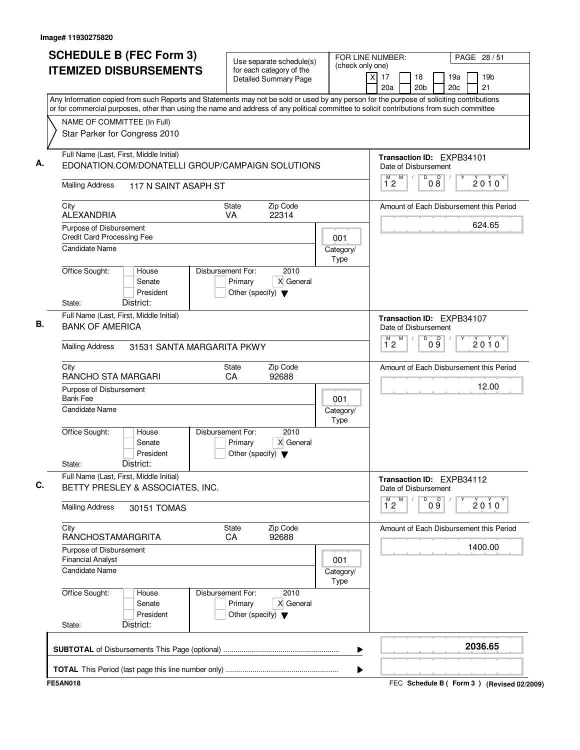| Any Information copied from such Reports and Statements may not be sold or used by any person for the purpose of soliciting contributions<br>or for commercial purposes, other than using the name and address of any political committee to solicit contributions from such committee<br>NAME OF COMMITTEE (In Full)<br>Star Parker for Congress 2010<br>Full Name (Last, First, Middle Initial)<br>Transaction ID: EXPB34101<br>EDONATION.COM/DONATELLI GROUP/CAMPAIGN SOLUTIONS<br>Date of Disbursement<br>D<br>M<br>08<br>M<br>$\sqrt{ }$<br>$2010^y$<br>12<br><b>Mailing Address</b><br>117 N SAINT ASAPH ST<br>City<br>Zip Code<br><b>State</b><br>Amount of Each Disbursement this Period<br><b>ALEXANDRIA</b><br>VA<br>22314<br>624.65<br>Purpose of Disbursement<br><b>Credit Card Processing Fee</b><br>001<br><b>Candidate Name</b><br>Category/<br>Type<br>Office Sought:<br>Disbursement For:<br>2010<br>House<br>X General<br>Primary<br>Senate<br>President<br>Other (specify) $\blacktriangledown$<br>District:<br>State:<br>Full Name (Last, First, Middle Initial)<br>Transaction ID: EXPB34107<br><b>BANK OF AMERICA</b><br>Date of Disbursement<br>D<br>09<br>$\overline{1}^M$ 2<br>M<br>2010<br><b>Mailing Address</b><br>31531 SANTA MARGARITA PKWY<br>City<br><b>State</b><br>Zip Code<br>Amount of Each Disbursement this Period<br>RANCHO STA MARGARI<br>92688<br>CA<br>12.00<br>Purpose of Disbursement<br><b>Bank Fee</b><br>001<br><b>Candidate Name</b><br>Category/<br>Type<br>Office Sought:<br>Disbursement For:<br>2010<br>House<br>X General<br>Senate<br>Primary<br>President<br>Other (specify) $\blacktriangledown$<br>District:<br>State:<br>Full Name (Last, First, Middle Initial)<br>Transaction ID: EXPB34112<br>BETTY PRESLEY & ASSOCIATES, INC.<br>Date of Disbursement<br>M<br>D<br>09<br>М<br>2010<br>12<br><b>Mailing Address</b><br>30151 TOMAS<br><b>State</b><br>Zip Code<br>City<br>Amount of Each Disbursement this Period<br>RANCHOSTAMARGRITA<br>CA<br>92688<br>1400.00<br>Purpose of Disbursement<br><b>Financial Analyst</b><br>001<br><b>Candidate Name</b><br>Category/<br>Type<br>Office Sought:<br>2010<br>House<br>Disbursement For:<br>Primary<br>X General<br>Senate<br>President<br>Other (specify) $\blacktriangledown$<br>District:<br>State:<br>2036.65<br>▶ | <b>SCHEDULE B (FEC Form 3)</b><br><b>ITEMIZED DISBURSEMENTS</b> | Use separate schedule(s)<br>for each category of the<br><b>Detailed Summary Page</b> | FOR LINE NUMBER:<br>(check only one) | PAGE 28 / 51<br>19 <sub>b</sub><br>$\times$<br>17<br>19a<br>18<br>21<br>20a<br>20 <sub>b</sub><br>20c |
|---------------------------------------------------------------------------------------------------------------------------------------------------------------------------------------------------------------------------------------------------------------------------------------------------------------------------------------------------------------------------------------------------------------------------------------------------------------------------------------------------------------------------------------------------------------------------------------------------------------------------------------------------------------------------------------------------------------------------------------------------------------------------------------------------------------------------------------------------------------------------------------------------------------------------------------------------------------------------------------------------------------------------------------------------------------------------------------------------------------------------------------------------------------------------------------------------------------------------------------------------------------------------------------------------------------------------------------------------------------------------------------------------------------------------------------------------------------------------------------------------------------------------------------------------------------------------------------------------------------------------------------------------------------------------------------------------------------------------------------------------------------------------------------------------------------------------------------------------------------------------------------------------------------------------------------------------------------------------------------------------------------------------------------------------------------------------------------------------------------------------------------------------------------------------------------------------------------------------------------------------------------------------------------------------------------------------------|-----------------------------------------------------------------|--------------------------------------------------------------------------------------|--------------------------------------|-------------------------------------------------------------------------------------------------------|
|                                                                                                                                                                                                                                                                                                                                                                                                                                                                                                                                                                                                                                                                                                                                                                                                                                                                                                                                                                                                                                                                                                                                                                                                                                                                                                                                                                                                                                                                                                                                                                                                                                                                                                                                                                                                                                                                                                                                                                                                                                                                                                                                                                                                                                                                                                                                 |                                                                 |                                                                                      |                                      |                                                                                                       |
|                                                                                                                                                                                                                                                                                                                                                                                                                                                                                                                                                                                                                                                                                                                                                                                                                                                                                                                                                                                                                                                                                                                                                                                                                                                                                                                                                                                                                                                                                                                                                                                                                                                                                                                                                                                                                                                                                                                                                                                                                                                                                                                                                                                                                                                                                                                                 |                                                                 |                                                                                      |                                      |                                                                                                       |
|                                                                                                                                                                                                                                                                                                                                                                                                                                                                                                                                                                                                                                                                                                                                                                                                                                                                                                                                                                                                                                                                                                                                                                                                                                                                                                                                                                                                                                                                                                                                                                                                                                                                                                                                                                                                                                                                                                                                                                                                                                                                                                                                                                                                                                                                                                                                 |                                                                 |                                                                                      |                                      |                                                                                                       |
|                                                                                                                                                                                                                                                                                                                                                                                                                                                                                                                                                                                                                                                                                                                                                                                                                                                                                                                                                                                                                                                                                                                                                                                                                                                                                                                                                                                                                                                                                                                                                                                                                                                                                                                                                                                                                                                                                                                                                                                                                                                                                                                                                                                                                                                                                                                                 |                                                                 |                                                                                      |                                      |                                                                                                       |
|                                                                                                                                                                                                                                                                                                                                                                                                                                                                                                                                                                                                                                                                                                                                                                                                                                                                                                                                                                                                                                                                                                                                                                                                                                                                                                                                                                                                                                                                                                                                                                                                                                                                                                                                                                                                                                                                                                                                                                                                                                                                                                                                                                                                                                                                                                                                 |                                                                 |                                                                                      |                                      |                                                                                                       |
|                                                                                                                                                                                                                                                                                                                                                                                                                                                                                                                                                                                                                                                                                                                                                                                                                                                                                                                                                                                                                                                                                                                                                                                                                                                                                                                                                                                                                                                                                                                                                                                                                                                                                                                                                                                                                                                                                                                                                                                                                                                                                                                                                                                                                                                                                                                                 |                                                                 |                                                                                      |                                      |                                                                                                       |
|                                                                                                                                                                                                                                                                                                                                                                                                                                                                                                                                                                                                                                                                                                                                                                                                                                                                                                                                                                                                                                                                                                                                                                                                                                                                                                                                                                                                                                                                                                                                                                                                                                                                                                                                                                                                                                                                                                                                                                                                                                                                                                                                                                                                                                                                                                                                 |                                                                 |                                                                                      |                                      |                                                                                                       |
|                                                                                                                                                                                                                                                                                                                                                                                                                                                                                                                                                                                                                                                                                                                                                                                                                                                                                                                                                                                                                                                                                                                                                                                                                                                                                                                                                                                                                                                                                                                                                                                                                                                                                                                                                                                                                                                                                                                                                                                                                                                                                                                                                                                                                                                                                                                                 |                                                                 |                                                                                      |                                      |                                                                                                       |
|                                                                                                                                                                                                                                                                                                                                                                                                                                                                                                                                                                                                                                                                                                                                                                                                                                                                                                                                                                                                                                                                                                                                                                                                                                                                                                                                                                                                                                                                                                                                                                                                                                                                                                                                                                                                                                                                                                                                                                                                                                                                                                                                                                                                                                                                                                                                 |                                                                 |                                                                                      |                                      |                                                                                                       |
|                                                                                                                                                                                                                                                                                                                                                                                                                                                                                                                                                                                                                                                                                                                                                                                                                                                                                                                                                                                                                                                                                                                                                                                                                                                                                                                                                                                                                                                                                                                                                                                                                                                                                                                                                                                                                                                                                                                                                                                                                                                                                                                                                                                                                                                                                                                                 |                                                                 |                                                                                      |                                      |                                                                                                       |
|                                                                                                                                                                                                                                                                                                                                                                                                                                                                                                                                                                                                                                                                                                                                                                                                                                                                                                                                                                                                                                                                                                                                                                                                                                                                                                                                                                                                                                                                                                                                                                                                                                                                                                                                                                                                                                                                                                                                                                                                                                                                                                                                                                                                                                                                                                                                 |                                                                 |                                                                                      |                                      |                                                                                                       |
|                                                                                                                                                                                                                                                                                                                                                                                                                                                                                                                                                                                                                                                                                                                                                                                                                                                                                                                                                                                                                                                                                                                                                                                                                                                                                                                                                                                                                                                                                                                                                                                                                                                                                                                                                                                                                                                                                                                                                                                                                                                                                                                                                                                                                                                                                                                                 |                                                                 |                                                                                      |                                      |                                                                                                       |
|                                                                                                                                                                                                                                                                                                                                                                                                                                                                                                                                                                                                                                                                                                                                                                                                                                                                                                                                                                                                                                                                                                                                                                                                                                                                                                                                                                                                                                                                                                                                                                                                                                                                                                                                                                                                                                                                                                                                                                                                                                                                                                                                                                                                                                                                                                                                 |                                                                 |                                                                                      |                                      |                                                                                                       |
|                                                                                                                                                                                                                                                                                                                                                                                                                                                                                                                                                                                                                                                                                                                                                                                                                                                                                                                                                                                                                                                                                                                                                                                                                                                                                                                                                                                                                                                                                                                                                                                                                                                                                                                                                                                                                                                                                                                                                                                                                                                                                                                                                                                                                                                                                                                                 |                                                                 |                                                                                      |                                      |                                                                                                       |
|                                                                                                                                                                                                                                                                                                                                                                                                                                                                                                                                                                                                                                                                                                                                                                                                                                                                                                                                                                                                                                                                                                                                                                                                                                                                                                                                                                                                                                                                                                                                                                                                                                                                                                                                                                                                                                                                                                                                                                                                                                                                                                                                                                                                                                                                                                                                 |                                                                 |                                                                                      |                                      |                                                                                                       |
|                                                                                                                                                                                                                                                                                                                                                                                                                                                                                                                                                                                                                                                                                                                                                                                                                                                                                                                                                                                                                                                                                                                                                                                                                                                                                                                                                                                                                                                                                                                                                                                                                                                                                                                                                                                                                                                                                                                                                                                                                                                                                                                                                                                                                                                                                                                                 |                                                                 |                                                                                      |                                      |                                                                                                       |
|                                                                                                                                                                                                                                                                                                                                                                                                                                                                                                                                                                                                                                                                                                                                                                                                                                                                                                                                                                                                                                                                                                                                                                                                                                                                                                                                                                                                                                                                                                                                                                                                                                                                                                                                                                                                                                                                                                                                                                                                                                                                                                                                                                                                                                                                                                                                 |                                                                 |                                                                                      |                                      |                                                                                                       |
|                                                                                                                                                                                                                                                                                                                                                                                                                                                                                                                                                                                                                                                                                                                                                                                                                                                                                                                                                                                                                                                                                                                                                                                                                                                                                                                                                                                                                                                                                                                                                                                                                                                                                                                                                                                                                                                                                                                                                                                                                                                                                                                                                                                                                                                                                                                                 |                                                                 |                                                                                      |                                      |                                                                                                       |
|                                                                                                                                                                                                                                                                                                                                                                                                                                                                                                                                                                                                                                                                                                                                                                                                                                                                                                                                                                                                                                                                                                                                                                                                                                                                                                                                                                                                                                                                                                                                                                                                                                                                                                                                                                                                                                                                                                                                                                                                                                                                                                                                                                                                                                                                                                                                 |                                                                 |                                                                                      |                                      |                                                                                                       |
|                                                                                                                                                                                                                                                                                                                                                                                                                                                                                                                                                                                                                                                                                                                                                                                                                                                                                                                                                                                                                                                                                                                                                                                                                                                                                                                                                                                                                                                                                                                                                                                                                                                                                                                                                                                                                                                                                                                                                                                                                                                                                                                                                                                                                                                                                                                                 |                                                                 |                                                                                      |                                      |                                                                                                       |
|                                                                                                                                                                                                                                                                                                                                                                                                                                                                                                                                                                                                                                                                                                                                                                                                                                                                                                                                                                                                                                                                                                                                                                                                                                                                                                                                                                                                                                                                                                                                                                                                                                                                                                                                                                                                                                                                                                                                                                                                                                                                                                                                                                                                                                                                                                                                 |                                                                 |                                                                                      |                                      |                                                                                                       |
|                                                                                                                                                                                                                                                                                                                                                                                                                                                                                                                                                                                                                                                                                                                                                                                                                                                                                                                                                                                                                                                                                                                                                                                                                                                                                                                                                                                                                                                                                                                                                                                                                                                                                                                                                                                                                                                                                                                                                                                                                                                                                                                                                                                                                                                                                                                                 |                                                                 |                                                                                      |                                      |                                                                                                       |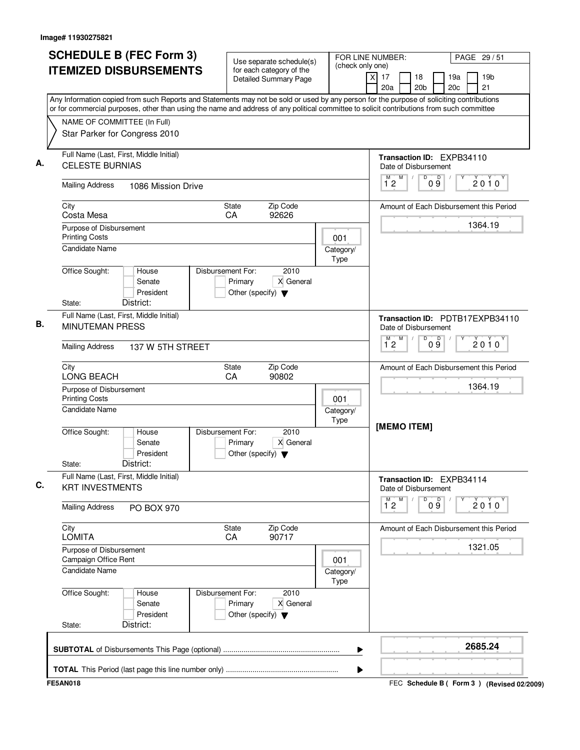| <b>SCHEDULE B (FEC Form 3)</b><br><b>ITEMIZED DISBURSEMENTS</b><br>Any Information copied from such Reports and Statements may not be sold or used by any person for the purpose of soliciting contributions | Use separate schedule(s)<br>for each category of the<br><b>Detailed Summary Page</b>      | (check only one)         | FOR LINE NUMBER:<br>PAGE 29 / 51<br>19 <sub>b</sub><br>xl<br>17<br>18<br>19a<br>20c<br>21<br>20a<br>20 <sub>b</sub> |
|--------------------------------------------------------------------------------------------------------------------------------------------------------------------------------------------------------------|-------------------------------------------------------------------------------------------|--------------------------|---------------------------------------------------------------------------------------------------------------------|
| or for commercial purposes, other than using the name and address of any political committee to solicit contributions from such committee<br>NAME OF COMMITTEE (In Full)<br>Star Parker for Congress 2010    |                                                                                           |                          |                                                                                                                     |
| Full Name (Last, First, Middle Initial)<br><b>CELESTE BURNIAS</b><br><b>Mailing Address</b><br>1086 Mission Drive                                                                                            |                                                                                           |                          | Transaction ID: EXPB34110<br>Date of Disbursement<br>M<br>D<br>$0\overset{D}{9}$<br>М<br>$2010^y$<br>$1^{\circ}2$   |
| City<br>Costa Mesa                                                                                                                                                                                           | Zip Code<br>State<br>CA<br>92626                                                          |                          | Amount of Each Disbursement this Period                                                                             |
| Purpose of Disbursement<br><b>Printing Costs</b><br><b>Candidate Name</b>                                                                                                                                    |                                                                                           | 001<br>Category/<br>Type | 1364.19                                                                                                             |
| Office Sought:<br>House<br>Senate<br>President<br>District:<br>State:                                                                                                                                        | Disbursement For:<br>2010<br>X General<br>Primary<br>Other (specify) $\blacktriangledown$ |                          |                                                                                                                     |
| Full Name (Last, First, Middle Initial)<br><b>MINUTEMAN PRESS</b><br><b>Mailing Address</b><br>137 W 5TH STREET                                                                                              |                                                                                           |                          | Transaction ID: PDTB17EXPB34110<br>Date of Disbursement<br>M<br>D<br>09<br>2010<br>$1^{\degree}2$                   |
| City<br>LONG BEACH                                                                                                                                                                                           | Zip Code<br>State<br>CA<br>90802                                                          |                          | Amount of Each Disbursement this Period                                                                             |
| Purpose of Disbursement<br><b>Printing Costs</b><br>Candidate Name                                                                                                                                           |                                                                                           | 001<br>Category/<br>Type | 1364.19                                                                                                             |
| Office Sought:<br>House<br>Senate<br>President<br>District:<br>State:                                                                                                                                        | 2010<br>Disbursement For:<br>X General<br>Primary<br>Other (specify) $\blacktriangledown$ |                          | [MEMO ITEM]                                                                                                         |
| Full Name (Last, First, Middle Initial)<br><b>KRT INVESTMENTS</b>                                                                                                                                            |                                                                                           |                          | Transaction ID: EXPB34114<br>Date of Disbursement<br>M<br>D                                                         |
| <b>Mailing Address</b><br>PO BOX 970                                                                                                                                                                         |                                                                                           |                          | 09<br>M<br>Υ<br>$2010^y$<br>12                                                                                      |
| City<br><b>LOMITA</b>                                                                                                                                                                                        | State<br>Zip Code<br>90717<br>CA                                                          |                          | Amount of Each Disbursement this Period                                                                             |
| Purpose of Disbursement<br>Campaign Office Rent<br><b>Candidate Name</b>                                                                                                                                     |                                                                                           | 001<br>Category/<br>Type | 1321.05                                                                                                             |
| Office Sought:<br>House<br>Senate<br>President<br>District:<br>State:                                                                                                                                        | Disbursement For:<br>2010<br>X General<br>Primary<br>Other (specify) $\blacktriangledown$ |                          |                                                                                                                     |
|                                                                                                                                                                                                              |                                                                                           | ▶                        | 2685.24                                                                                                             |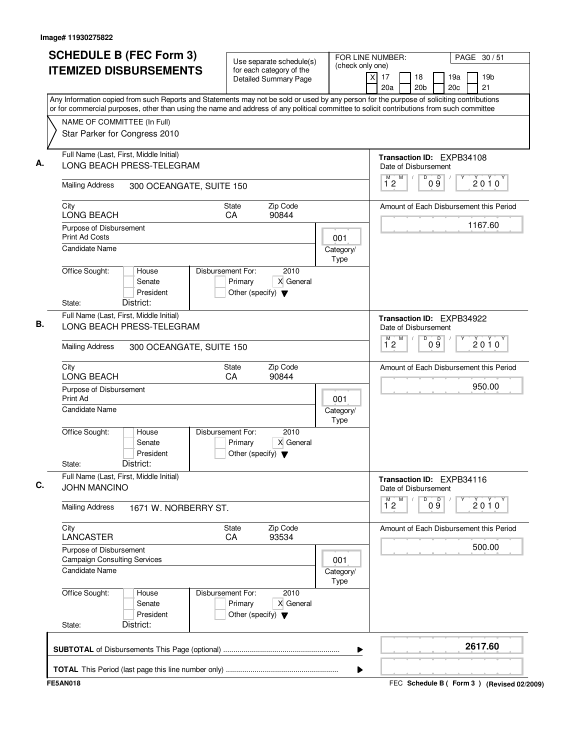| <b>SCHEDULE B (FEC Form 3)</b>                                                                                                                                                                                                                                                         | Use separate schedule(s)                                                                  |                   | FOR LINE NUMBER:<br>PAGE 30/51                                                             |
|----------------------------------------------------------------------------------------------------------------------------------------------------------------------------------------------------------------------------------------------------------------------------------------|-------------------------------------------------------------------------------------------|-------------------|--------------------------------------------------------------------------------------------|
| <b>ITEMIZED DISBURSEMENTS</b>                                                                                                                                                                                                                                                          | for each category of the<br><b>Detailed Summary Page</b>                                  | (check only one)  | X<br>17<br>19 <sub>b</sub><br>18<br>19a<br>20a<br>20 <sub>c</sub><br>21<br>20 <sub>b</sub> |
| Any Information copied from such Reports and Statements may not be sold or used by any person for the purpose of soliciting contributions<br>or for commercial purposes, other than using the name and address of any political committee to solicit contributions from such committee |                                                                                           |                   |                                                                                            |
| NAME OF COMMITTEE (In Full)                                                                                                                                                                                                                                                            |                                                                                           |                   |                                                                                            |
| Star Parker for Congress 2010                                                                                                                                                                                                                                                          |                                                                                           |                   |                                                                                            |
| Full Name (Last, First, Middle Initial)                                                                                                                                                                                                                                                |                                                                                           |                   | <b>Transaction ID: EXPB34108</b>                                                           |
| LONG BEACH PRESS-TELEGRAM                                                                                                                                                                                                                                                              |                                                                                           |                   | Date of Disbursement                                                                       |
| <b>Mailing Address</b><br>300 OCEANGATE, SUITE 150                                                                                                                                                                                                                                     |                                                                                           |                   | M<br>$\overline{D}$<br>$0\overset{D}{9}$<br>M<br>$2010^y$<br>12                            |
| City<br>LONG BEACH                                                                                                                                                                                                                                                                     | Zip Code<br><b>State</b><br>90844<br>CA                                                   |                   | Amount of Each Disbursement this Period                                                    |
| Purpose of Disbursement                                                                                                                                                                                                                                                                |                                                                                           |                   | 1167.60                                                                                    |
| <b>Print Ad Costs</b><br>Candidate Name                                                                                                                                                                                                                                                |                                                                                           | 001<br>Category/  |                                                                                            |
|                                                                                                                                                                                                                                                                                        |                                                                                           | Type              |                                                                                            |
| Office Sought:<br>House<br>Senate<br>President                                                                                                                                                                                                                                         | Disbursement For:<br>2010<br>X General<br>Primary<br>Other (specify) $\blacktriangledown$ |                   |                                                                                            |
| District:<br>State:<br>Full Name (Last, First, Middle Initial)                                                                                                                                                                                                                         |                                                                                           |                   |                                                                                            |
| LONG BEACH PRESS-TELEGRAM                                                                                                                                                                                                                                                              |                                                                                           |                   | Transaction ID: EXPB34922<br>Date of Disbursement<br>M<br>D<br>$\overline{D}$              |
| <b>Mailing Address</b><br>300 OCEANGATE, SUITE 150                                                                                                                                                                                                                                     |                                                                                           |                   | $\overline{1}^M$ 2<br>$2010^y$<br>0 9                                                      |
| City<br><b>LONG BEACH</b>                                                                                                                                                                                                                                                              | Zip Code<br>State<br>CA<br>90844                                                          |                   | Amount of Each Disbursement this Period                                                    |
| Purpose of Disbursement<br>Print Ad                                                                                                                                                                                                                                                    |                                                                                           | 001               | 950.00                                                                                     |
| <b>Candidate Name</b>                                                                                                                                                                                                                                                                  |                                                                                           | Category/<br>Type |                                                                                            |
| Office Sought:<br>House<br>Senate<br>President<br>District:<br>State:                                                                                                                                                                                                                  | Disbursement For:<br>2010<br>X General<br>Primary<br>Other (specify) $\blacktriangledown$ |                   |                                                                                            |
| Full Name (Last, First, Middle Initial)<br><b>JOHN MANCINO</b>                                                                                                                                                                                                                         |                                                                                           |                   | Transaction ID: EXPB34116<br>Date of Disbursement                                          |
| <b>Mailing Address</b><br>1671 W. NORBERRY ST.                                                                                                                                                                                                                                         |                                                                                           |                   | М<br>M<br>D<br>09<br>2010<br>$1^{\circ}2$                                                  |
| City<br>LANCASTER                                                                                                                                                                                                                                                                      | Zip Code<br><b>State</b><br>93534<br>CA                                                   |                   | Amount of Each Disbursement this Period                                                    |
| Purpose of Disbursement<br><b>Campaign Consulting Services</b>                                                                                                                                                                                                                         |                                                                                           | 001               | 500.00                                                                                     |
| Candidate Name                                                                                                                                                                                                                                                                         |                                                                                           | Category/<br>Type |                                                                                            |
| Office Sought:<br>House<br>Senate<br>President                                                                                                                                                                                                                                         | 2010<br>Disbursement For:<br>X General<br>Primary<br>Other (specify) $\blacktriangledown$ |                   |                                                                                            |
| District:<br>State:                                                                                                                                                                                                                                                                    |                                                                                           |                   |                                                                                            |
|                                                                                                                                                                                                                                                                                        |                                                                                           | ▶                 | 2617.60                                                                                    |
|                                                                                                                                                                                                                                                                                        |                                                                                           | ▶                 |                                                                                            |
| <b>FE5AN018</b>                                                                                                                                                                                                                                                                        |                                                                                           |                   | FEC Schedule B ( Form 3 ) (Revised 02/2009)                                                |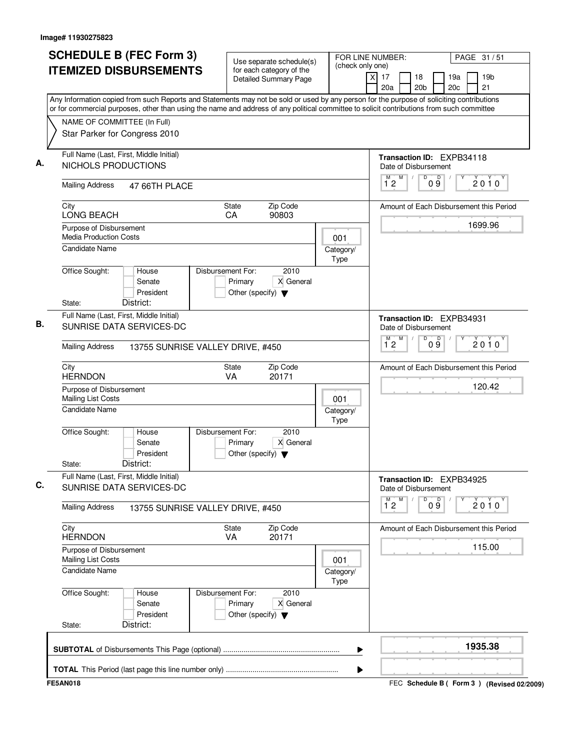| <b>SCHEDULE B (FEC Form 3)</b><br><b>ITEMIZED DISBURSEMENTS</b>                                                                                                                                                                                                                                                                                        | Use separate schedule(s)<br>for each category of the<br><b>Detailed Summary Page</b>      | FOR LINE NUMBER:<br>(check only one) | PAGE 31 / 51<br>19 <sub>b</sub><br>xl<br>17<br>18<br>19a<br>21<br>20a<br>20 <sub>b</sub><br>20c                             |
|--------------------------------------------------------------------------------------------------------------------------------------------------------------------------------------------------------------------------------------------------------------------------------------------------------------------------------------------------------|-------------------------------------------------------------------------------------------|--------------------------------------|-----------------------------------------------------------------------------------------------------------------------------|
| Any Information copied from such Reports and Statements may not be sold or used by any person for the purpose of soliciting contributions<br>or for commercial purposes, other than using the name and address of any political committee to solicit contributions from such committee<br>NAME OF COMMITTEE (In Full)<br>Star Parker for Congress 2010 |                                                                                           |                                      |                                                                                                                             |
| Full Name (Last, First, Middle Initial)<br>NICHOLS PRODUCTIONS<br><b>Mailing Address</b><br>47 66TH PLACE                                                                                                                                                                                                                                              |                                                                                           |                                      | <b>Transaction ID: EXPB34118</b><br>Date of Disbursement<br>M<br>D<br>M<br>D<br>$\sqrt{2}$<br>2010<br>12<br>$0\overline{9}$ |
| City<br><b>LONG BEACH</b>                                                                                                                                                                                                                                                                                                                              | Zip Code<br>State<br>CA<br>90803                                                          |                                      | Amount of Each Disbursement this Period                                                                                     |
| Purpose of Disbursement<br><b>Media Production Costs</b><br>Candidate Name                                                                                                                                                                                                                                                                             |                                                                                           | 001<br>Category/<br>Type             | 1699.96                                                                                                                     |
| Office Sought:<br>House<br>Senate<br>President<br>District:<br>State:                                                                                                                                                                                                                                                                                  | Disbursement For:<br>2010<br>X General<br>Primary<br>Other (specify) $\blacktriangledown$ |                                      |                                                                                                                             |
| Full Name (Last, First, Middle Initial)<br>SUNRISE DATA SERVICES-DC<br><b>Mailing Address</b><br>13755 SUNRISE VALLEY DRIVE, #450                                                                                                                                                                                                                      |                                                                                           |                                      | Transaction ID: EXPB34931<br>Date of Disbursement<br>M<br>D<br>M<br>09<br>2010<br>$1^{\circ}2$                              |
| City<br><b>HERNDON</b>                                                                                                                                                                                                                                                                                                                                 | Zip Code<br>State<br>VA<br>20171                                                          |                                      | Amount of Each Disbursement this Period                                                                                     |
| Purpose of Disbursement<br><b>Mailing List Costs</b><br><b>Candidate Name</b>                                                                                                                                                                                                                                                                          |                                                                                           | 001<br>Category/<br>Type             | 120.42                                                                                                                      |
| Office Sought:<br>House<br>Senate<br>President<br>District:<br>State:                                                                                                                                                                                                                                                                                  | 2010<br>Disbursement For:<br>X General<br>Primary<br>Other (specify) $\blacktriangledown$ |                                      |                                                                                                                             |
| Full Name (Last, First, Middle Initial)<br>SUNRISE DATA SERVICES-DC                                                                                                                                                                                                                                                                                    |                                                                                           |                                      | Transaction ID: EXPB34925<br>Date of Disbursement<br>M<br>D                                                                 |
| <b>Mailing Address</b><br>13755 SUNRISE VALLEY DRIVE, #450                                                                                                                                                                                                                                                                                             |                                                                                           |                                      | 09<br>$\overline{1}^M$ 2<br>$2010^y$                                                                                        |
| City<br><b>HERNDON</b>                                                                                                                                                                                                                                                                                                                                 | Zip Code<br>State<br>20171<br>VA                                                          |                                      | Amount of Each Disbursement this Period                                                                                     |
| Purpose of Disbursement<br>Mailing List Costs<br><b>Candidate Name</b>                                                                                                                                                                                                                                                                                 |                                                                                           | 001<br>Category/<br>Type             | 115.00                                                                                                                      |
| Office Sought:<br>House<br>Senate<br>President<br>District:<br>State:                                                                                                                                                                                                                                                                                  | Disbursement For:<br>2010<br>X General<br>Primary<br>Other (specify) $\blacktriangledown$ |                                      |                                                                                                                             |
|                                                                                                                                                                                                                                                                                                                                                        |                                                                                           |                                      | 1935.38                                                                                                                     |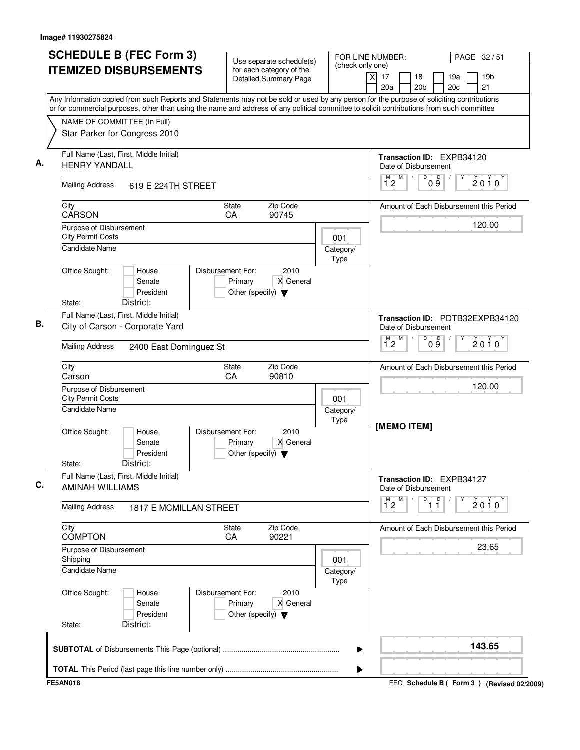| Any Information copied from such Reports and Statements may not be sold or used by any person for the purpose of soliciting contributions<br>or for commercial purposes, other than using the name and address of any political committee to solicit contributions from such committee<br>NAME OF COMMITTEE (In Full)<br>Star Parker for Congress 2010<br>Full Name (Last, First, Middle Initial)<br>Transaction ID: EXPB34120<br><b>HENRY YANDALL</b><br>Date of Disbursement<br>M<br>D<br>M<br>D<br>$\sqrt{2}$<br>2010<br>12<br>$0\overline{9}$<br><b>Mailing Address</b><br>619 E 224TH STREET<br>Zip Code<br>City<br>State<br>Amount of Each Disbursement this Period<br>CARSON<br>CA<br>90745<br>120.00<br>Purpose of Disbursement<br><b>City Permit Costs</b><br>001<br>Candidate Name<br>Category/<br>Type<br>Office Sought:<br>Disbursement For:<br>2010<br>House<br>X General<br>Primary<br>Senate<br>President<br>Other (specify) $\blacktriangledown$<br>District:<br>State:<br>Full Name (Last, First, Middle Initial)<br>Transaction ID: PDTB32EXPB34120<br>City of Carson - Corporate Yard<br>Date of Disbursement<br>M<br>D<br>M<br>09<br>2010<br>$1^{\circ}2$<br><b>Mailing Address</b><br>2400 East Dominguez St<br>Zip Code<br>City<br>State<br>Amount of Each Disbursement this Period<br>Carson<br>CA<br>90810<br>120.00<br>Purpose of Disbursement<br><b>City Permit Costs</b><br>001<br><b>Candidate Name</b><br>Category/<br>Type<br>[MEMO ITEM]<br>2010<br>Office Sought:<br>Disbursement For:<br>House<br>X General<br>Senate<br>Primary<br>President<br>Other (specify) $\blacktriangledown$<br>District:<br>State:<br>Full Name (Last, First, Middle Initial)<br>Transaction ID: EXPB34127<br><b>AMINAH WILLIAMS</b><br>Date of Disbursement<br>M<br>D<br>$\overline{1}$ $\overline{1}$<br>$\overline{1}^M$ 2<br>$2010^y$<br><b>Mailing Address</b><br>1817 E MCMILLAN STREET<br>City<br>Zip Code<br>State<br>Amount of Each Disbursement this Period<br><b>COMPTON</b><br>90221<br>CA<br>23.65<br>Purpose of Disbursement<br>Shipping<br>001<br><b>Candidate Name</b><br>Category/<br>Type<br>Office Sought:<br>Disbursement For:<br>2010<br>House<br>X General<br>Senate<br>Primary<br>President<br>Other (specify) $\blacktriangledown$<br>District:<br>State:<br>143.65<br>▶ | <b>SCHEDULE B (FEC Form 3)</b><br><b>ITEMIZED DISBURSEMENTS</b> | Use separate schedule(s)<br>for each category of the<br><b>Detailed Summary Page</b> | (check only one) | FOR LINE NUMBER:<br>PAGE 32 / 51<br>19 <sub>b</sub><br>xl<br>17<br>18<br>19a<br>20 <sub>b</sub><br>20c<br>21<br>20a |
|-------------------------------------------------------------------------------------------------------------------------------------------------------------------------------------------------------------------------------------------------------------------------------------------------------------------------------------------------------------------------------------------------------------------------------------------------------------------------------------------------------------------------------------------------------------------------------------------------------------------------------------------------------------------------------------------------------------------------------------------------------------------------------------------------------------------------------------------------------------------------------------------------------------------------------------------------------------------------------------------------------------------------------------------------------------------------------------------------------------------------------------------------------------------------------------------------------------------------------------------------------------------------------------------------------------------------------------------------------------------------------------------------------------------------------------------------------------------------------------------------------------------------------------------------------------------------------------------------------------------------------------------------------------------------------------------------------------------------------------------------------------------------------------------------------------------------------------------------------------------------------------------------------------------------------------------------------------------------------------------------------------------------------------------------------------------------------------------------------------------------------------------------------------------------------------------------------------------------------------------------------------------------------------------------------------|-----------------------------------------------------------------|--------------------------------------------------------------------------------------|------------------|---------------------------------------------------------------------------------------------------------------------|
|                                                                                                                                                                                                                                                                                                                                                                                                                                                                                                                                                                                                                                                                                                                                                                                                                                                                                                                                                                                                                                                                                                                                                                                                                                                                                                                                                                                                                                                                                                                                                                                                                                                                                                                                                                                                                                                                                                                                                                                                                                                                                                                                                                                                                                                                                                             |                                                                 |                                                                                      |                  |                                                                                                                     |
|                                                                                                                                                                                                                                                                                                                                                                                                                                                                                                                                                                                                                                                                                                                                                                                                                                                                                                                                                                                                                                                                                                                                                                                                                                                                                                                                                                                                                                                                                                                                                                                                                                                                                                                                                                                                                                                                                                                                                                                                                                                                                                                                                                                                                                                                                                             |                                                                 |                                                                                      |                  |                                                                                                                     |
|                                                                                                                                                                                                                                                                                                                                                                                                                                                                                                                                                                                                                                                                                                                                                                                                                                                                                                                                                                                                                                                                                                                                                                                                                                                                                                                                                                                                                                                                                                                                                                                                                                                                                                                                                                                                                                                                                                                                                                                                                                                                                                                                                                                                                                                                                                             |                                                                 |                                                                                      |                  |                                                                                                                     |
|                                                                                                                                                                                                                                                                                                                                                                                                                                                                                                                                                                                                                                                                                                                                                                                                                                                                                                                                                                                                                                                                                                                                                                                                                                                                                                                                                                                                                                                                                                                                                                                                                                                                                                                                                                                                                                                                                                                                                                                                                                                                                                                                                                                                                                                                                                             |                                                                 |                                                                                      |                  |                                                                                                                     |
|                                                                                                                                                                                                                                                                                                                                                                                                                                                                                                                                                                                                                                                                                                                                                                                                                                                                                                                                                                                                                                                                                                                                                                                                                                                                                                                                                                                                                                                                                                                                                                                                                                                                                                                                                                                                                                                                                                                                                                                                                                                                                                                                                                                                                                                                                                             |                                                                 |                                                                                      |                  |                                                                                                                     |
|                                                                                                                                                                                                                                                                                                                                                                                                                                                                                                                                                                                                                                                                                                                                                                                                                                                                                                                                                                                                                                                                                                                                                                                                                                                                                                                                                                                                                                                                                                                                                                                                                                                                                                                                                                                                                                                                                                                                                                                                                                                                                                                                                                                                                                                                                                             |                                                                 |                                                                                      |                  |                                                                                                                     |
|                                                                                                                                                                                                                                                                                                                                                                                                                                                                                                                                                                                                                                                                                                                                                                                                                                                                                                                                                                                                                                                                                                                                                                                                                                                                                                                                                                                                                                                                                                                                                                                                                                                                                                                                                                                                                                                                                                                                                                                                                                                                                                                                                                                                                                                                                                             |                                                                 |                                                                                      |                  |                                                                                                                     |
|                                                                                                                                                                                                                                                                                                                                                                                                                                                                                                                                                                                                                                                                                                                                                                                                                                                                                                                                                                                                                                                                                                                                                                                                                                                                                                                                                                                                                                                                                                                                                                                                                                                                                                                                                                                                                                                                                                                                                                                                                                                                                                                                                                                                                                                                                                             |                                                                 |                                                                                      |                  |                                                                                                                     |
|                                                                                                                                                                                                                                                                                                                                                                                                                                                                                                                                                                                                                                                                                                                                                                                                                                                                                                                                                                                                                                                                                                                                                                                                                                                                                                                                                                                                                                                                                                                                                                                                                                                                                                                                                                                                                                                                                                                                                                                                                                                                                                                                                                                                                                                                                                             |                                                                 |                                                                                      |                  |                                                                                                                     |
|                                                                                                                                                                                                                                                                                                                                                                                                                                                                                                                                                                                                                                                                                                                                                                                                                                                                                                                                                                                                                                                                                                                                                                                                                                                                                                                                                                                                                                                                                                                                                                                                                                                                                                                                                                                                                                                                                                                                                                                                                                                                                                                                                                                                                                                                                                             |                                                                 |                                                                                      |                  |                                                                                                                     |
|                                                                                                                                                                                                                                                                                                                                                                                                                                                                                                                                                                                                                                                                                                                                                                                                                                                                                                                                                                                                                                                                                                                                                                                                                                                                                                                                                                                                                                                                                                                                                                                                                                                                                                                                                                                                                                                                                                                                                                                                                                                                                                                                                                                                                                                                                                             |                                                                 |                                                                                      |                  |                                                                                                                     |
|                                                                                                                                                                                                                                                                                                                                                                                                                                                                                                                                                                                                                                                                                                                                                                                                                                                                                                                                                                                                                                                                                                                                                                                                                                                                                                                                                                                                                                                                                                                                                                                                                                                                                                                                                                                                                                                                                                                                                                                                                                                                                                                                                                                                                                                                                                             |                                                                 |                                                                                      |                  |                                                                                                                     |
|                                                                                                                                                                                                                                                                                                                                                                                                                                                                                                                                                                                                                                                                                                                                                                                                                                                                                                                                                                                                                                                                                                                                                                                                                                                                                                                                                                                                                                                                                                                                                                                                                                                                                                                                                                                                                                                                                                                                                                                                                                                                                                                                                                                                                                                                                                             |                                                                 |                                                                                      |                  |                                                                                                                     |
|                                                                                                                                                                                                                                                                                                                                                                                                                                                                                                                                                                                                                                                                                                                                                                                                                                                                                                                                                                                                                                                                                                                                                                                                                                                                                                                                                                                                                                                                                                                                                                                                                                                                                                                                                                                                                                                                                                                                                                                                                                                                                                                                                                                                                                                                                                             |                                                                 |                                                                                      |                  |                                                                                                                     |
|                                                                                                                                                                                                                                                                                                                                                                                                                                                                                                                                                                                                                                                                                                                                                                                                                                                                                                                                                                                                                                                                                                                                                                                                                                                                                                                                                                                                                                                                                                                                                                                                                                                                                                                                                                                                                                                                                                                                                                                                                                                                                                                                                                                                                                                                                                             |                                                                 |                                                                                      |                  |                                                                                                                     |
|                                                                                                                                                                                                                                                                                                                                                                                                                                                                                                                                                                                                                                                                                                                                                                                                                                                                                                                                                                                                                                                                                                                                                                                                                                                                                                                                                                                                                                                                                                                                                                                                                                                                                                                                                                                                                                                                                                                                                                                                                                                                                                                                                                                                                                                                                                             |                                                                 |                                                                                      |                  |                                                                                                                     |
|                                                                                                                                                                                                                                                                                                                                                                                                                                                                                                                                                                                                                                                                                                                                                                                                                                                                                                                                                                                                                                                                                                                                                                                                                                                                                                                                                                                                                                                                                                                                                                                                                                                                                                                                                                                                                                                                                                                                                                                                                                                                                                                                                                                                                                                                                                             |                                                                 |                                                                                      |                  |                                                                                                                     |
|                                                                                                                                                                                                                                                                                                                                                                                                                                                                                                                                                                                                                                                                                                                                                                                                                                                                                                                                                                                                                                                                                                                                                                                                                                                                                                                                                                                                                                                                                                                                                                                                                                                                                                                                                                                                                                                                                                                                                                                                                                                                                                                                                                                                                                                                                                             |                                                                 |                                                                                      |                  |                                                                                                                     |
|                                                                                                                                                                                                                                                                                                                                                                                                                                                                                                                                                                                                                                                                                                                                                                                                                                                                                                                                                                                                                                                                                                                                                                                                                                                                                                                                                                                                                                                                                                                                                                                                                                                                                                                                                                                                                                                                                                                                                                                                                                                                                                                                                                                                                                                                                                             |                                                                 |                                                                                      |                  |                                                                                                                     |
|                                                                                                                                                                                                                                                                                                                                                                                                                                                                                                                                                                                                                                                                                                                                                                                                                                                                                                                                                                                                                                                                                                                                                                                                                                                                                                                                                                                                                                                                                                                                                                                                                                                                                                                                                                                                                                                                                                                                                                                                                                                                                                                                                                                                                                                                                                             |                                                                 |                                                                                      |                  |                                                                                                                     |
|                                                                                                                                                                                                                                                                                                                                                                                                                                                                                                                                                                                                                                                                                                                                                                                                                                                                                                                                                                                                                                                                                                                                                                                                                                                                                                                                                                                                                                                                                                                                                                                                                                                                                                                                                                                                                                                                                                                                                                                                                                                                                                                                                                                                                                                                                                             |                                                                 |                                                                                      |                  |                                                                                                                     |
|                                                                                                                                                                                                                                                                                                                                                                                                                                                                                                                                                                                                                                                                                                                                                                                                                                                                                                                                                                                                                                                                                                                                                                                                                                                                                                                                                                                                                                                                                                                                                                                                                                                                                                                                                                                                                                                                                                                                                                                                                                                                                                                                                                                                                                                                                                             |                                                                 |                                                                                      |                  |                                                                                                                     |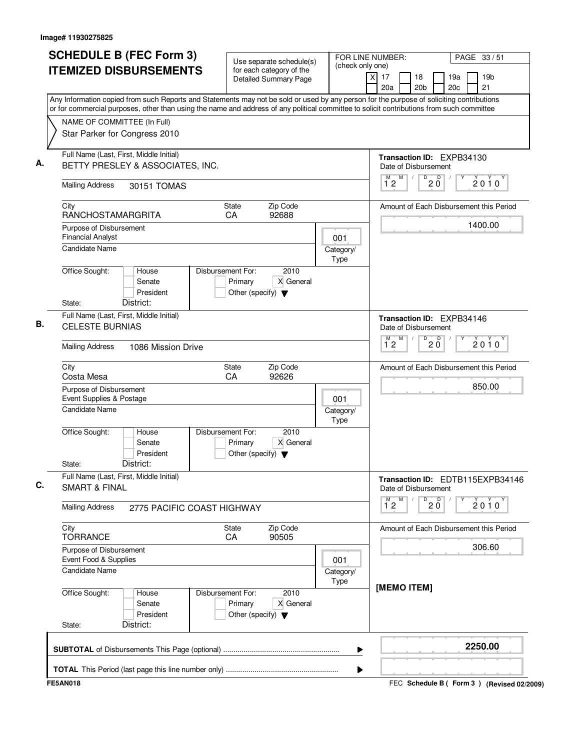| <b>SCHEDULE B (FEC Form 3)</b><br><b>ITEMIZED DISBURSEMENTS</b>                                                                                                                                                                                                                        | Use separate schedule(s)<br>for each category of the<br>Detailed Summary Page             | FOR LINE NUMBER:<br>(check only one)<br>$\times$ | PAGE 33/51<br>19 <sub>b</sub><br>17<br>18<br>19a<br>20 <sub>b</sub><br>20 <sub>c</sub><br>21<br>20a |
|----------------------------------------------------------------------------------------------------------------------------------------------------------------------------------------------------------------------------------------------------------------------------------------|-------------------------------------------------------------------------------------------|--------------------------------------------------|-----------------------------------------------------------------------------------------------------|
| Any Information copied from such Reports and Statements may not be sold or used by any person for the purpose of soliciting contributions<br>or for commercial purposes, other than using the name and address of any political committee to solicit contributions from such committee |                                                                                           |                                                  |                                                                                                     |
| NAME OF COMMITTEE (In Full)<br>Star Parker for Congress 2010                                                                                                                                                                                                                           |                                                                                           |                                                  |                                                                                                     |
| Full Name (Last, First, Middle Initial)<br>BETTY PRESLEY & ASSOCIATES, INC.                                                                                                                                                                                                            |                                                                                           |                                                  | <b>Transaction ID: EXPB34130</b><br>Date of Disbursement                                            |
| <b>Mailing Address</b><br>30151 TOMAS                                                                                                                                                                                                                                                  |                                                                                           |                                                  | M<br>$\overline{0}$ 2 $\overline{0}$<br>M<br>$2010^y$<br>12                                         |
| City<br>RANCHOSTAMARGRITA                                                                                                                                                                                                                                                              | Zip Code<br>State<br>92688<br>CA                                                          |                                                  | Amount of Each Disbursement this Period                                                             |
| Purpose of Disbursement<br><b>Financial Analyst</b><br><b>Candidate Name</b>                                                                                                                                                                                                           |                                                                                           | 001<br>Category/                                 | 1400.00                                                                                             |
| Office Sought:<br>House<br>Senate<br>President<br>District:<br>State:                                                                                                                                                                                                                  | Disbursement For:<br>2010<br>Primary<br>X General<br>Other (specify) $\blacktriangledown$ | Type                                             |                                                                                                     |
| Full Name (Last, First, Middle Initial)<br><b>CELESTE BURNIAS</b>                                                                                                                                                                                                                      |                                                                                           |                                                  | Transaction ID: EXPB34146<br>Date of Disbursement<br>M                                              |
| <b>Mailing Address</b><br>1086 Mission Drive                                                                                                                                                                                                                                           |                                                                                           |                                                  | $20^{\circ}$<br>$\overline{1}^M$ 2<br>D<br>$2010^y$                                                 |
| City<br>Costa Mesa                                                                                                                                                                                                                                                                     | <b>State</b><br>Zip Code<br>CA<br>92626                                                   |                                                  | Amount of Each Disbursement this Period                                                             |
| Purpose of Disbursement<br>Event Supplies & Postage<br><b>Candidate Name</b>                                                                                                                                                                                                           |                                                                                           | 001<br>Category/                                 | 850.00                                                                                              |
| Office Sought:<br>House<br>Senate<br>President<br>District:<br>State:                                                                                                                                                                                                                  | Disbursement For:<br>2010<br>X General<br>Primary<br>Other (specify) $\blacktriangledown$ | Type                                             |                                                                                                     |
| Full Name (Last, First, Middle Initial)<br><b>SMART &amp; FINAL</b>                                                                                                                                                                                                                    |                                                                                           |                                                  | Transaction ID: EDTB115EXPB34146<br>Date of Disbursement<br>М                                       |
| <b>Mailing Address</b><br>2775 PACIFIC COAST HIGHWAY                                                                                                                                                                                                                                   |                                                                                           |                                                  | M<br>D<br>$20^{\circ}$<br>$2010^y$<br>$1^{\degree}2$                                                |
| City<br><b>TORRANCE</b>                                                                                                                                                                                                                                                                | Zip Code<br><b>State</b><br>90505<br>CA                                                   |                                                  | Amount of Each Disbursement this Period                                                             |
| Purpose of Disbursement<br>Event Food & Supplies<br><b>Candidate Name</b>                                                                                                                                                                                                              |                                                                                           | 001                                              | 306.60                                                                                              |
| Office Sought:<br>House<br>Senate<br>President<br>District:<br>State:                                                                                                                                                                                                                  | Disbursement For:<br>2010<br>X General<br>Primary<br>Other (specify) $\blacktriangledown$ | Category/<br>Type                                | [MEMO ITEM]                                                                                         |
|                                                                                                                                                                                                                                                                                        |                                                                                           | ▶                                                | 2250.00                                                                                             |
|                                                                                                                                                                                                                                                                                        |                                                                                           | ▶                                                |                                                                                                     |
| <b>FE5AN018</b>                                                                                                                                                                                                                                                                        |                                                                                           |                                                  | FEC Schedule B ( Form 3 ) (Revised 02/2009)                                                         |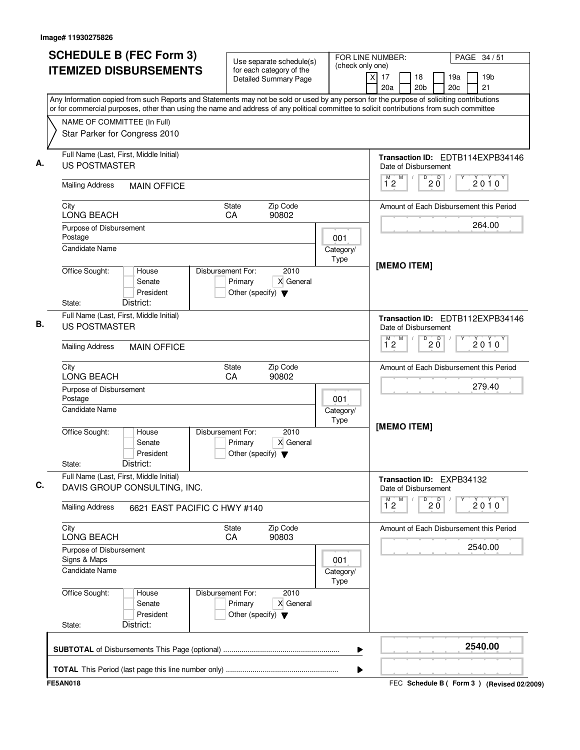| <b>ITEMIZED DISBURSEMENTS</b><br>for each category of the<br>19 <sub>b</sub><br>17<br>18<br>19a<br>X<br><b>Detailed Summary Page</b><br>20a<br>20 <sub>b</sub><br>20c<br>21<br>Any Information copied from such Reports and Statements may not be sold or used by any person for the purpose of soliciting contributions<br>or for commercial purposes, other than using the name and address of any political committee to solicit contributions from such committee<br>NAME OF COMMITTEE (In Full)<br>Star Parker for Congress 2010<br>Full Name (Last, First, Middle Initial)<br>А.<br><b>US POSTMASTER</b><br>Date of Disbursement<br>M<br>D<br>D<br>М<br>2010<br>$2\,\mathrm{O}$<br>$1^{\circ}2$<br><b>Mailing Address</b><br><b>MAIN OFFICE</b><br>Zip Code<br>State<br>City<br>90802<br><b>LONG BEACH</b><br>CA<br>264.00<br>Purpose of Disbursement<br>Postage<br>001<br><b>Candidate Name</b><br>Category/<br>Type<br>[MEMO ITEM]<br>Office Sought:<br>Disbursement For:<br>2010<br>House<br>Primary<br>X General<br>Senate<br>President<br>Other (specify) $\blacktriangledown$<br>State:<br>District:<br>Full Name (Last, First, Middle Initial)<br>В.<br><b>US POSTMASTER</b><br>Date of Disbursement<br>M<br>D<br>$20^{\circ}$<br>2010<br>$1^{\circ}2$<br><b>Mailing Address</b><br><b>MAIN OFFICE</b><br>Zip Code<br>City<br>State<br><b>LONG BEACH</b><br>CA<br>90802<br>279.40<br>Purpose of Disbursement<br>Postage<br>001<br><b>Candidate Name</b><br>Category/<br>Type<br>[MEMO ITEM]<br>Office Sought:<br>Disbursement For:<br>2010<br>House<br>X General<br>Senate<br>Primary<br>President<br>Other (specify) $\blacktriangledown$<br>District:<br>State:<br>Full Name (Last, First, Middle Initial)<br>Transaction ID: EXPB34132<br>С.<br>DAVIS GROUP CONSULTING, INC.<br>Date of Disbursement<br>M<br>$\overline{0}$ 2 $\overline{0}$<br>$\overline{1}^M$ 2<br>$2010^y$<br><b>Mailing Address</b><br>6621 EAST PACIFIC C HWY #140<br>City<br>Zip Code<br>State<br>LONG BEACH<br>CA<br>90803<br>2540.00<br>Purpose of Disbursement<br>Signs & Maps<br>001<br><b>Candidate Name</b><br>Category/<br>Type<br>Office Sought:<br>Disbursement For:<br>2010<br>House<br>X General<br>Senate<br>Primary<br>President<br>Other (specify) $\blacktriangledown$<br>District:<br>State:<br>2540.00<br>▶ | <b>SCHEDULE B (FEC Form 3)</b> | Use separate schedule(s) | (check only one) | FOR LINE NUMBER:<br>PAGE 34/51          |
|---------------------------------------------------------------------------------------------------------------------------------------------------------------------------------------------------------------------------------------------------------------------------------------------------------------------------------------------------------------------------------------------------------------------------------------------------------------------------------------------------------------------------------------------------------------------------------------------------------------------------------------------------------------------------------------------------------------------------------------------------------------------------------------------------------------------------------------------------------------------------------------------------------------------------------------------------------------------------------------------------------------------------------------------------------------------------------------------------------------------------------------------------------------------------------------------------------------------------------------------------------------------------------------------------------------------------------------------------------------------------------------------------------------------------------------------------------------------------------------------------------------------------------------------------------------------------------------------------------------------------------------------------------------------------------------------------------------------------------------------------------------------------------------------------------------------------------------------------------------------------------------------------------------------------------------------------------------------------------------------------------------------------------------------------------------------------------------------------------------------------------------------------------------------------------------------------------------------------------------------------------------------------------------------------------------------|--------------------------------|--------------------------|------------------|-----------------------------------------|
|                                                                                                                                                                                                                                                                                                                                                                                                                                                                                                                                                                                                                                                                                                                                                                                                                                                                                                                                                                                                                                                                                                                                                                                                                                                                                                                                                                                                                                                                                                                                                                                                                                                                                                                                                                                                                                                                                                                                                                                                                                                                                                                                                                                                                                                                                                                     |                                |                          |                  |                                         |
|                                                                                                                                                                                                                                                                                                                                                                                                                                                                                                                                                                                                                                                                                                                                                                                                                                                                                                                                                                                                                                                                                                                                                                                                                                                                                                                                                                                                                                                                                                                                                                                                                                                                                                                                                                                                                                                                                                                                                                                                                                                                                                                                                                                                                                                                                                                     |                                |                          |                  |                                         |
|                                                                                                                                                                                                                                                                                                                                                                                                                                                                                                                                                                                                                                                                                                                                                                                                                                                                                                                                                                                                                                                                                                                                                                                                                                                                                                                                                                                                                                                                                                                                                                                                                                                                                                                                                                                                                                                                                                                                                                                                                                                                                                                                                                                                                                                                                                                     |                                |                          |                  |                                         |
|                                                                                                                                                                                                                                                                                                                                                                                                                                                                                                                                                                                                                                                                                                                                                                                                                                                                                                                                                                                                                                                                                                                                                                                                                                                                                                                                                                                                                                                                                                                                                                                                                                                                                                                                                                                                                                                                                                                                                                                                                                                                                                                                                                                                                                                                                                                     |                                |                          |                  | Transaction ID: EDTB114EXPB34146        |
|                                                                                                                                                                                                                                                                                                                                                                                                                                                                                                                                                                                                                                                                                                                                                                                                                                                                                                                                                                                                                                                                                                                                                                                                                                                                                                                                                                                                                                                                                                                                                                                                                                                                                                                                                                                                                                                                                                                                                                                                                                                                                                                                                                                                                                                                                                                     |                                |                          |                  |                                         |
|                                                                                                                                                                                                                                                                                                                                                                                                                                                                                                                                                                                                                                                                                                                                                                                                                                                                                                                                                                                                                                                                                                                                                                                                                                                                                                                                                                                                                                                                                                                                                                                                                                                                                                                                                                                                                                                                                                                                                                                                                                                                                                                                                                                                                                                                                                                     |                                |                          |                  | Amount of Each Disbursement this Period |
|                                                                                                                                                                                                                                                                                                                                                                                                                                                                                                                                                                                                                                                                                                                                                                                                                                                                                                                                                                                                                                                                                                                                                                                                                                                                                                                                                                                                                                                                                                                                                                                                                                                                                                                                                                                                                                                                                                                                                                                                                                                                                                                                                                                                                                                                                                                     |                                |                          |                  |                                         |
|                                                                                                                                                                                                                                                                                                                                                                                                                                                                                                                                                                                                                                                                                                                                                                                                                                                                                                                                                                                                                                                                                                                                                                                                                                                                                                                                                                                                                                                                                                                                                                                                                                                                                                                                                                                                                                                                                                                                                                                                                                                                                                                                                                                                                                                                                                                     |                                |                          |                  |                                         |
|                                                                                                                                                                                                                                                                                                                                                                                                                                                                                                                                                                                                                                                                                                                                                                                                                                                                                                                                                                                                                                                                                                                                                                                                                                                                                                                                                                                                                                                                                                                                                                                                                                                                                                                                                                                                                                                                                                                                                                                                                                                                                                                                                                                                                                                                                                                     |                                |                          |                  |                                         |
|                                                                                                                                                                                                                                                                                                                                                                                                                                                                                                                                                                                                                                                                                                                                                                                                                                                                                                                                                                                                                                                                                                                                                                                                                                                                                                                                                                                                                                                                                                                                                                                                                                                                                                                                                                                                                                                                                                                                                                                                                                                                                                                                                                                                                                                                                                                     |                                |                          |                  | Transaction ID: EDTB112EXPB34146        |
|                                                                                                                                                                                                                                                                                                                                                                                                                                                                                                                                                                                                                                                                                                                                                                                                                                                                                                                                                                                                                                                                                                                                                                                                                                                                                                                                                                                                                                                                                                                                                                                                                                                                                                                                                                                                                                                                                                                                                                                                                                                                                                                                                                                                                                                                                                                     |                                |                          |                  |                                         |
|                                                                                                                                                                                                                                                                                                                                                                                                                                                                                                                                                                                                                                                                                                                                                                                                                                                                                                                                                                                                                                                                                                                                                                                                                                                                                                                                                                                                                                                                                                                                                                                                                                                                                                                                                                                                                                                                                                                                                                                                                                                                                                                                                                                                                                                                                                                     |                                |                          |                  | Amount of Each Disbursement this Period |
|                                                                                                                                                                                                                                                                                                                                                                                                                                                                                                                                                                                                                                                                                                                                                                                                                                                                                                                                                                                                                                                                                                                                                                                                                                                                                                                                                                                                                                                                                                                                                                                                                                                                                                                                                                                                                                                                                                                                                                                                                                                                                                                                                                                                                                                                                                                     |                                |                          |                  |                                         |
|                                                                                                                                                                                                                                                                                                                                                                                                                                                                                                                                                                                                                                                                                                                                                                                                                                                                                                                                                                                                                                                                                                                                                                                                                                                                                                                                                                                                                                                                                                                                                                                                                                                                                                                                                                                                                                                                                                                                                                                                                                                                                                                                                                                                                                                                                                                     |                                |                          |                  |                                         |
|                                                                                                                                                                                                                                                                                                                                                                                                                                                                                                                                                                                                                                                                                                                                                                                                                                                                                                                                                                                                                                                                                                                                                                                                                                                                                                                                                                                                                                                                                                                                                                                                                                                                                                                                                                                                                                                                                                                                                                                                                                                                                                                                                                                                                                                                                                                     |                                |                          |                  |                                         |
|                                                                                                                                                                                                                                                                                                                                                                                                                                                                                                                                                                                                                                                                                                                                                                                                                                                                                                                                                                                                                                                                                                                                                                                                                                                                                                                                                                                                                                                                                                                                                                                                                                                                                                                                                                                                                                                                                                                                                                                                                                                                                                                                                                                                                                                                                                                     |                                |                          |                  |                                         |
|                                                                                                                                                                                                                                                                                                                                                                                                                                                                                                                                                                                                                                                                                                                                                                                                                                                                                                                                                                                                                                                                                                                                                                                                                                                                                                                                                                                                                                                                                                                                                                                                                                                                                                                                                                                                                                                                                                                                                                                                                                                                                                                                                                                                                                                                                                                     |                                |                          |                  |                                         |
|                                                                                                                                                                                                                                                                                                                                                                                                                                                                                                                                                                                                                                                                                                                                                                                                                                                                                                                                                                                                                                                                                                                                                                                                                                                                                                                                                                                                                                                                                                                                                                                                                                                                                                                                                                                                                                                                                                                                                                                                                                                                                                                                                                                                                                                                                                                     |                                |                          |                  | Amount of Each Disbursement this Period |
|                                                                                                                                                                                                                                                                                                                                                                                                                                                                                                                                                                                                                                                                                                                                                                                                                                                                                                                                                                                                                                                                                                                                                                                                                                                                                                                                                                                                                                                                                                                                                                                                                                                                                                                                                                                                                                                                                                                                                                                                                                                                                                                                                                                                                                                                                                                     |                                |                          |                  |                                         |
|                                                                                                                                                                                                                                                                                                                                                                                                                                                                                                                                                                                                                                                                                                                                                                                                                                                                                                                                                                                                                                                                                                                                                                                                                                                                                                                                                                                                                                                                                                                                                                                                                                                                                                                                                                                                                                                                                                                                                                                                                                                                                                                                                                                                                                                                                                                     |                                |                          |                  |                                         |
|                                                                                                                                                                                                                                                                                                                                                                                                                                                                                                                                                                                                                                                                                                                                                                                                                                                                                                                                                                                                                                                                                                                                                                                                                                                                                                                                                                                                                                                                                                                                                                                                                                                                                                                                                                                                                                                                                                                                                                                                                                                                                                                                                                                                                                                                                                                     |                                |                          |                  |                                         |
|                                                                                                                                                                                                                                                                                                                                                                                                                                                                                                                                                                                                                                                                                                                                                                                                                                                                                                                                                                                                                                                                                                                                                                                                                                                                                                                                                                                                                                                                                                                                                                                                                                                                                                                                                                                                                                                                                                                                                                                                                                                                                                                                                                                                                                                                                                                     |                                |                          |                  |                                         |
|                                                                                                                                                                                                                                                                                                                                                                                                                                                                                                                                                                                                                                                                                                                                                                                                                                                                                                                                                                                                                                                                                                                                                                                                                                                                                                                                                                                                                                                                                                                                                                                                                                                                                                                                                                                                                                                                                                                                                                                                                                                                                                                                                                                                                                                                                                                     |                                |                          |                  |                                         |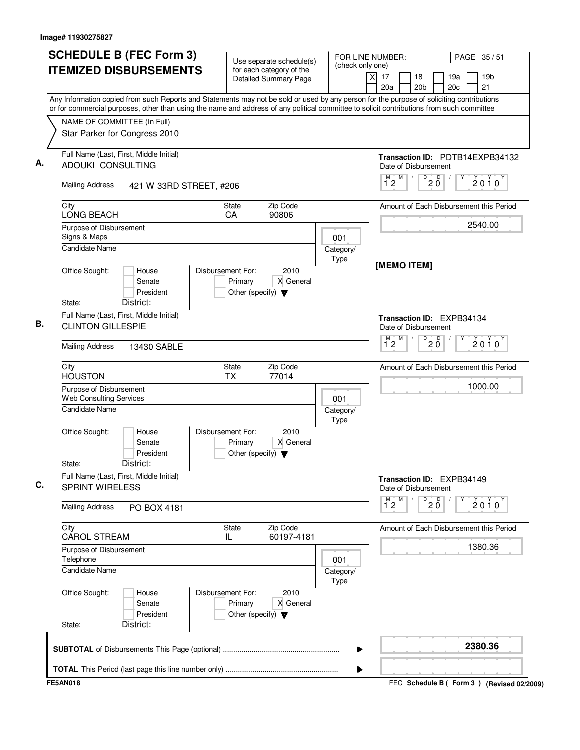| <b>SCHEDULE B (FEC Form 3)</b><br><b>ITEMIZED DISBURSEMENTS</b>                                                                                                                                                                                                                        | Use separate schedule(s)<br>for each category of the                                      | FOR LINE NUMBER:<br>(check only one) | PAGE 35/51<br>x<br>17<br>18<br>19a<br>19 <sub>b</sub>                      |
|----------------------------------------------------------------------------------------------------------------------------------------------------------------------------------------------------------------------------------------------------------------------------------------|-------------------------------------------------------------------------------------------|--------------------------------------|----------------------------------------------------------------------------|
|                                                                                                                                                                                                                                                                                        | <b>Detailed Summary Page</b>                                                              |                                      | 20c<br>21<br>20a<br>20 <sub>b</sub>                                        |
| Any Information copied from such Reports and Statements may not be sold or used by any person for the purpose of soliciting contributions<br>or for commercial purposes, other than using the name and address of any political committee to solicit contributions from such committee |                                                                                           |                                      |                                                                            |
| NAME OF COMMITTEE (In Full)                                                                                                                                                                                                                                                            |                                                                                           |                                      |                                                                            |
| Star Parker for Congress 2010                                                                                                                                                                                                                                                          |                                                                                           |                                      |                                                                            |
| Full Name (Last, First, Middle Initial)<br><b>ADOUKI CONSULTING</b>                                                                                                                                                                                                                    |                                                                                           |                                      | Transaction ID: PDTB14EXPB34132<br>Date of Disbursement                    |
| <b>Mailing Address</b><br>421 W 33RD STREET, #206                                                                                                                                                                                                                                      |                                                                                           |                                      | M<br>$\sqrt{\frac{D}{2}0}$<br>$\overline{1}^M$ 2<br>$2010^y$               |
| City<br>LONG BEACH                                                                                                                                                                                                                                                                     | Zip Code<br>State<br>CA<br>90806                                                          |                                      | Amount of Each Disbursement this Period                                    |
| Purpose of Disbursement<br>Signs & Maps                                                                                                                                                                                                                                                |                                                                                           | 001                                  | 2540.00                                                                    |
| Candidate Name                                                                                                                                                                                                                                                                         |                                                                                           | Category/<br>Type                    |                                                                            |
| Office Sought:<br>House<br>Senate<br>President<br>District:<br>State:                                                                                                                                                                                                                  | Disbursement For:<br>2010<br>X General<br>Primary<br>Other (specify) $\blacktriangledown$ |                                      | [MEMO ITEM]                                                                |
| Full Name (Last, First, Middle Initial)<br><b>CLINTON GILLESPIE</b>                                                                                                                                                                                                                    |                                                                                           |                                      | Transaction ID: EXPB34134<br>Date of Disbursement                          |
| <b>Mailing Address</b><br>13430 SABLE                                                                                                                                                                                                                                                  |                                                                                           |                                      | M<br>D<br>$\overline{D}$<br>$\overline{1}^M$ 2<br>$2010^y$<br>$20^{\circ}$ |
| City<br><b>HOUSTON</b>                                                                                                                                                                                                                                                                 | Zip Code<br>State<br><b>TX</b><br>77014                                                   |                                      | Amount of Each Disbursement this Period                                    |
| Purpose of Disbursement<br>Web Consulting Services                                                                                                                                                                                                                                     |                                                                                           | 001                                  | 1000.00                                                                    |
| <b>Candidate Name</b>                                                                                                                                                                                                                                                                  |                                                                                           | Category/<br>Type                    |                                                                            |
| Office Sought:<br>House<br>Senate<br>President<br>District:<br>State:                                                                                                                                                                                                                  | Disbursement For:<br>2010<br>X General<br>Primary<br>Other (specify) $\blacktriangledown$ |                                      |                                                                            |
| Full Name (Last, First, Middle Initial)<br><b>SPRINT WIRELESS</b>                                                                                                                                                                                                                      |                                                                                           |                                      | Transaction ID: EXPB34149<br>Date of Disbursement                          |
| <b>Mailing Address</b><br>PO BOX 4181                                                                                                                                                                                                                                                  |                                                                                           |                                      | $\overline{1}^M$ 2<br>M<br>D<br>$20^{\circ}$<br>2010                       |
| City<br><b>CAROL STREAM</b>                                                                                                                                                                                                                                                            | State<br>Zip Code<br>60197-4181<br>IL                                                     |                                      | Amount of Each Disbursement this Period                                    |
| Purpose of Disbursement<br>Telephone                                                                                                                                                                                                                                                   |                                                                                           | 001                                  | 1380.36                                                                    |
| Candidate Name                                                                                                                                                                                                                                                                         |                                                                                           | Category/<br>Type                    |                                                                            |
| Office Sought:<br>House<br>Senate<br>President<br>District:<br>State:                                                                                                                                                                                                                  | 2010<br>Disbursement For:<br>X General<br>Primary<br>Other (specify) $\blacktriangledown$ |                                      |                                                                            |
|                                                                                                                                                                                                                                                                                        |                                                                                           | ▶                                    | 2380.36                                                                    |
|                                                                                                                                                                                                                                                                                        |                                                                                           | ▶                                    |                                                                            |
| <b>FE5AN018</b>                                                                                                                                                                                                                                                                        |                                                                                           |                                      | FEC Schedule B ( Form 3 ) (Revised 02/2009)                                |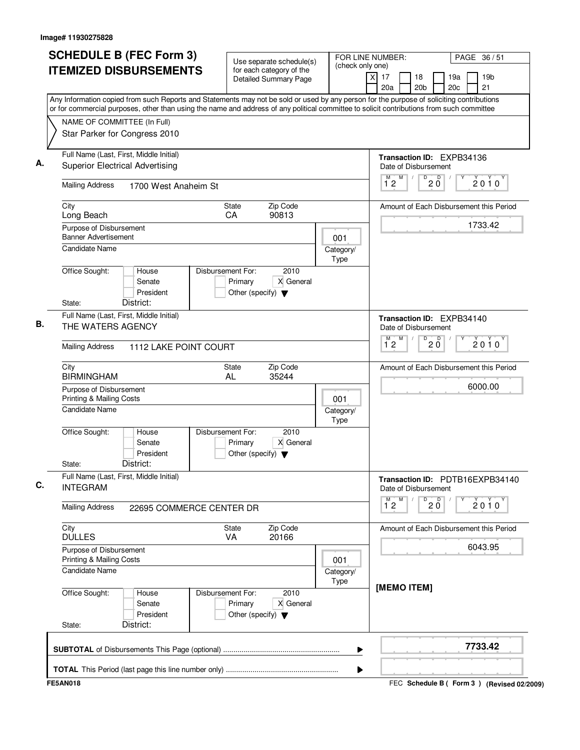| <b>SCHEDULE B (FEC Form 3)</b>                                                    | Use separate schedule(s)                                                                                                                                                                                                                                                               | FOR LINE NUMBER:<br>(check only one) |                                                      | PAGE 36/51                                |
|-----------------------------------------------------------------------------------|----------------------------------------------------------------------------------------------------------------------------------------------------------------------------------------------------------------------------------------------------------------------------------------|--------------------------------------|------------------------------------------------------|-------------------------------------------|
| <b>ITEMIZED DISBURSEMENTS</b>                                                     | for each category of the<br>Detailed Summary Page                                                                                                                                                                                                                                      |                                      | $\overline{x}$<br>17<br>18<br>20a<br>20 <sub>b</sub> | 19 <sub>b</sub><br>19a<br>21<br>20c       |
|                                                                                   | Any Information copied from such Reports and Statements may not be sold or used by any person for the purpose of soliciting contributions<br>or for commercial purposes, other than using the name and address of any political committee to solicit contributions from such committee |                                      |                                                      |                                           |
| NAME OF COMMITTEE (In Full)<br>Star Parker for Congress 2010                      |                                                                                                                                                                                                                                                                                        |                                      |                                                      |                                           |
| Full Name (Last, First, Middle Initial)<br><b>Superior Electrical Advertising</b> |                                                                                                                                                                                                                                                                                        |                                      | Transaction ID: EXPB34136<br>Date of Disbursement    |                                           |
| <b>Mailing Address</b><br>1700 West Anaheim St                                    |                                                                                                                                                                                                                                                                                        |                                      | M<br>D<br>$1^{\degree}2$<br>2 Ŏ                      | D<br>2010                                 |
| City<br>Long Beach                                                                | Zip Code<br>State<br>CA<br>90813                                                                                                                                                                                                                                                       |                                      |                                                      | Amount of Each Disbursement this Period   |
| Purpose of Disbursement<br><b>Banner Advertisement</b>                            |                                                                                                                                                                                                                                                                                        | 001                                  |                                                      | 1733.42                                   |
| Candidate Name<br>House                                                           | Disbursement For:<br>2010                                                                                                                                                                                                                                                              | Category/<br>Type                    |                                                      |                                           |
| Office Sought:<br>Senate<br>President<br>District:<br>State:                      | X General<br>Primary<br>Other (specify) $\blacktriangledown$                                                                                                                                                                                                                           |                                      |                                                      |                                           |
| Full Name (Last, First, Middle Initial)<br>THE WATERS AGENCY                      |                                                                                                                                                                                                                                                                                        |                                      | Transaction ID: EXPB34140<br>Date of Disbursement    |                                           |
| <b>Mailing Address</b><br>1112 LAKE POINT COURT                                   |                                                                                                                                                                                                                                                                                        |                                      | M<br>D<br>$20^{\circ}$<br>$1^{\circ}2$               | 2010                                      |
| City<br><b>BIRMINGHAM</b>                                                         | Zip Code<br>State<br>AL.<br>35244                                                                                                                                                                                                                                                      |                                      |                                                      | Amount of Each Disbursement this Period   |
| Purpose of Disbursement<br>Printing & Mailing Costs                               |                                                                                                                                                                                                                                                                                        | 001                                  |                                                      | 6000.00                                   |
| Candidate Name                                                                    |                                                                                                                                                                                                                                                                                        | Category/<br>Type                    |                                                      |                                           |
| Office Sought:<br>House<br>Senate<br>President<br>District:<br>State:             | 2010<br>Disbursement For:<br>X General<br>Primary<br>Other (specify) $\blacktriangledown$                                                                                                                                                                                              |                                      |                                                      |                                           |
| Full Name (Last, First, Middle Initial)<br><b>INTEGRAM</b>                        |                                                                                                                                                                                                                                                                                        |                                      | Date of Disbursement                                 | Transaction ID: PDTB16EXPB34140           |
| <b>Mailing Address</b>                                                            | 22695 COMMERCE CENTER DR                                                                                                                                                                                                                                                               |                                      | M<br>$20^{\circ}$<br>$\overline{1}^M$ 2<br>D         | $2010^y$                                  |
| City<br><b>DULLES</b>                                                             | Zip Code<br><b>State</b><br>20166<br><b>VA</b>                                                                                                                                                                                                                                         |                                      |                                                      | Amount of Each Disbursement this Period   |
| Purpose of Disbursement<br>Printing & Mailing Costs                               |                                                                                                                                                                                                                                                                                        | 001                                  |                                                      | 6043.95                                   |
| <b>Candidate Name</b>                                                             |                                                                                                                                                                                                                                                                                        | Category/<br>Type                    | [MEMO ITEM]                                          |                                           |
| Office Sought:<br>House<br>Senate<br>President<br>District:<br>State:             | Disbursement For:<br>2010<br>X General<br>Primary<br>Other (specify) $\blacktriangledown$                                                                                                                                                                                              |                                      |                                                      |                                           |
|                                                                                   |                                                                                                                                                                                                                                                                                        | ▶                                    |                                                      | 7733.42                                   |
|                                                                                   |                                                                                                                                                                                                                                                                                        | ▶                                    |                                                      |                                           |
| <b>FE5AN018</b>                                                                   |                                                                                                                                                                                                                                                                                        |                                      |                                                      | FEC Schedule B (Form 3) (Revised 02/2009) |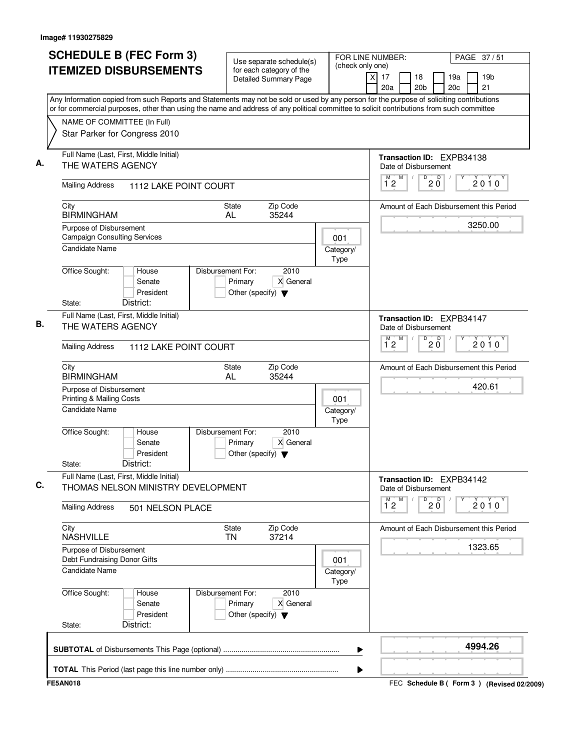| <b>SCHEDULE B (FEC Form 3)</b><br><b>ITEMIZED DISBURSEMENTS</b>                                                                           | Use separate schedule(s)<br>for each category of the<br>Detailed Summary Page             | FOR LINE NUMBER:<br>PAGE 37/51<br>(check only one)<br>xl<br>17<br>19 <sub>b</sub><br>18<br>19a<br>21<br>20a<br>20 <sub>b</sub><br>20 <sub>c</sub> |
|-------------------------------------------------------------------------------------------------------------------------------------------|-------------------------------------------------------------------------------------------|---------------------------------------------------------------------------------------------------------------------------------------------------|
| or for commercial purposes, other than using the name and address of any political committee to solicit contributions from such committee |                                                                                           | Any Information copied from such Reports and Statements may not be sold or used by any person for the purpose of soliciting contributions         |
| NAME OF COMMITTEE (In Full)<br>Star Parker for Congress 2010                                                                              |                                                                                           |                                                                                                                                                   |
| Full Name (Last, First, Middle Initial)<br>THE WATERS AGENCY                                                                              |                                                                                           | <b>Transaction ID: EXPB34138</b><br>Date of Disbursement                                                                                          |
| <b>Mailing Address</b><br>1112 LAKE POINT COURT                                                                                           |                                                                                           | $D$ <sub>2</sub> $\overline{0}$<br>M<br>М<br>$2010^y$<br>$1^{\circ}2$                                                                             |
| City<br><b>BIRMINGHAM</b>                                                                                                                 | Zip Code<br><b>State</b><br>AL<br>35244                                                   | Amount of Each Disbursement this Period                                                                                                           |
| Purpose of Disbursement<br><b>Campaign Consulting Services</b>                                                                            | 001                                                                                       | 3250.00                                                                                                                                           |
| <b>Candidate Name</b>                                                                                                                     | Category/<br>Type                                                                         |                                                                                                                                                   |
| Office Sought:<br>House<br>Senate<br>President<br>District:                                                                               | Disbursement For:<br>2010<br>X General<br>Primary<br>Other (specify) $\blacktriangledown$ |                                                                                                                                                   |
| State:<br>Full Name (Last, First, Middle Initial)<br>THE WATERS AGENCY                                                                    |                                                                                           | Transaction ID: EXPB34147<br>Date of Disbursement                                                                                                 |
| <b>Mailing Address</b><br>1112 LAKE POINT COURT                                                                                           |                                                                                           | M<br>D<br>$20^{\circ}$<br>м<br>$2010^y$<br>$1^{\degree}2$                                                                                         |
| City<br><b>BIRMINGHAM</b>                                                                                                                 | Zip Code<br>State<br><b>AL</b><br>35244                                                   | Amount of Each Disbursement this Period                                                                                                           |
| Purpose of Disbursement<br><b>Printing &amp; Mailing Costs</b><br>Candidate Name                                                          | 001<br>Category/<br>Type                                                                  | 420.61                                                                                                                                            |
| Office Sought:<br>House<br>Senate<br>President<br>District:<br>State:                                                                     | Disbursement For:<br>2010<br>X General<br>Primary<br>Other (specify) $\blacktriangledown$ |                                                                                                                                                   |
| Full Name (Last, First, Middle Initial)<br>THOMAS NELSON MINISTRY DEVELOPMENT                                                             |                                                                                           | Transaction ID: EXPB34142<br>Date of Disbursement                                                                                                 |
| <b>Mailing Address</b><br>501 NELSON PLACE                                                                                                |                                                                                           | M<br>D<br>$20^{\circ}$<br>М<br>$2010^y$<br>12                                                                                                     |
| City<br><b>NASHVILLE</b>                                                                                                                  | Zip Code<br>State<br>37214<br>TN                                                          | Amount of Each Disbursement this Period                                                                                                           |
| Purpose of Disbursement<br>Debt Fundraising Donor Gifts                                                                                   | 001                                                                                       | 1323.65                                                                                                                                           |
| Candidate Name                                                                                                                            | Category/<br>Type                                                                         |                                                                                                                                                   |
| Office Sought:<br>House<br>Senate<br>President<br>District:<br>State:                                                                     | Disbursement For:<br>2010<br>Primary<br>X General<br>Other (specify) $\blacktriangledown$ |                                                                                                                                                   |
|                                                                                                                                           |                                                                                           |                                                                                                                                                   |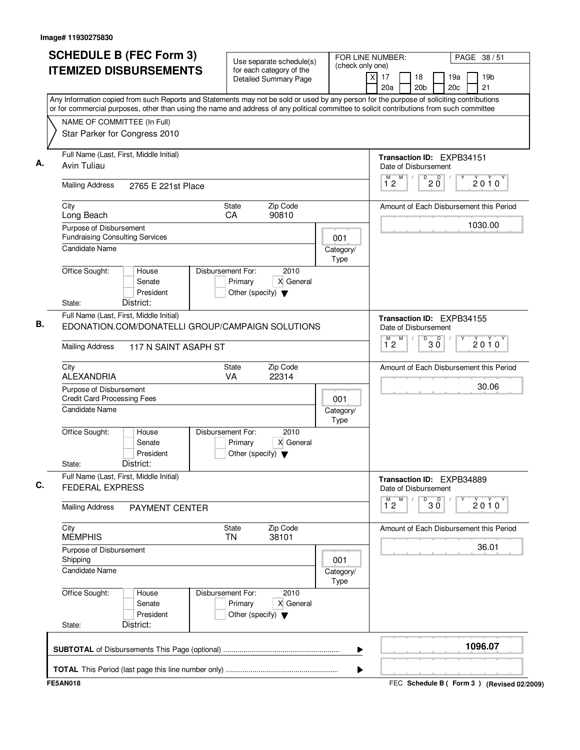| <b>SCHEDULE B (FEC Form 3)</b>                                                                                                                                                                                                                                                         | Use separate schedule(s)                                                                  | FOR LINE NUMBER:         | PAGE 38/51                                                                            |
|----------------------------------------------------------------------------------------------------------------------------------------------------------------------------------------------------------------------------------------------------------------------------------------|-------------------------------------------------------------------------------------------|--------------------------|---------------------------------------------------------------------------------------|
| <b>ITEMIZED DISBURSEMENTS</b>                                                                                                                                                                                                                                                          | for each category of the<br><b>Detailed Summary Page</b>                                  | (check only one)         | 19 <sub>b</sub><br>$\times$<br>17<br>18<br>19a<br>20 <sub>b</sub><br>20c<br>21<br>20a |
| Any Information copied from such Reports and Statements may not be sold or used by any person for the purpose of soliciting contributions<br>or for commercial purposes, other than using the name and address of any political committee to solicit contributions from such committee |                                                                                           |                          |                                                                                       |
| NAME OF COMMITTEE (In Full)                                                                                                                                                                                                                                                            |                                                                                           |                          |                                                                                       |
| Star Parker for Congress 2010                                                                                                                                                                                                                                                          |                                                                                           |                          |                                                                                       |
| Full Name (Last, First, Middle Initial)<br>Avin Tuliau                                                                                                                                                                                                                                 |                                                                                           |                          | Transaction ID: EXPB34151<br>Date of Disbursement                                     |
| <b>Mailing Address</b><br>2765 E 221st Place                                                                                                                                                                                                                                           |                                                                                           |                          | M<br>D<br>D<br>M<br>$\sqrt{2}$<br>2010<br>$2\,\mathrm{O}$<br>12                       |
| City<br>Long Beach                                                                                                                                                                                                                                                                     | Zip Code<br>State<br>90810<br>CA                                                          |                          | Amount of Each Disbursement this Period                                               |
| Purpose of Disbursement<br><b>Fundraising Consulting Services</b>                                                                                                                                                                                                                      |                                                                                           | 001                      | 1030.00                                                                               |
| <b>Candidate Name</b>                                                                                                                                                                                                                                                                  |                                                                                           | Category/<br>Type        |                                                                                       |
| Office Sought:<br>House<br>Senate<br>President                                                                                                                                                                                                                                         | Disbursement For:<br>2010<br>Primary<br>X General<br>Other (specify) $\blacktriangledown$ |                          |                                                                                       |
| District:<br>State:                                                                                                                                                                                                                                                                    |                                                                                           |                          |                                                                                       |
| Full Name (Last, First, Middle Initial)<br>EDONATION.COM/DONATELLI GROUP/CAMPAIGN SOLUTIONS                                                                                                                                                                                            |                                                                                           |                          | Transaction ID: EXPB34155<br>Date of Disbursement                                     |
| <b>Mailing Address</b><br>117 N SAINT ASAPH ST                                                                                                                                                                                                                                         |                                                                                           |                          | D<br>M<br>$30^{\circ}$<br>М<br>$2010^y$<br>$1^{\circ}2$                               |
| City<br><b>ALEXANDRIA</b>                                                                                                                                                                                                                                                              | Zip Code<br>State<br>VA<br>22314                                                          |                          | Amount of Each Disbursement this Period                                               |
| Purpose of Disbursement<br><b>Credit Card Processing Fees</b>                                                                                                                                                                                                                          |                                                                                           | 001                      | 30.06                                                                                 |
| Candidate Name                                                                                                                                                                                                                                                                         |                                                                                           | Category/<br><b>Type</b> |                                                                                       |
| Office Sought:<br>House<br>Senate<br>President                                                                                                                                                                                                                                         | Disbursement For:<br>2010<br>X General<br>Primary<br>Other (specify) $\blacktriangledown$ |                          |                                                                                       |
| District:<br>State:                                                                                                                                                                                                                                                                    |                                                                                           |                          |                                                                                       |
| Full Name (Last, First, Middle Initial)<br><b>FEDERAL EXPRESS</b>                                                                                                                                                                                                                      |                                                                                           |                          | Transaction ID: EXPB34889<br>Date of Disbursement                                     |
| <b>Mailing Address</b><br><b>PAYMENT CENTER</b>                                                                                                                                                                                                                                        |                                                                                           |                          | M<br>$\overline{30}$<br>$\overline{1}^M$ 2<br>$2010^y$                                |
| City<br><b>MEMPHIS</b>                                                                                                                                                                                                                                                                 | Zip Code<br>State<br><b>TN</b><br>38101                                                   |                          | Amount of Each Disbursement this Period                                               |
| Purpose of Disbursement<br>Shipping                                                                                                                                                                                                                                                    |                                                                                           | 001                      | 36.01                                                                                 |
| Candidate Name                                                                                                                                                                                                                                                                         |                                                                                           | Category/<br><b>Type</b> |                                                                                       |
| Office Sought:<br>House<br>Senate<br>President                                                                                                                                                                                                                                         | 2010<br>Disbursement For:<br>X General<br>Primary<br>Other (specify) $\blacktriangledown$ |                          |                                                                                       |
| District:<br>State:                                                                                                                                                                                                                                                                    |                                                                                           |                          |                                                                                       |
|                                                                                                                                                                                                                                                                                        |                                                                                           | ▶                        | 1096.07                                                                               |
|                                                                                                                                                                                                                                                                                        |                                                                                           |                          |                                                                                       |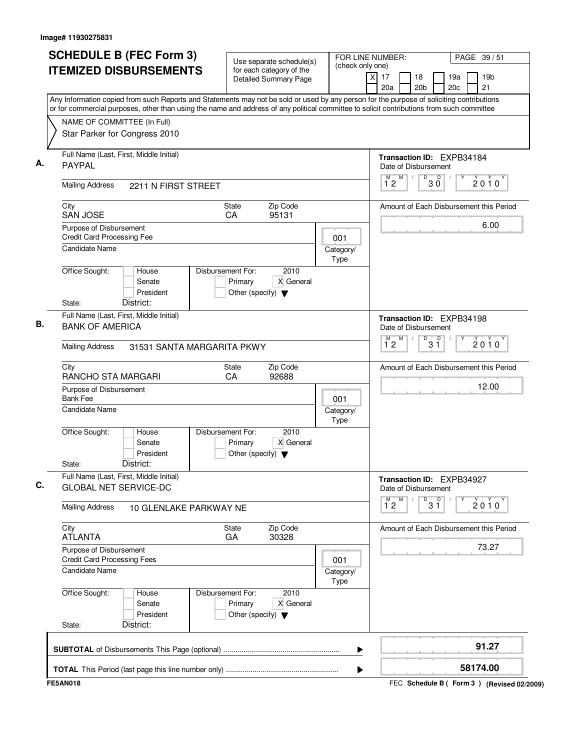| <b>SCHEDULE B (FEC Form 3)</b>                                                                                                                                                                                                                                                         | Use separate schedule(s)                                                                  |                          | FOR LINE NUMBER:<br>PAGE 39/51                                                 |
|----------------------------------------------------------------------------------------------------------------------------------------------------------------------------------------------------------------------------------------------------------------------------------------|-------------------------------------------------------------------------------------------|--------------------------|--------------------------------------------------------------------------------|
| <b>ITEMIZED DISBURSEMENTS</b>                                                                                                                                                                                                                                                          | for each category of the<br><b>Detailed Summary Page</b>                                  | (check only one)         | x<br>17<br>18<br>19a<br>19 <sub>b</sub><br>20 <sub>b</sub><br>20c<br>21<br>20a |
| Any Information copied from such Reports and Statements may not be sold or used by any person for the purpose of soliciting contributions<br>or for commercial purposes, other than using the name and address of any political committee to solicit contributions from such committee |                                                                                           |                          |                                                                                |
| NAME OF COMMITTEE (In Full)                                                                                                                                                                                                                                                            |                                                                                           |                          |                                                                                |
| Star Parker for Congress 2010                                                                                                                                                                                                                                                          |                                                                                           |                          |                                                                                |
| Full Name (Last, First, Middle Initial)<br><b>PAYPAL</b>                                                                                                                                                                                                                               |                                                                                           |                          | Transaction ID: EXPB34184<br>Date of Disbursement                              |
| <b>Mailing Address</b><br>2211 N FIRST STREET                                                                                                                                                                                                                                          |                                                                                           |                          | D<br>М<br>M<br>$30^{\circ}$<br>$2010^y$<br>12                                  |
| City<br><b>SAN JOSE</b>                                                                                                                                                                                                                                                                | Zip Code<br>State<br>CA<br>95131                                                          |                          | Amount of Each Disbursement this Period                                        |
| Purpose of Disbursement<br><b>Credit Card Processing Fee</b>                                                                                                                                                                                                                           |                                                                                           | 001                      | 6.00                                                                           |
| Candidate Name                                                                                                                                                                                                                                                                         |                                                                                           | Category/<br><b>Type</b> |                                                                                |
| Office Sought:<br>House<br>Senate<br>President                                                                                                                                                                                                                                         | Disbursement For:<br>2010<br>Primary<br>X General<br>Other (specify) $\blacktriangledown$ |                          |                                                                                |
| District:<br>State:                                                                                                                                                                                                                                                                    |                                                                                           |                          |                                                                                |
| Full Name (Last, First, Middle Initial)<br><b>BANK OF AMERICA</b>                                                                                                                                                                                                                      |                                                                                           |                          | Transaction ID: EXPB34198<br>Date of Disbursement                              |
| <b>Mailing Address</b><br>31531 SANTA MARGARITA PKWY                                                                                                                                                                                                                                   |                                                                                           |                          | M<br>D<br>м<br>$3^{\circ}$<br>2010<br>12                                       |
| City<br>RANCHO STA MARGARI                                                                                                                                                                                                                                                             | Zip Code<br>State<br>CA<br>92688                                                          |                          | Amount of Each Disbursement this Period                                        |
| Purpose of Disbursement<br><b>Bank Fee</b>                                                                                                                                                                                                                                             |                                                                                           | 001                      | 12.00                                                                          |
| <b>Candidate Name</b>                                                                                                                                                                                                                                                                  |                                                                                           | Category/<br><b>Type</b> |                                                                                |
| Office Sought:<br>House<br>Senate<br>President<br>District:<br>State:                                                                                                                                                                                                                  | Disbursement For:<br>2010<br>X General<br>Primary<br>Other (specify) $\blacktriangledown$ |                          |                                                                                |
| Full Name (Last, First, Middle Initial)<br><b>GLOBAL NET SERVICE-DC</b>                                                                                                                                                                                                                |                                                                                           |                          | Transaction ID: EXPB34927<br>Date of Disbursement                              |
| <b>Mailing Address</b><br>10 GLENLAKE PARKWAY NE                                                                                                                                                                                                                                       |                                                                                           |                          | M<br>$\overline{30}$<br>$\overline{1}^M$ 2<br>$2010^y$                         |
| City<br><b>ATLANTA</b>                                                                                                                                                                                                                                                                 | Zip Code<br>State<br>GA<br>30328                                                          |                          | Amount of Each Disbursement this Period                                        |
| Purpose of Disbursement<br><b>Credit Card Processing Fees</b>                                                                                                                                                                                                                          |                                                                                           | 001                      | 73.27                                                                          |
| Candidate Name                                                                                                                                                                                                                                                                         |                                                                                           | Category/<br><b>Type</b> |                                                                                |
|                                                                                                                                                                                                                                                                                        | Disbursement For:<br>2010                                                                 |                          |                                                                                |
| Office Sought:<br>House<br>Senate<br>President                                                                                                                                                                                                                                         | Primary<br>X General<br>Other (specify) $\blacktriangledown$                              |                          |                                                                                |
| District:<br>State:                                                                                                                                                                                                                                                                    |                                                                                           |                          |                                                                                |
|                                                                                                                                                                                                                                                                                        |                                                                                           | ▶                        | 91.27                                                                          |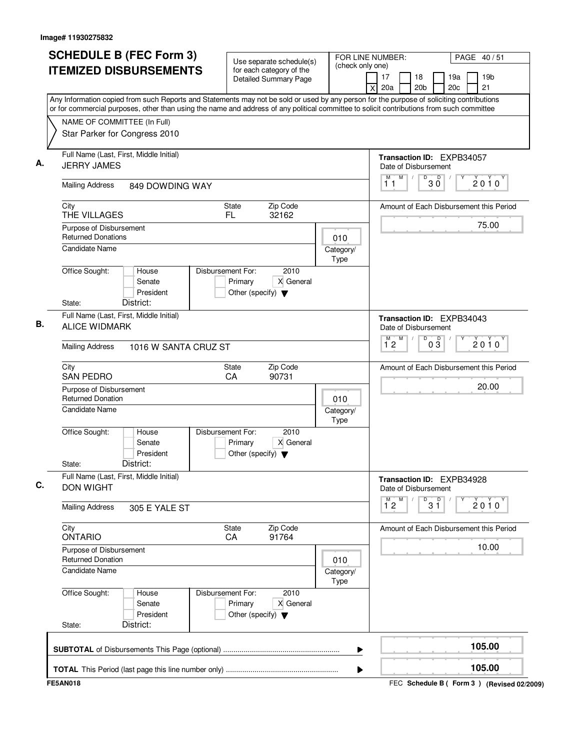| <b>ITEMIZED DISBURSEMENTS</b><br>for each category of the<br><b>Detailed Summary Page</b><br>Any Information copied from such Reports and Statements may not be sold or used by any person for the purpose of soliciting contributions<br>or for commercial purposes, other than using the name and address of any political committee to solicit contributions from such committee<br>NAME OF COMMITTEE (In Full)<br>Star Parker for Congress 2010<br>Full Name (Last, First, Middle Initial)<br><b>JERRY JAMES</b><br><b>Mailing Address</b><br>849 DOWDING WAY<br>Zip Code<br>City<br>State<br>32162<br>THE VILLAGES<br>FL.<br>Purpose of Disbursement<br><b>Returned Donations</b><br>010<br><b>Candidate Name</b><br>Category/<br>Type<br>Office Sought:<br>Disbursement For:<br>2010<br>House<br>Primary<br>X General<br>Senate<br>President<br>Other (specify) $\blacktriangledown$<br>District:<br>State:<br>Full Name (Last, First, Middle Initial)<br><b>ALICE WIDMARK</b><br><b>Mailing Address</b><br>1016 W SANTA CRUZ ST<br>Zip Code<br>City<br>State<br><b>SAN PEDRO</b><br>CA<br>90731<br>Purpose of Disbursement<br><b>Returned Donation</b><br>010<br><b>Candidate Name</b><br>Category/<br>Type<br>Office Sought:<br>Disbursement For:<br>2010<br>House<br>X General<br>Senate<br>Primary | 18<br>19a<br>19 <sub>b</sub><br>17<br>21<br>20 <sub>b</sub><br>20 <sub>c</sub><br>20a<br>x<br><b>Transaction ID: EXPB34057</b><br>Date of Disbursement<br>M<br>$\sqrt{ }$<br>D<br>D<br>2010<br>3Ŏ<br>11<br>75.00<br>Transaction ID: EXPB34043<br>Date of Disbursement<br>M<br>D<br>$0\frac{D}{3}$<br>$2010^y$<br>$1^{\circ}2$<br>20.00 |
|--------------------------------------------------------------------------------------------------------------------------------------------------------------------------------------------------------------------------------------------------------------------------------------------------------------------------------------------------------------------------------------------------------------------------------------------------------------------------------------------------------------------------------------------------------------------------------------------------------------------------------------------------------------------------------------------------------------------------------------------------------------------------------------------------------------------------------------------------------------------------------------------------------------------------------------------------------------------------------------------------------------------------------------------------------------------------------------------------------------------------------------------------------------------------------------------------------------------------------------------------------------------------------------------------------------|----------------------------------------------------------------------------------------------------------------------------------------------------------------------------------------------------------------------------------------------------------------------------------------------------------------------------------------|
|                                                                                                                                                                                                                                                                                                                                                                                                                                                                                                                                                                                                                                                                                                                                                                                                                                                                                                                                                                                                                                                                                                                                                                                                                                                                                                              |                                                                                                                                                                                                                                                                                                                                        |
|                                                                                                                                                                                                                                                                                                                                                                                                                                                                                                                                                                                                                                                                                                                                                                                                                                                                                                                                                                                                                                                                                                                                                                                                                                                                                                              | Amount of Each Disbursement this Period<br>Amount of Each Disbursement this Period                                                                                                                                                                                                                                                     |
|                                                                                                                                                                                                                                                                                                                                                                                                                                                                                                                                                                                                                                                                                                                                                                                                                                                                                                                                                                                                                                                                                                                                                                                                                                                                                                              |                                                                                                                                                                                                                                                                                                                                        |
|                                                                                                                                                                                                                                                                                                                                                                                                                                                                                                                                                                                                                                                                                                                                                                                                                                                                                                                                                                                                                                                                                                                                                                                                                                                                                                              |                                                                                                                                                                                                                                                                                                                                        |
|                                                                                                                                                                                                                                                                                                                                                                                                                                                                                                                                                                                                                                                                                                                                                                                                                                                                                                                                                                                                                                                                                                                                                                                                                                                                                                              |                                                                                                                                                                                                                                                                                                                                        |
|                                                                                                                                                                                                                                                                                                                                                                                                                                                                                                                                                                                                                                                                                                                                                                                                                                                                                                                                                                                                                                                                                                                                                                                                                                                                                                              |                                                                                                                                                                                                                                                                                                                                        |
|                                                                                                                                                                                                                                                                                                                                                                                                                                                                                                                                                                                                                                                                                                                                                                                                                                                                                                                                                                                                                                                                                                                                                                                                                                                                                                              |                                                                                                                                                                                                                                                                                                                                        |
|                                                                                                                                                                                                                                                                                                                                                                                                                                                                                                                                                                                                                                                                                                                                                                                                                                                                                                                                                                                                                                                                                                                                                                                                                                                                                                              |                                                                                                                                                                                                                                                                                                                                        |
|                                                                                                                                                                                                                                                                                                                                                                                                                                                                                                                                                                                                                                                                                                                                                                                                                                                                                                                                                                                                                                                                                                                                                                                                                                                                                                              |                                                                                                                                                                                                                                                                                                                                        |
|                                                                                                                                                                                                                                                                                                                                                                                                                                                                                                                                                                                                                                                                                                                                                                                                                                                                                                                                                                                                                                                                                                                                                                                                                                                                                                              |                                                                                                                                                                                                                                                                                                                                        |
|                                                                                                                                                                                                                                                                                                                                                                                                                                                                                                                                                                                                                                                                                                                                                                                                                                                                                                                                                                                                                                                                                                                                                                                                                                                                                                              |                                                                                                                                                                                                                                                                                                                                        |
|                                                                                                                                                                                                                                                                                                                                                                                                                                                                                                                                                                                                                                                                                                                                                                                                                                                                                                                                                                                                                                                                                                                                                                                                                                                                                                              |                                                                                                                                                                                                                                                                                                                                        |
|                                                                                                                                                                                                                                                                                                                                                                                                                                                                                                                                                                                                                                                                                                                                                                                                                                                                                                                                                                                                                                                                                                                                                                                                                                                                                                              |                                                                                                                                                                                                                                                                                                                                        |
| President<br>Other (specify) $\blacktriangledown$<br>District:<br>State:                                                                                                                                                                                                                                                                                                                                                                                                                                                                                                                                                                                                                                                                                                                                                                                                                                                                                                                                                                                                                                                                                                                                                                                                                                     |                                                                                                                                                                                                                                                                                                                                        |
| Full Name (Last, First, Middle Initial)<br><b>DON WIGHT</b>                                                                                                                                                                                                                                                                                                                                                                                                                                                                                                                                                                                                                                                                                                                                                                                                                                                                                                                                                                                                                                                                                                                                                                                                                                                  | Transaction ID: EXPB34928<br>Date of Disbursement                                                                                                                                                                                                                                                                                      |
| <b>Mailing Address</b><br>305 E YALE ST                                                                                                                                                                                                                                                                                                                                                                                                                                                                                                                                                                                                                                                                                                                                                                                                                                                                                                                                                                                                                                                                                                                                                                                                                                                                      | M<br>$\begin{array}{c} \n\sqrt{D} \\ 3 \quad 1\n\end{array}$<br>$\overline{1}^M$ 2<br>Υ<br>$2010^y$                                                                                                                                                                                                                                    |
| City<br>State<br>Zip Code<br><b>ONTARIO</b><br>CA<br>91764                                                                                                                                                                                                                                                                                                                                                                                                                                                                                                                                                                                                                                                                                                                                                                                                                                                                                                                                                                                                                                                                                                                                                                                                                                                   | Amount of Each Disbursement this Period                                                                                                                                                                                                                                                                                                |
| Purpose of Disbursement<br><b>Returned Donation</b><br>010                                                                                                                                                                                                                                                                                                                                                                                                                                                                                                                                                                                                                                                                                                                                                                                                                                                                                                                                                                                                                                                                                                                                                                                                                                                   | 10.00                                                                                                                                                                                                                                                                                                                                  |
| <b>Candidate Name</b><br>Category/<br>Type                                                                                                                                                                                                                                                                                                                                                                                                                                                                                                                                                                                                                                                                                                                                                                                                                                                                                                                                                                                                                                                                                                                                                                                                                                                                   |                                                                                                                                                                                                                                                                                                                                        |
| Office Sought:<br>Disbursement For:<br>2010<br>House<br>Senate<br>Primary<br>X General<br>President<br>Other (specify) $\blacktriangledown$<br>District:<br>State:                                                                                                                                                                                                                                                                                                                                                                                                                                                                                                                                                                                                                                                                                                                                                                                                                                                                                                                                                                                                                                                                                                                                           |                                                                                                                                                                                                                                                                                                                                        |
| ▶                                                                                                                                                                                                                                                                                                                                                                                                                                                                                                                                                                                                                                                                                                                                                                                                                                                                                                                                                                                                                                                                                                                                                                                                                                                                                                            |                                                                                                                                                                                                                                                                                                                                        |
| ▶                                                                                                                                                                                                                                                                                                                                                                                                                                                                                                                                                                                                                                                                                                                                                                                                                                                                                                                                                                                                                                                                                                                                                                                                                                                                                                            | 105.00                                                                                                                                                                                                                                                                                                                                 |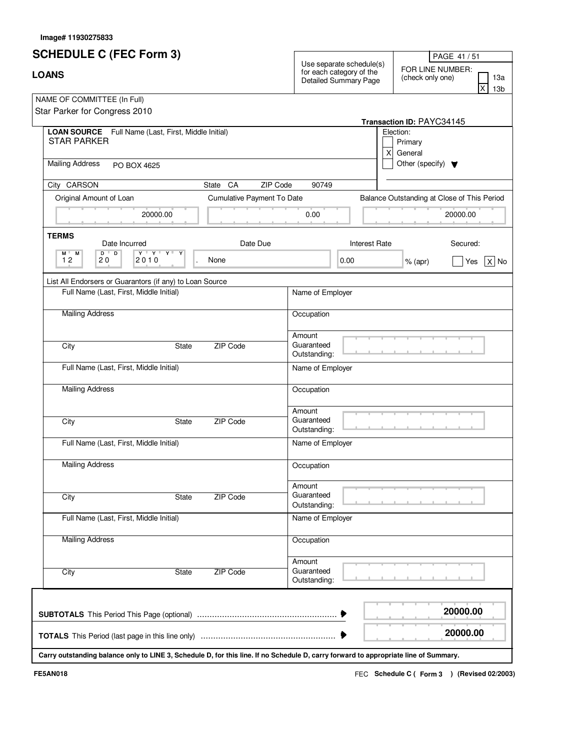## **SCHEDULE C (FEC Form 3)**

| <b>SCHEDULE C (FEC Form 3)</b>                                                                                                       |                            |                                                                               |                      |                                        | PAGE 41/51                                  |
|--------------------------------------------------------------------------------------------------------------------------------------|----------------------------|-------------------------------------------------------------------------------|----------------------|----------------------------------------|---------------------------------------------|
| <b>LOANS</b>                                                                                                                         |                            | Use separate schedule(s)<br>for each category of the<br>Detailed Summary Page |                      | FOR LINE NUMBER:<br>(check only one)   | 13a<br>13 <sub>b</sub>                      |
| NAME OF COMMITTEE (In Full)                                                                                                          |                            |                                                                               |                      |                                        |                                             |
| Star Parker for Congress 2010                                                                                                        |                            |                                                                               |                      |                                        |                                             |
| LOAN SOURCE Full Name (Last, First, Middle Initial)                                                                                  |                            |                                                                               |                      | Transaction ID: PAYC34145<br>Election: |                                             |
| <b>STAR PARKER</b>                                                                                                                   |                            |                                                                               |                      | Primary                                |                                             |
|                                                                                                                                      |                            |                                                                               | $\vert x \vert$      | General                                |                                             |
| <b>Mailing Address</b><br>PO BOX 4625                                                                                                |                            |                                                                               |                      | Other (specify) $\blacktriangledown$   |                                             |
| City CARSON                                                                                                                          | State CA<br>ZIP Code       | 90749                                                                         |                      |                                        |                                             |
| Original Amount of Loan                                                                                                              | Cumulative Payment To Date |                                                                               |                      |                                        | Balance Outstanding at Close of This Period |
| 20000.00                                                                                                                             |                            | 0.00                                                                          |                      |                                        | 20000.00                                    |
| <b>TERMS</b>                                                                                                                         |                            |                                                                               |                      |                                        |                                             |
| Date Incurred<br>$\overline{D}$<br>$D$ <sup><math>\top</math></sup><br>$Y + Y + Y +$<br>М<br>Y<br>M '                                | Date Due                   |                                                                               | <b>Interest Rate</b> |                                        | Secured:                                    |
| 12<br>20<br>2010                                                                                                                     | None                       | 0.00                                                                          |                      | $%$ (apr)                              | $X $ No<br>Yes                              |
| List All Endorsers or Guarantors (if any) to Loan Source                                                                             |                            |                                                                               |                      |                                        |                                             |
| Full Name (Last, First, Middle Initial)                                                                                              |                            | Name of Employer                                                              |                      |                                        |                                             |
| <b>Mailing Address</b>                                                                                                               |                            | Occupation                                                                    |                      |                                        |                                             |
|                                                                                                                                      |                            | Amount                                                                        |                      |                                        |                                             |
| City<br>State                                                                                                                        | ZIP Code                   | Guaranteed<br>Outstanding:                                                    |                      |                                        |                                             |
| Full Name (Last, First, Middle Initial)                                                                                              |                            | Name of Employer                                                              |                      |                                        |                                             |
| <b>Mailing Address</b>                                                                                                               |                            | Occupation                                                                    |                      |                                        |                                             |
|                                                                                                                                      |                            | Amount                                                                        |                      |                                        |                                             |
| City<br><b>State</b>                                                                                                                 | ZIP Code                   | Guaranteed<br>Outstanding:                                                    |                      |                                        |                                             |
| Full Name (Last, First, Middle Initial)                                                                                              |                            | Name of Employer                                                              |                      |                                        |                                             |
| <b>Mailing Address</b>                                                                                                               |                            | Occupation                                                                    |                      |                                        |                                             |
|                                                                                                                                      |                            | Amount                                                                        |                      |                                        |                                             |
| City<br><b>State</b>                                                                                                                 | <b>ZIP Code</b>            | Guaranteed                                                                    |                      |                                        |                                             |
|                                                                                                                                      |                            | Outstanding:                                                                  |                      |                                        |                                             |
| Full Name (Last, First, Middle Initial)                                                                                              |                            | Name of Employer                                                              |                      |                                        |                                             |
| <b>Mailing Address</b>                                                                                                               |                            | Occupation                                                                    |                      |                                        |                                             |
|                                                                                                                                      |                            | Amount                                                                        |                      |                                        |                                             |
| City<br>State                                                                                                                        | ZIP Code                   | Guaranteed<br>Outstanding:                                                    |                      |                                        |                                             |
|                                                                                                                                      |                            |                                                                               |                      |                                        |                                             |
|                                                                                                                                      |                            |                                                                               |                      |                                        | 20000.00                                    |
|                                                                                                                                      |                            |                                                                               |                      |                                        | 20000.00                                    |
| Carry outstanding balance only to LINE 3, Schedule D, for this line. If no Schedule D, carry forward to appropriate line of Summary. |                            |                                                                               |                      |                                        |                                             |

 $\Gamma$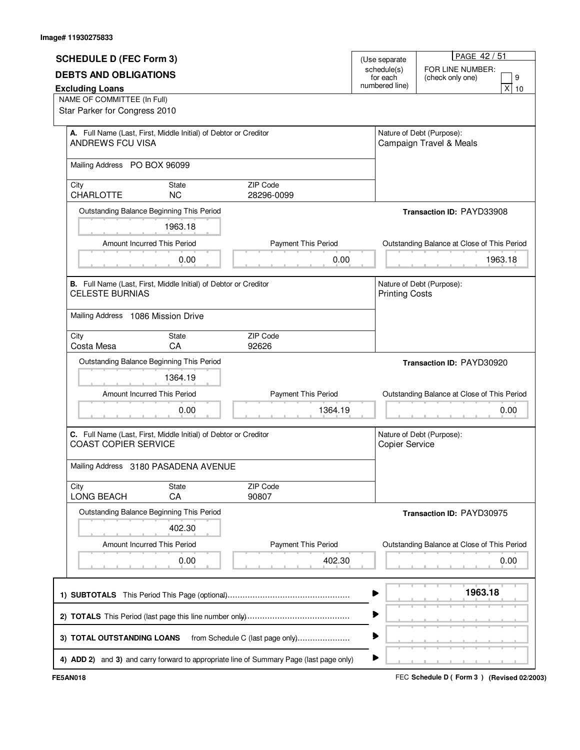|                                    |                                                                  |                                                                                         |                            | PAGE 42 / 51                                |
|------------------------------------|------------------------------------------------------------------|-----------------------------------------------------------------------------------------|----------------------------|---------------------------------------------|
| <b>SCHEDULE D (FEC Form 3)</b>     |                                                                  |                                                                                         | (Use separate              |                                             |
| <b>DEBTS AND OBLIGATIONS</b>       |                                                                  |                                                                                         | schedule(s)                | FOR LINE NUMBER:                            |
| <b>Excluding Loans</b>             |                                                                  |                                                                                         | for each<br>numbered line) | (check only one)<br>9<br>x<br>10            |
| NAME OF COMMITTEE (In Full)        |                                                                  |                                                                                         |                            |                                             |
| Star Parker for Congress 2010      |                                                                  |                                                                                         |                            |                                             |
|                                    |                                                                  |                                                                                         |                            |                                             |
|                                    | A. Full Name (Last, First, Middle Initial) of Debtor or Creditor |                                                                                         |                            | Nature of Debt (Purpose):                   |
| ANDREWS FCU VISA                   |                                                                  |                                                                                         |                            | Campaign Travel & Meals                     |
|                                    |                                                                  |                                                                                         |                            |                                             |
| Mailing Address PO BOX 96099       |                                                                  |                                                                                         |                            |                                             |
|                                    |                                                                  |                                                                                         |                            |                                             |
| City                               | State                                                            | ZIP Code                                                                                |                            |                                             |
| <b>CHARLOTTE</b>                   | <b>NC</b>                                                        | 28296-0099                                                                              |                            |                                             |
|                                    | Outstanding Balance Beginning This Period                        |                                                                                         |                            | Transaction ID: PAYD33908                   |
|                                    |                                                                  |                                                                                         |                            |                                             |
|                                    | 1963.18                                                          |                                                                                         |                            |                                             |
|                                    | Amount Incurred This Period                                      | Payment This Period                                                                     |                            | Outstanding Balance at Close of This Period |
|                                    |                                                                  |                                                                                         |                            |                                             |
|                                    | 0.00                                                             | 0.00                                                                                    |                            | 1963.18                                     |
|                                    |                                                                  |                                                                                         |                            |                                             |
|                                    | B. Full Name (Last, First, Middle Initial) of Debtor or Creditor |                                                                                         |                            | Nature of Debt (Purpose):                   |
| <b>CELESTE BURNIAS</b>             |                                                                  |                                                                                         | <b>Printing Costs</b>      |                                             |
|                                    |                                                                  |                                                                                         |                            |                                             |
| Mailing Address 1086 Mission Drive |                                                                  |                                                                                         |                            |                                             |
| City                               | State                                                            | ZIP Code                                                                                |                            |                                             |
| Costa Mesa                         | CA                                                               | 92626                                                                                   |                            |                                             |
|                                    |                                                                  |                                                                                         |                            |                                             |
|                                    |                                                                  |                                                                                         |                            |                                             |
|                                    | Outstanding Balance Beginning This Period                        |                                                                                         |                            | Transaction ID: PAYD30920                   |
|                                    | 1364.19                                                          |                                                                                         |                            |                                             |
|                                    |                                                                  |                                                                                         |                            |                                             |
|                                    | Amount Incurred This Period                                      | Payment This Period                                                                     |                            | Outstanding Balance at Close of This Period |
|                                    | 0.00                                                             | 1364.19                                                                                 |                            | 0.00                                        |
|                                    |                                                                  |                                                                                         |                            |                                             |
|                                    | C. Full Name (Last, First, Middle Initial) of Debtor or Creditor |                                                                                         |                            | Nature of Debt (Purpose):                   |
| <b>COAST COPIER SERVICE</b>        |                                                                  |                                                                                         | Copier Service             |                                             |
|                                    |                                                                  |                                                                                         |                            |                                             |
|                                    | Mailing Address 3180 PASADENA AVENUE                             |                                                                                         |                            |                                             |
|                                    |                                                                  |                                                                                         |                            |                                             |
| City                               | State                                                            | ZIP Code                                                                                |                            |                                             |
| LONG BEACH                         | CA                                                               | 90807                                                                                   |                            |                                             |
|                                    | Outstanding Balance Beginning This Period                        |                                                                                         |                            | Transaction ID: PAYD30975                   |
|                                    | 402.30                                                           |                                                                                         |                            |                                             |
|                                    |                                                                  |                                                                                         |                            |                                             |
|                                    | Amount Incurred This Period                                      | <b>Payment This Period</b>                                                              |                            | Outstanding Balance at Close of This Period |
|                                    | 0.00                                                             | 402.30                                                                                  |                            | 0.00                                        |
|                                    |                                                                  |                                                                                         |                            |                                             |
|                                    |                                                                  |                                                                                         |                            |                                             |
|                                    |                                                                  |                                                                                         |                            | 1963.18                                     |
|                                    |                                                                  |                                                                                         |                            |                                             |
|                                    |                                                                  |                                                                                         |                            |                                             |
|                                    |                                                                  |                                                                                         |                            |                                             |
| 3) TOTAL OUTSTANDING LOANS         |                                                                  | from Schedule C (last page only)                                                        | ▶                          |                                             |
|                                    |                                                                  | 4) ADD 2) and 3) and carry forward to appropriate line of Summary Page (last page only) | ▶                          |                                             |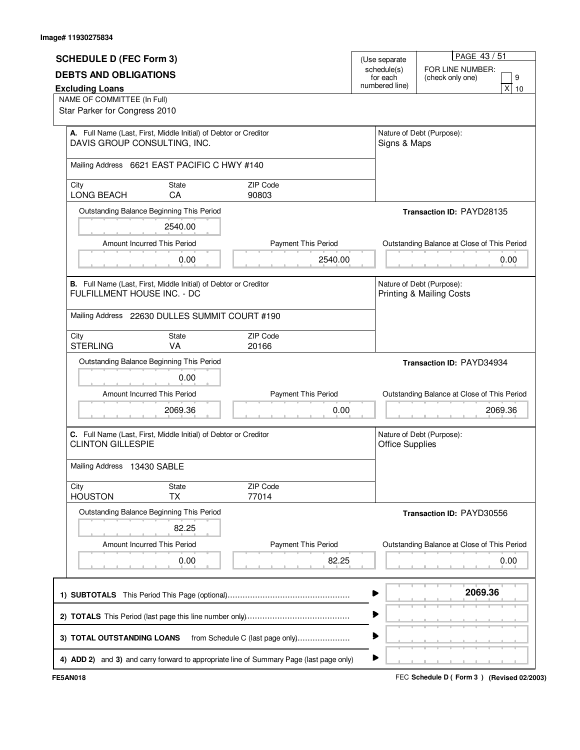| <b>SCHEDULE D (FEC Form 3)</b>                                                                   |                                  | (Use separate                             | PAGE 43/51                                                       |
|--------------------------------------------------------------------------------------------------|----------------------------------|-------------------------------------------|------------------------------------------------------------------|
| <b>DEBTS AND OBLIGATIONS</b><br><b>Excluding Loans</b>                                           |                                  | schedule(s)<br>for each<br>numbered line) | FOR LINE NUMBER:<br>9<br>(check only one)<br>x<br>10             |
| NAME OF COMMITTEE (In Full)<br>Star Parker for Congress 2010                                     |                                  |                                           |                                                                  |
| A. Full Name (Last, First, Middle Initial) of Debtor or Creditor<br>DAVIS GROUP CONSULTING, INC. |                                  | Signs & Maps                              | Nature of Debt (Purpose):                                        |
| Mailing Address 6621 EAST PACIFIC C HWY #140                                                     |                                  |                                           |                                                                  |
| City<br>State<br>LONG BEACH<br>СA                                                                | <b>ZIP Code</b><br>90803         |                                           |                                                                  |
| Outstanding Balance Beginning This Period                                                        |                                  |                                           | Transaction ID: PAYD28135                                        |
| 2540.00                                                                                          |                                  |                                           |                                                                  |
| Amount Incurred This Period                                                                      | <b>Payment This Period</b>       |                                           | Outstanding Balance at Close of This Period                      |
| 0.00                                                                                             | 2540.00                          |                                           | 0.00                                                             |
| B. Full Name (Last, First, Middle Initial) of Debtor or Creditor<br>FULFILLMENT HOUSE INC. - DC  |                                  |                                           | Nature of Debt (Purpose):<br><b>Printing &amp; Mailing Costs</b> |
| Mailing Address 22630 DULLES SUMMIT COURT #190                                                   |                                  |                                           |                                                                  |
| City<br>State<br><b>STERLING</b><br>VA                                                           | ZIP Code<br>20166                |                                           |                                                                  |
| Outstanding Balance Beginning This Period                                                        |                                  |                                           | Transaction ID: PAYD34934                                        |
| 0.00                                                                                             |                                  |                                           |                                                                  |
| Amount Incurred This Period<br>2069.36                                                           | Payment This Period<br>0.00      |                                           | Outstanding Balance at Close of This Period<br>2069.36           |
| C. Full Name (Last, First, Middle Initial) of Debtor or Creditor<br><b>CLINTON GILLESPIE</b>     |                                  | <b>Office Supplies</b>                    | Nature of Debt (Purpose):                                        |
| Mailing Address 13430 SABLE                                                                      |                                  |                                           |                                                                  |
| City<br>State<br><b>HOUSTON</b><br><b>TX</b>                                                     | ZIP Code<br>77014                |                                           |                                                                  |
| Outstanding Balance Beginning This Period                                                        |                                  |                                           | Transaction ID: PAYD30556                                        |
| 82.25                                                                                            |                                  |                                           |                                                                  |
| Amount Incurred This Period                                                                      | Payment This Period              |                                           | Outstanding Balance at Close of This Period                      |
| 0.00                                                                                             | 82.25                            |                                           | 0.00                                                             |
|                                                                                                  |                                  |                                           | 2069.36                                                          |
|                                                                                                  |                                  |                                           |                                                                  |
| 3) TOTAL OUTSTANDING LOANS                                                                       | from Schedule C (last page only) |                                           |                                                                  |
| 4) ADD 2) and 3) and carry forward to appropriate line of Summary Page (last page only)          |                                  | ▶                                         |                                                                  |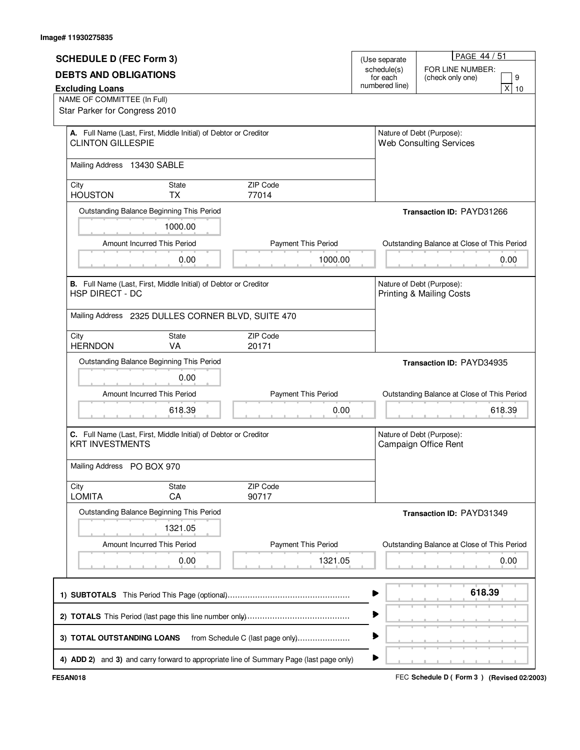| <b>SCHEDULE D (FEC Form 3)</b><br><b>DEBTS AND OBLIGATIONS</b><br><b>Excluding Loans</b><br>NAME OF COMMITTEE (In Full)<br>Star Parker for Congress 2010 |                                  | (Use separate<br>schedule(s)<br>for each<br>numbered line) | PAGE 44 / 51<br>FOR LINE NUMBER:<br>9<br>(check only one)<br>x<br>10     |
|----------------------------------------------------------------------------------------------------------------------------------------------------------|----------------------------------|------------------------------------------------------------|--------------------------------------------------------------------------|
| A. Full Name (Last, First, Middle Initial) of Debtor or Creditor<br><b>CLINTON GILLESPIE</b><br>Mailing Address 13430 SABLE                              |                                  |                                                            | Nature of Debt (Purpose):<br><b>Web Consulting Services</b>              |
| City<br>State<br><b>HOUSTON</b><br>TX                                                                                                                    | <b>ZIP Code</b><br>77014         |                                                            |                                                                          |
| Outstanding Balance Beginning This Period<br>1000.00<br>Amount Incurred This Period                                                                      | <b>Payment This Period</b>       |                                                            | Transaction ID: PAYD31266<br>Outstanding Balance at Close of This Period |
| 0.00                                                                                                                                                     | 1000.00                          |                                                            | 0.00                                                                     |
| B. Full Name (Last, First, Middle Initial) of Debtor or Creditor<br><b>HSP DIRECT - DC</b><br>Mailing Address 2325 DULLES CORNER BLVD, SUITE 470         |                                  |                                                            | Nature of Debt (Purpose):<br><b>Printing &amp; Mailing Costs</b>         |
| State<br>City<br><b>HERNDON</b><br>VA                                                                                                                    | ZIP Code<br>20171                |                                                            |                                                                          |
| Outstanding Balance Beginning This Period<br>0.00                                                                                                        |                                  |                                                            | Transaction ID: PAYD34935                                                |
| Amount Incurred This Period<br>618.39                                                                                                                    | Payment This Period<br>0.00      |                                                            | Outstanding Balance at Close of This Period<br>618.39                    |
| C. Full Name (Last, First, Middle Initial) of Debtor or Creditor<br><b>KRT INVESTMENTS</b>                                                               |                                  |                                                            | Nature of Debt (Purpose):<br>Campaign Office Rent                        |
| Mailing Address PO BOX 970                                                                                                                               |                                  |                                                            |                                                                          |
| City<br>State<br><b>LOMITA</b><br>CA                                                                                                                     | ZIP Code<br>90717                |                                                            |                                                                          |
| Outstanding Balance Beginning This Period<br>1321.05                                                                                                     |                                  |                                                            | Transaction ID: PAYD31349                                                |
| Amount Incurred This Period<br>0.00                                                                                                                      | Payment This Period<br>1321.05   |                                                            | Outstanding Balance at Close of This Period<br>0.00                      |
|                                                                                                                                                          |                                  |                                                            | 618.39                                                                   |
| 3) TOTAL OUTSTANDING LOANS<br>4) ADD 2) and 3) and carry forward to appropriate line of Summary Page (last page only)                                    | from Schedule C (last page only) | ▶                                                          |                                                                          |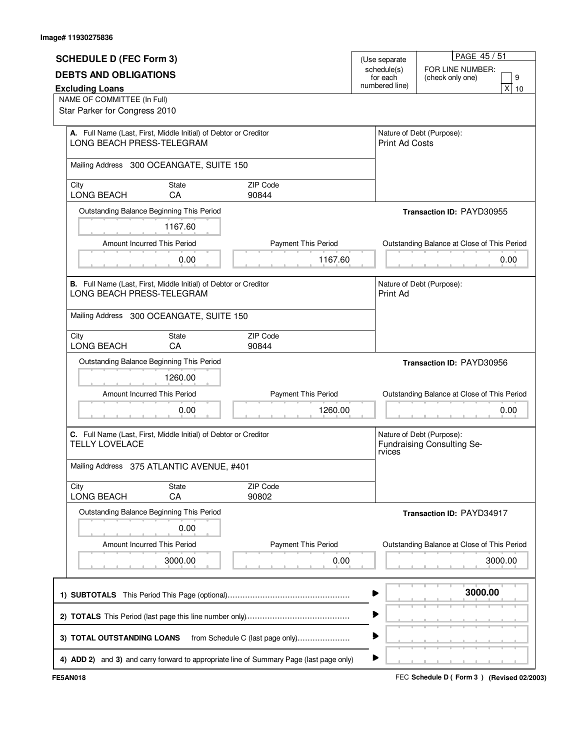| <b>SCHEDULE D (FEC Form 3)</b>                                                                |                                  | (Use separate                             | PAGE 45 / 51                                            |
|-----------------------------------------------------------------------------------------------|----------------------------------|-------------------------------------------|---------------------------------------------------------|
| <b>DEBTS AND OBLIGATIONS</b><br><b>Excluding Loans</b>                                        |                                  | schedule(s)<br>for each<br>numbered line) | FOR LINE NUMBER:<br>9<br>(check only one)<br>x<br>10    |
| NAME OF COMMITTEE (In Full)<br>Star Parker for Congress 2010                                  |                                  |                                           |                                                         |
| A. Full Name (Last, First, Middle Initial) of Debtor or Creditor<br>LONG BEACH PRESS-TELEGRAM |                                  | Print Ad Costs                            | Nature of Debt (Purpose):                               |
| Mailing Address 300 OCEANGATE, SUITE 150                                                      |                                  |                                           |                                                         |
| <b>State</b><br>City<br>LONG BEACH<br>CA                                                      | ZIP Code<br>90844                |                                           |                                                         |
| Outstanding Balance Beginning This Period                                                     |                                  |                                           | Transaction ID: PAYD30955                               |
| 1167.60                                                                                       |                                  |                                           |                                                         |
| Amount Incurred This Period                                                                   | <b>Payment This Period</b>       |                                           | Outstanding Balance at Close of This Period             |
| 0.00                                                                                          | 1167.60                          |                                           | 0.00                                                    |
| B. Full Name (Last, First, Middle Initial) of Debtor or Creditor<br>LONG BEACH PRESS-TELEGRAM |                                  | Print Ad                                  | Nature of Debt (Purpose):                               |
| Mailing Address 300 OCEANGATE, SUITE 150                                                      |                                  |                                           |                                                         |
| City<br>State<br>LONG BEACH<br>CA                                                             | ZIP Code<br>90844                |                                           |                                                         |
| Outstanding Balance Beginning This Period                                                     |                                  |                                           | Transaction ID: PAYD30956                               |
| 1260.00                                                                                       |                                  |                                           |                                                         |
| Amount Incurred This Period                                                                   | <b>Payment This Period</b>       |                                           | Outstanding Balance at Close of This Period             |
| 0.00                                                                                          | 1260.00                          |                                           | 0.00                                                    |
| C. Full Name (Last, First, Middle Initial) of Debtor or Creditor<br><b>TELLY LOVELACE</b>     |                                  | rvices                                    | Nature of Debt (Purpose):<br>Fundraising Consulting Se- |
| Mailing Address 375 ATLANTIC AVENUE, #401                                                     |                                  |                                           |                                                         |
| City<br><b>State</b><br>LONG BEACH<br>CA                                                      | ZIP Code<br>90802                |                                           |                                                         |
| Outstanding Balance Beginning This Period                                                     |                                  |                                           | Transaction ID: PAYD34917                               |
| 0.00                                                                                          |                                  |                                           |                                                         |
| Amount Incurred This Period                                                                   | <b>Payment This Period</b>       |                                           | Outstanding Balance at Close of This Period             |
| 3000.00                                                                                       | 0.00                             |                                           | 3000.00                                                 |
|                                                                                               |                                  |                                           | 3000.00                                                 |
|                                                                                               |                                  |                                           |                                                         |
| 3) TOTAL OUTSTANDING LOANS                                                                    | from Schedule C (last page only) |                                           |                                                         |
| 4) ADD 2) and 3) and carry forward to appropriate line of Summary Page (last page only)       |                                  | ▶                                         |                                                         |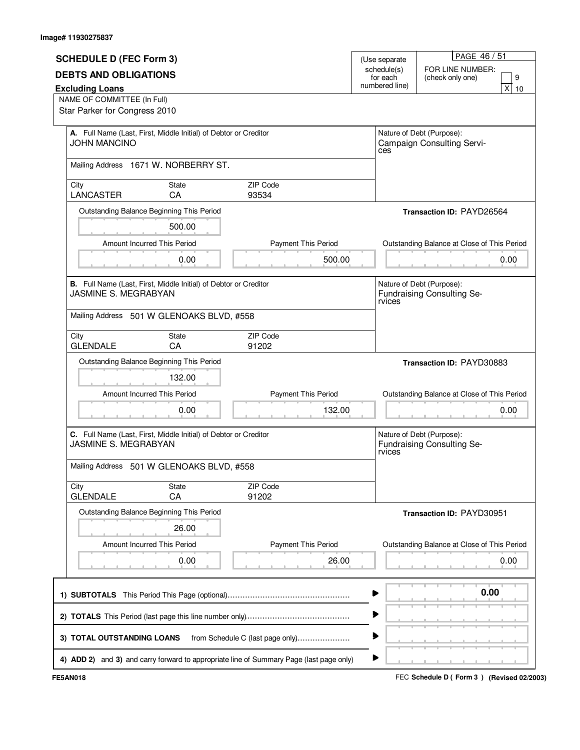| <b>SCHEDULE D (FEC Form 3)</b>                               |                                                                  |                                  | (Use separate                             | PAGE 46 / 51                                            |
|--------------------------------------------------------------|------------------------------------------------------------------|----------------------------------|-------------------------------------------|---------------------------------------------------------|
| <b>DEBTS AND OBLIGATIONS</b><br><b>Excluding Loans</b>       |                                                                  |                                  | schedule(s)<br>for each<br>numbered line) | FOR LINE NUMBER:<br>9<br>(check only one)<br>x<br>10    |
| NAME OF COMMITTEE (In Full)<br>Star Parker for Congress 2010 |                                                                  |                                  |                                           |                                                         |
| <b>JOHN MANCINO</b>                                          | A. Full Name (Last, First, Middle Initial) of Debtor or Creditor |                                  | ces                                       | Nature of Debt (Purpose):<br>Campaign Consulting Servi- |
|                                                              | Mailing Address 1671 W. NORBERRY ST.                             |                                  |                                           |                                                         |
| City<br><b>LANCASTER</b>                                     | State<br>CA                                                      | ZIP Code<br>93534                |                                           |                                                         |
|                                                              | Outstanding Balance Beginning This Period                        |                                  |                                           | Transaction ID: PAYD26564                               |
|                                                              | 500.00                                                           |                                  |                                           |                                                         |
|                                                              | Amount Incurred This Period                                      | <b>Payment This Period</b>       |                                           | Outstanding Balance at Close of This Period             |
|                                                              | 0.00                                                             | 500.00                           |                                           | 0.00                                                    |
| JASMINE S. MEGRABYAN                                         | B. Full Name (Last, First, Middle Initial) of Debtor or Creditor |                                  | rvices                                    | Nature of Debt (Purpose):<br>Fundraising Consulting Se- |
|                                                              | Mailing Address 501 W GLENOAKS BLVD, #558                        |                                  |                                           |                                                         |
| City<br><b>GLENDALE</b>                                      | State<br>CA                                                      | ZIP Code<br>91202                |                                           |                                                         |
|                                                              | Outstanding Balance Beginning This Period                        |                                  |                                           | Transaction ID: PAYD30883                               |
|                                                              |                                                                  |                                  |                                           |                                                         |
|                                                              | 132.00                                                           |                                  |                                           |                                                         |
|                                                              | Amount Incurred This Period                                      | Payment This Period              |                                           | Outstanding Balance at Close of This Period             |
|                                                              | 0.00                                                             | 132.00                           |                                           | 0.00                                                    |
| JASMINE S. MEGRABYAN                                         | C. Full Name (Last, First, Middle Initial) of Debtor or Creditor |                                  | rvices                                    | Nature of Debt (Purpose):<br>Fundraising Consulting Se- |
|                                                              | Mailing Address 501 W GLENOAKS BLVD, #558                        |                                  |                                           |                                                         |
| City<br><b>GLENDALE</b>                                      | State<br>CA                                                      | ZIP Code<br>91202                |                                           |                                                         |
|                                                              | Outstanding Balance Beginning This Period                        |                                  |                                           | Transaction ID: PAYD30951                               |
|                                                              | 26.00                                                            |                                  |                                           |                                                         |
|                                                              | Amount Incurred This Period                                      | <b>Payment This Period</b>       |                                           | Outstanding Balance at Close of This Period             |
|                                                              | 0.00                                                             | 26.00                            |                                           | 0.00                                                    |
|                                                              |                                                                  |                                  |                                           | 0.00                                                    |
|                                                              |                                                                  |                                  |                                           |                                                         |
| 3) TOTAL OUTSTANDING LOANS                                   |                                                                  | from Schedule C (last page only) |                                           |                                                         |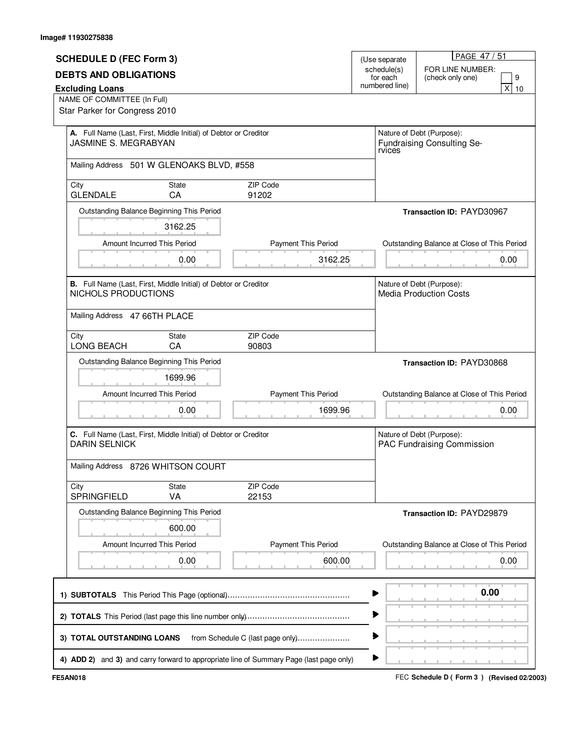|                                                                                         |                                                                                                 |                                                                                         |                         | PAGE 47 / 51                                               |  |  |
|-----------------------------------------------------------------------------------------|-------------------------------------------------------------------------------------------------|-----------------------------------------------------------------------------------------|-------------------------|------------------------------------------------------------|--|--|
| <b>SCHEDULE D (FEC Form 3)</b>                                                          |                                                                                                 |                                                                                         | (Use separate           |                                                            |  |  |
| <b>DEBTS AND OBLIGATIONS</b>                                                            |                                                                                                 |                                                                                         | schedule(s)<br>for each | FOR LINE NUMBER:<br>9<br>(check only one)                  |  |  |
| <b>Excluding Loans</b>                                                                  |                                                                                                 | numbered line)                                                                          | x <sub>l</sub><br>10    |                                                            |  |  |
| NAME OF COMMITTEE (In Full)                                                             |                                                                                                 |                                                                                         |                         |                                                            |  |  |
| Star Parker for Congress 2010                                                           |                                                                                                 |                                                                                         |                         |                                                            |  |  |
|                                                                                         |                                                                                                 |                                                                                         |                         | Nature of Debt (Purpose):                                  |  |  |
|                                                                                         | A. Full Name (Last, First, Middle Initial) of Debtor or Creditor<br><b>JASMINE S. MEGRABYAN</b> |                                                                                         |                         | Fundraising Consulting Se-<br>rvices                       |  |  |
| Mailing Address 501 W GLENOAKS BLVD, #558                                               |                                                                                                 |                                                                                         |                         |                                                            |  |  |
| City                                                                                    | State                                                                                           | ZIP Code                                                                                |                         |                                                            |  |  |
| <b>GLENDALE</b>                                                                         | CA                                                                                              | 91202                                                                                   |                         |                                                            |  |  |
| Outstanding Balance Beginning This Period                                               |                                                                                                 |                                                                                         |                         | Transaction ID: PAYD30967                                  |  |  |
|                                                                                         | 3162.25                                                                                         |                                                                                         |                         |                                                            |  |  |
| Amount Incurred This Period                                                             |                                                                                                 | Payment This Period                                                                     |                         | Outstanding Balance at Close of This Period                |  |  |
|                                                                                         | 0.00                                                                                            | 3162.25                                                                                 |                         | 0.00                                                       |  |  |
|                                                                                         |                                                                                                 |                                                                                         |                         |                                                            |  |  |
| B. Full Name (Last, First, Middle Initial) of Debtor or Creditor<br>NICHOLS PRODUCTIONS |                                                                                                 |                                                                                         |                         | Nature of Debt (Purpose):<br><b>Media Production Costs</b> |  |  |
|                                                                                         |                                                                                                 |                                                                                         |                         |                                                            |  |  |
| Mailing Address 47 66TH PLACE                                                           |                                                                                                 |                                                                                         |                         |                                                            |  |  |
| City                                                                                    | State                                                                                           | ZIP Code                                                                                |                         |                                                            |  |  |
| <b>LONG BEACH</b>                                                                       | CA                                                                                              | 90803                                                                                   |                         |                                                            |  |  |
| Outstanding Balance Beginning This Period                                               |                                                                                                 |                                                                                         |                         | Transaction ID: PAYD30868                                  |  |  |
|                                                                                         | 1699.96                                                                                         |                                                                                         |                         |                                                            |  |  |
| Amount Incurred This Period                                                             |                                                                                                 | Payment This Period                                                                     |                         | Outstanding Balance at Close of This Period                |  |  |
| 0.00                                                                                    |                                                                                                 | 1699.96                                                                                 |                         | 0.00                                                       |  |  |
|                                                                                         |                                                                                                 |                                                                                         |                         |                                                            |  |  |
| <b>DARIN SELNICK</b>                                                                    | C. Full Name (Last, First, Middle Initial) of Debtor or Creditor                                |                                                                                         |                         | Nature of Debt (Purpose):<br>PAC Fundraising Commission    |  |  |
|                                                                                         |                                                                                                 |                                                                                         |                         |                                                            |  |  |
| Mailing Address 8726 WHITSON COURT                                                      |                                                                                                 |                                                                                         |                         |                                                            |  |  |
| City                                                                                    | <b>State</b>                                                                                    | ZIP Code                                                                                |                         |                                                            |  |  |
| <b>SPRINGFIELD</b>                                                                      | VA                                                                                              | 22153                                                                                   |                         |                                                            |  |  |
| Outstanding Balance Beginning This Period                                               |                                                                                                 |                                                                                         |                         | Transaction ID: PAYD29879                                  |  |  |
|                                                                                         | 600.00                                                                                          |                                                                                         |                         |                                                            |  |  |
| Amount Incurred This Period                                                             |                                                                                                 | <b>Payment This Period</b>                                                              |                         | Outstanding Balance at Close of This Period                |  |  |
|                                                                                         | 0.00                                                                                            | 600.00                                                                                  |                         | 0.00                                                       |  |  |
|                                                                                         |                                                                                                 |                                                                                         |                         |                                                            |  |  |
|                                                                                         |                                                                                                 |                                                                                         |                         |                                                            |  |  |
|                                                                                         |                                                                                                 |                                                                                         |                         | 0.00                                                       |  |  |
|                                                                                         |                                                                                                 |                                                                                         |                         |                                                            |  |  |
| 3) TOTAL OUTSTANDING LOANS                                                              |                                                                                                 | from Schedule C (last page only)                                                        |                         |                                                            |  |  |
|                                                                                         |                                                                                                 |                                                                                         |                         |                                                            |  |  |
|                                                                                         |                                                                                                 | 4) ADD 2) and 3) and carry forward to appropriate line of Summary Page (last page only) | ▶                       |                                                            |  |  |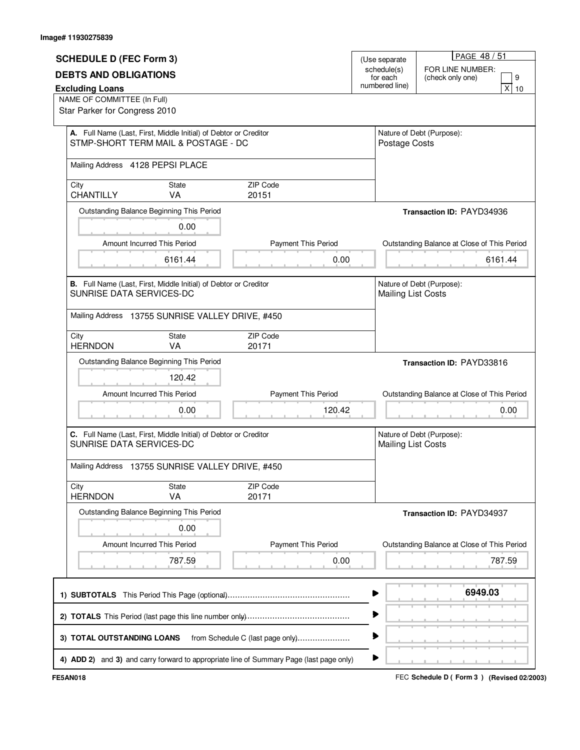| <b>SCHEDULE D (FEC Form 3)</b>                                                               |                                                                  |   | (Use separate              | PAGE 48/51                                             |  |
|----------------------------------------------------------------------------------------------|------------------------------------------------------------------|---|----------------------------|--------------------------------------------------------|--|
| <b>DEBTS AND OBLIGATIONS</b>                                                                 |                                                                  |   | schedule(s)                | FOR LINE NUMBER:                                       |  |
| <b>Excluding Loans</b>                                                                       |                                                                  |   | for each<br>numbered line) | 9<br>(check only one)<br>x<br>10                       |  |
| NAME OF COMMITTEE (In Full)                                                                  |                                                                  |   |                            |                                                        |  |
| Star Parker for Congress 2010                                                                |                                                                  |   |                            |                                                        |  |
| A. Full Name (Last, First, Middle Initial) of Debtor or Creditor                             |                                                                  |   |                            | Nature of Debt (Purpose):                              |  |
| STMP-SHORT TERM MAIL & POSTAGE - DC                                                          |                                                                  |   | Postage Costs              |                                                        |  |
| Mailing Address 4128 PEPSI PLACE                                                             |                                                                  |   |                            |                                                        |  |
| City<br>State<br><b>CHANTILLY</b><br>VA                                                      | ZIP Code<br>20151                                                |   |                            |                                                        |  |
| Outstanding Balance Beginning This Period                                                    |                                                                  |   |                            | Transaction ID: PAYD34936                              |  |
| 0.00                                                                                         |                                                                  |   |                            |                                                        |  |
| Amount Incurred This Period                                                                  | Payment This Period                                              |   |                            | Outstanding Balance at Close of This Period            |  |
| 6161.44                                                                                      | 0.00                                                             |   |                            | 6161.44                                                |  |
| SUNRISE DATA SERVICES-DC                                                                     | B. Full Name (Last, First, Middle Initial) of Debtor or Creditor |   |                            | Nature of Debt (Purpose):<br><b>Mailing List Costs</b> |  |
| Mailing Address 13755 SUNRISE VALLEY DRIVE, #450                                             |                                                                  |   |                            |                                                        |  |
| City<br><b>State</b><br><b>HERNDON</b><br><b>VA</b>                                          | ZIP Code<br>20171                                                |   |                            |                                                        |  |
| Outstanding Balance Beginning This Period                                                    |                                                                  |   |                            | Transaction ID: PAYD33816                              |  |
| 120.42                                                                                       |                                                                  |   |                            |                                                        |  |
| Amount Incurred This Period                                                                  | Payment This Period                                              |   |                            | Outstanding Balance at Close of This Period            |  |
| 0.00                                                                                         | 120.42                                                           |   |                            | 0.00                                                   |  |
| C. Full Name (Last, First, Middle Initial) of Debtor or Creditor<br>SUNRISE DATA SERVICES-DC |                                                                  |   | <b>Mailing List Costs</b>  | Nature of Debt (Purpose):                              |  |
| Mailing Address 13755 SUNRISE VALLEY DRIVE, #450                                             |                                                                  |   |                            |                                                        |  |
| City<br>State<br><b>HERNDON</b><br>VA                                                        | ZIP Code<br>20171                                                |   |                            |                                                        |  |
| Outstanding Balance Beginning This Period                                                    |                                                                  |   |                            | Transaction ID: PAYD34937                              |  |
| 0.00                                                                                         |                                                                  |   |                            |                                                        |  |
| Amount Incurred This Period                                                                  | <b>Payment This Period</b>                                       |   |                            |                                                        |  |
|                                                                                              |                                                                  |   |                            | Outstanding Balance at Close of This Period            |  |
| 787.59                                                                                       | 0.00                                                             |   |                            | 787.59                                                 |  |
|                                                                                              |                                                                  |   |                            | 6949.03                                                |  |
|                                                                                              |                                                                  |   |                            |                                                        |  |
| 3) TOTAL OUTSTANDING LOANS                                                                   | from Schedule C (last page only)                                 |   |                            |                                                        |  |
| 4) ADD 2) and 3) and carry forward to appropriate line of Summary Page (last page only)      |                                                                  | ▶ |                            |                                                        |  |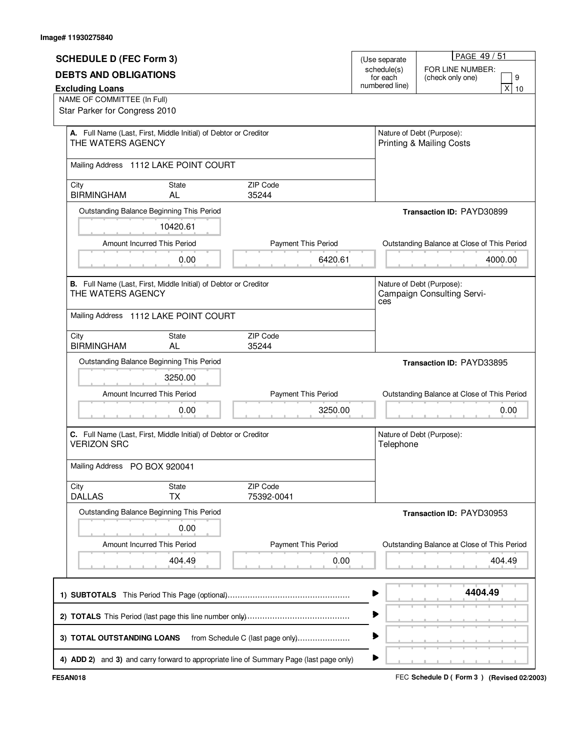|                                                                  |              |                                                                                         |                         | PAGE 49 / 51                                |  |
|------------------------------------------------------------------|--------------|-----------------------------------------------------------------------------------------|-------------------------|---------------------------------------------|--|
| <b>SCHEDULE D (FEC Form 3)</b>                                   |              |                                                                                         | (Use separate           |                                             |  |
| <b>DEBTS AND OBLIGATIONS</b>                                     |              |                                                                                         | schedule(s)<br>for each | FOR LINE NUMBER:<br>9<br>(check only one)   |  |
| <b>Excluding Loans</b>                                           |              | numbered line)                                                                          | x <sub>1</sub><br>10    |                                             |  |
| NAME OF COMMITTEE (In Full)                                      |              |                                                                                         |                         |                                             |  |
| Star Parker for Congress 2010                                    |              |                                                                                         |                         |                                             |  |
|                                                                  |              |                                                                                         |                         |                                             |  |
| A. Full Name (Last, First, Middle Initial) of Debtor or Creditor |              |                                                                                         |                         | Nature of Debt (Purpose):                   |  |
| THE WATERS AGENCY                                                |              |                                                                                         |                         | <b>Printing &amp; Mailing Costs</b>         |  |
| Mailing Address 1112 LAKE POINT COURT                            |              |                                                                                         |                         |                                             |  |
|                                                                  |              |                                                                                         |                         |                                             |  |
| City                                                             | State        | <b>ZIP Code</b>                                                                         |                         |                                             |  |
| <b>BIRMINGHAM</b>                                                | <b>AL</b>    | 35244                                                                                   |                         |                                             |  |
| Outstanding Balance Beginning This Period                        |              |                                                                                         |                         | Transaction ID: PAYD30899                   |  |
|                                                                  | 10420.61     |                                                                                         |                         |                                             |  |
| Amount Incurred This Period                                      |              | Payment This Period                                                                     |                         | Outstanding Balance at Close of This Period |  |
|                                                                  |              |                                                                                         |                         |                                             |  |
|                                                                  | 0.00         | 6420.61                                                                                 |                         | 4000.00                                     |  |
| B. Full Name (Last, First, Middle Initial) of Debtor or Creditor |              |                                                                                         |                         | Nature of Debt (Purpose):                   |  |
| THE WATERS AGENCY                                                |              |                                                                                         |                         | Campaign Consulting Servi-                  |  |
|                                                                  |              |                                                                                         | ces                     |                                             |  |
| Mailing Address 1112 LAKE POINT COURT                            |              |                                                                                         |                         |                                             |  |
| City                                                             | State        | ZIP Code                                                                                |                         |                                             |  |
| <b>BIRMINGHAM</b>                                                | <b>AL</b>    | 35244                                                                                   |                         |                                             |  |
| Outstanding Balance Beginning This Period                        |              |                                                                                         |                         | Transaction ID: PAYD33895                   |  |
|                                                                  |              |                                                                                         |                         |                                             |  |
|                                                                  | 3250.00      |                                                                                         |                         |                                             |  |
|                                                                  |              |                                                                                         |                         |                                             |  |
| Amount Incurred This Period                                      |              | Payment This Period                                                                     |                         | Outstanding Balance at Close of This Period |  |
|                                                                  | 0.00         | 3250.00                                                                                 |                         | 0.00                                        |  |
|                                                                  |              |                                                                                         |                         |                                             |  |
| C. Full Name (Last, First, Middle Initial) of Debtor or Creditor |              |                                                                                         |                         | Nature of Debt (Purpose):                   |  |
| <b>VERIZON SRC</b>                                               |              |                                                                                         | Telephone               |                                             |  |
|                                                                  |              |                                                                                         |                         |                                             |  |
| Mailing Address PO BOX 920041                                    |              |                                                                                         |                         |                                             |  |
| City                                                             | <b>State</b> | ZIP Code                                                                                |                         |                                             |  |
| <b>DALLAS</b>                                                    | <b>TX</b>    | 75392-0041                                                                              |                         |                                             |  |
| Outstanding Balance Beginning This Period                        |              |                                                                                         |                         | Transaction ID: PAYD30953                   |  |
|                                                                  |              |                                                                                         |                         |                                             |  |
|                                                                  | 0.00         |                                                                                         |                         |                                             |  |
| Amount Incurred This Period                                      |              | <b>Payment This Period</b>                                                              |                         | Outstanding Balance at Close of This Period |  |
|                                                                  | 404.49       | 0.00                                                                                    |                         | 404.49                                      |  |
|                                                                  |              |                                                                                         |                         |                                             |  |
|                                                                  |              |                                                                                         |                         |                                             |  |
|                                                                  |              |                                                                                         |                         | 4404.49                                     |  |
|                                                                  |              |                                                                                         |                         |                                             |  |
|                                                                  |              |                                                                                         |                         |                                             |  |
| 3) TOTAL OUTSTANDING LOANS                                       |              | from Schedule C (last page only)                                                        |                         |                                             |  |
|                                                                  |              | 4) ADD 2) and 3) and carry forward to appropriate line of Summary Page (last page only) | ▶                       |                                             |  |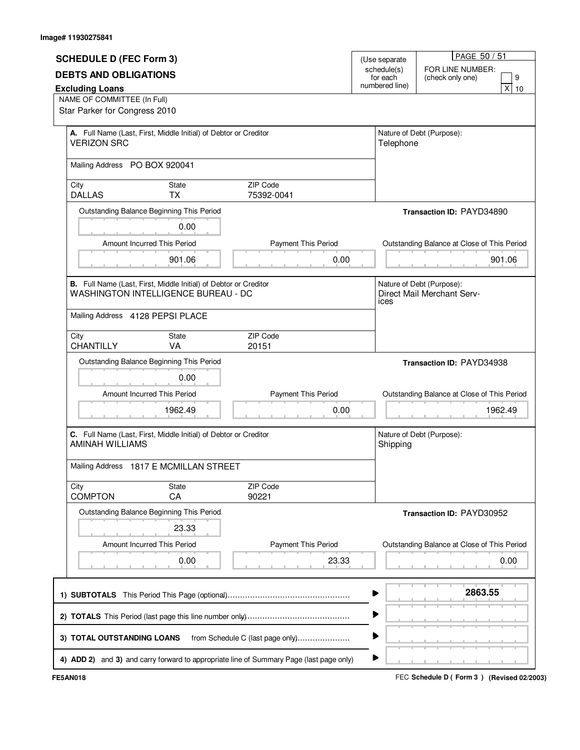|                                  |                                                                  |                                  |                              | PAGE 50 / 51                                |  |  |
|----------------------------------|------------------------------------------------------------------|----------------------------------|------------------------------|---------------------------------------------|--|--|
| <b>SCHEDULE D (FEC Form 3)</b>   |                                                                  |                                  | (Use separate<br>schedule(s) | FOR LINE NUMBER:                            |  |  |
| <b>DEBTS AND OBLIGATIONS</b>     |                                                                  |                                  | for each                     | 9<br>(check only one)                       |  |  |
| <b>Excluding Loans</b>           |                                                                  | numbered line)                   | x<br>10                      |                                             |  |  |
| NAME OF COMMITTEE (In Full)      |                                                                  |                                  |                              |                                             |  |  |
| Star Parker for Congress 2010    |                                                                  |                                  |                              |                                             |  |  |
|                                  |                                                                  |                                  |                              |                                             |  |  |
| <b>VERIZON SRC</b>               | A. Full Name (Last, First, Middle Initial) of Debtor or Creditor |                                  | Telephone                    | Nature of Debt (Purpose):                   |  |  |
|                                  |                                                                  |                                  |                              |                                             |  |  |
| Mailing Address PO BOX 920041    |                                                                  |                                  |                              |                                             |  |  |
|                                  |                                                                  |                                  |                              |                                             |  |  |
| City                             | State                                                            | ZIP Code                         |                              |                                             |  |  |
| <b>DALLAS</b>                    | TX                                                               | 75392-0041                       |                              |                                             |  |  |
|                                  | Outstanding Balance Beginning This Period                        |                                  |                              | Transaction ID: PAYD34890                   |  |  |
|                                  | 0.00                                                             |                                  |                              |                                             |  |  |
|                                  |                                                                  |                                  |                              |                                             |  |  |
|                                  | Amount Incurred This Period                                      | Payment This Period              |                              | Outstanding Balance at Close of This Period |  |  |
|                                  | 901.06                                                           | 0.00                             |                              | 901.06                                      |  |  |
|                                  |                                                                  |                                  |                              |                                             |  |  |
|                                  | B. Full Name (Last, First, Middle Initial) of Debtor or Creditor |                                  |                              | Nature of Debt (Purpose):                   |  |  |
|                                  | WASHINGTON INTELLIGENCE BUREAU - DC                              |                                  | ıces                         | Direct Mail Merchant Serv-                  |  |  |
|                                  |                                                                  |                                  |                              |                                             |  |  |
| Mailing Address 4128 PEPSI PLACE |                                                                  |                                  |                              |                                             |  |  |
| City                             | State                                                            | <b>ZIP Code</b>                  |                              |                                             |  |  |
| <b>CHANTILLY</b>                 | VA                                                               | 20151                            |                              |                                             |  |  |
|                                  | Outstanding Balance Beginning This Period                        |                                  |                              | Transaction ID: PAYD34938                   |  |  |
|                                  |                                                                  |                                  |                              |                                             |  |  |
|                                  | 0.00                                                             |                                  |                              |                                             |  |  |
|                                  | Amount Incurred This Period                                      | <b>Payment This Period</b>       |                              | Outstanding Balance at Close of This Period |  |  |
|                                  | 1962.49                                                          | 0.00                             |                              | 1962.49                                     |  |  |
|                                  |                                                                  |                                  |                              |                                             |  |  |
|                                  | C. Full Name (Last, First, Middle Initial) of Debtor or Creditor |                                  |                              | Nature of Debt (Purpose):                   |  |  |
|                                  | <b>AMINAH WILLIAMS</b>                                           |                                  |                              | Shipping                                    |  |  |
|                                  |                                                                  |                                  |                              |                                             |  |  |
|                                  | Mailing Address 1817 E MCMILLAN STREET                           |                                  |                              |                                             |  |  |
| City                             | State                                                            | ZIP Code                         |                              |                                             |  |  |
| <b>COMPTON</b>                   | CA                                                               | 90221                            |                              |                                             |  |  |
|                                  | Outstanding Balance Beginning This Period                        |                                  |                              | Transaction ID: PAYD30952                   |  |  |
|                                  |                                                                  |                                  |                              |                                             |  |  |
|                                  | 23.33                                                            |                                  |                              |                                             |  |  |
|                                  | Amount Incurred This Period                                      | Payment This Period              |                              | Outstanding Balance at Close of This Period |  |  |
|                                  | 0.00                                                             | 23.33                            |                              | 0.00                                        |  |  |
|                                  |                                                                  |                                  |                              |                                             |  |  |
|                                  |                                                                  |                                  |                              |                                             |  |  |
|                                  |                                                                  |                                  |                              | 2863.55                                     |  |  |
|                                  |                                                                  |                                  |                              |                                             |  |  |
|                                  |                                                                  |                                  |                              |                                             |  |  |
|                                  |                                                                  |                                  |                              |                                             |  |  |
|                                  |                                                                  |                                  |                              |                                             |  |  |
| 3) TOTAL OUTSTANDING LOANS       |                                                                  | from Schedule C (last page only) |                              |                                             |  |  |